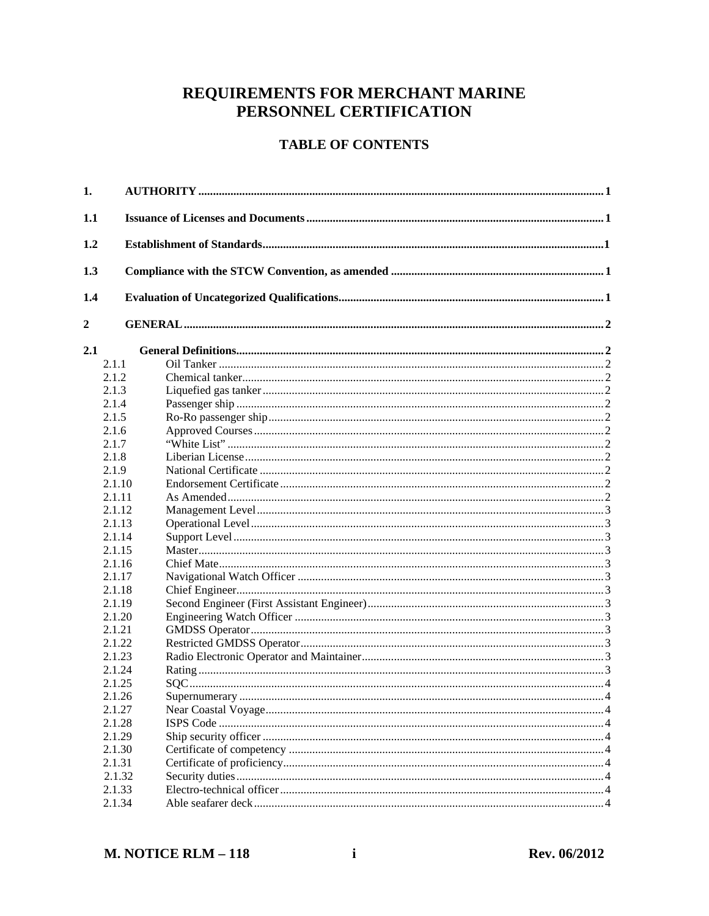# REQUIREMENTS FOR MERCHANT MARINE PERSONNEL CERTIFICATION

# **TABLE OF CONTENTS**

| 1.               |        |  |
|------------------|--------|--|
| 1.1              |        |  |
| 1.2              |        |  |
| 1.3              |        |  |
| 1.4              |        |  |
| $\boldsymbol{2}$ |        |  |
| 2.1              |        |  |
|                  | 2.1.1  |  |
|                  | 2.1.2  |  |
|                  | 2.1.3  |  |
|                  | 2.1.4  |  |
|                  | 2.1.5  |  |
|                  | 2.1.6  |  |
|                  | 2.1.7  |  |
|                  | 2.1.8  |  |
|                  | 2.1.9  |  |
|                  | 2.1.10 |  |
|                  | 2.1.11 |  |
|                  | 2.1.12 |  |
|                  | 2.1.13 |  |
|                  | 2.1.14 |  |
|                  | 2.1.15 |  |
|                  | 2.1.16 |  |
|                  | 2.1.17 |  |
|                  | 2.1.18 |  |
|                  | 2.1.19 |  |
|                  | 2.1.20 |  |
|                  | 2.1.21 |  |
|                  | 2.1.22 |  |
|                  | 2.1.23 |  |
|                  | 2.1.24 |  |
|                  | 2.1.25 |  |
|                  | 2.1.26 |  |
|                  | 2.1.27 |  |
|                  | 2.1.28 |  |
|                  | 2.1.29 |  |
|                  | 2.1.30 |  |
|                  | 2.1.31 |  |
|                  | 2.1.32 |  |
|                  | 2.1.33 |  |
|                  | 2.1.34 |  |
|                  |        |  |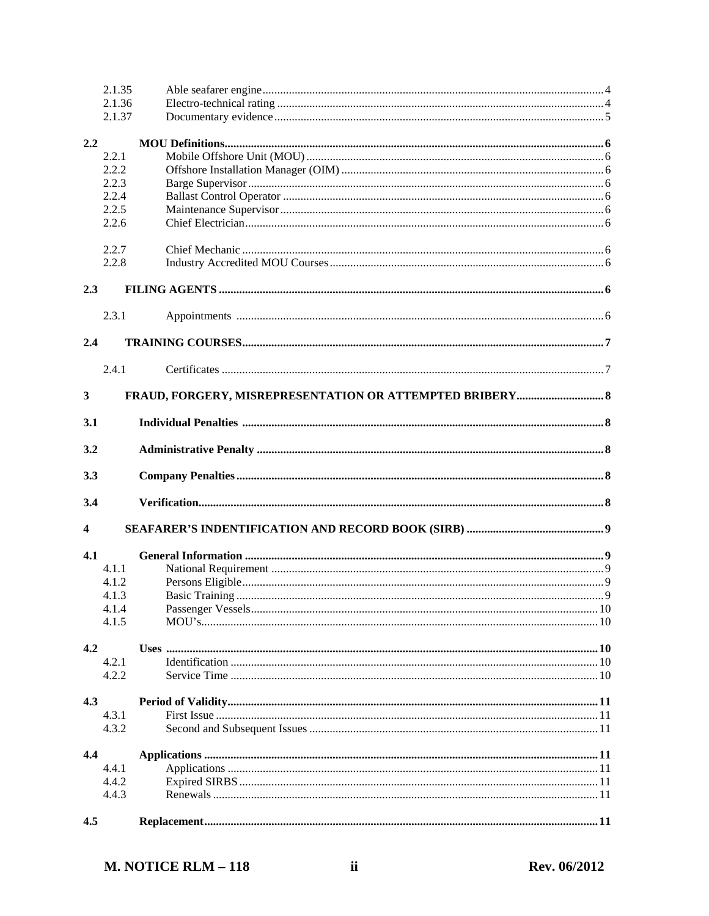|                         | 2.1.35 |  |
|-------------------------|--------|--|
|                         | 2.1.36 |  |
|                         | 2.1.37 |  |
|                         |        |  |
| 2.2                     |        |  |
|                         | 2.2.1  |  |
|                         | 2.2.2  |  |
|                         | 2.2.3  |  |
|                         | 2.2.4  |  |
|                         | 2.2.5  |  |
|                         | 2.2.6  |  |
|                         |        |  |
|                         | 2.2.7  |  |
|                         | 2.2.8  |  |
| 2.3                     |        |  |
|                         |        |  |
|                         | 2.3.1  |  |
| 2.4                     |        |  |
|                         |        |  |
|                         | 2.4.1  |  |
|                         |        |  |
| 3                       |        |  |
| 3.1                     |        |  |
| 3.2                     |        |  |
|                         |        |  |
| 3.3                     |        |  |
| 3.4                     |        |  |
| $\overline{\mathbf{4}}$ |        |  |
|                         |        |  |
| 4.1                     |        |  |
|                         | 4.1.1  |  |
|                         | 4.1.2  |  |
|                         | 4.1.3  |  |
|                         | 4.1.4  |  |
|                         | 4.1.5  |  |
|                         |        |  |
| 4.2                     |        |  |
|                         | 4.2.1  |  |
|                         | 4.2.2  |  |
|                         |        |  |
| 4.3                     |        |  |
|                         | 4.3.1  |  |
|                         | 4.3.2  |  |
|                         |        |  |
| 4.4                     |        |  |
|                         | 4.4.1  |  |
|                         | 4.4.2  |  |
|                         | 4.4.3  |  |
|                         |        |  |
| 4.5                     |        |  |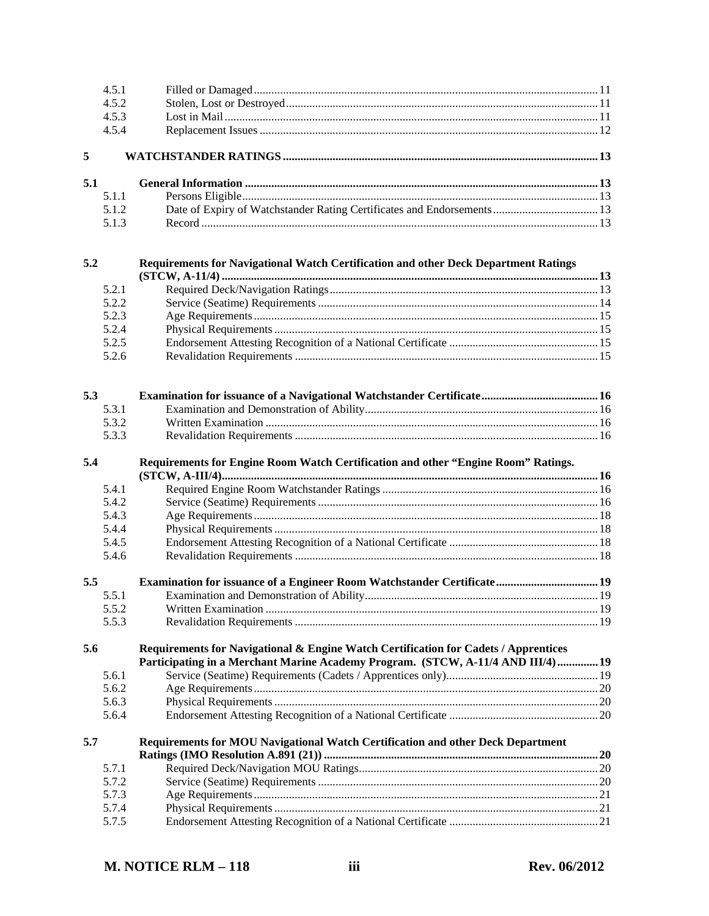|     | 4.5.1 |                                                                                                                                                                         |  |
|-----|-------|-------------------------------------------------------------------------------------------------------------------------------------------------------------------------|--|
|     | 4.5.2 |                                                                                                                                                                         |  |
|     | 4.5.3 |                                                                                                                                                                         |  |
|     | 4.5.4 |                                                                                                                                                                         |  |
| 5   |       |                                                                                                                                                                         |  |
| 5.1 |       |                                                                                                                                                                         |  |
|     | 5.1.1 |                                                                                                                                                                         |  |
|     | 5.1.2 | Date of Expiry of Watchstander Rating Certificates and Endorsements  13                                                                                                 |  |
|     | 5.1.3 |                                                                                                                                                                         |  |
| 5.2 |       | Requirements for Navigational Watch Certification and other Deck Department Ratings                                                                                     |  |
|     |       |                                                                                                                                                                         |  |
|     | 5.2.1 |                                                                                                                                                                         |  |
|     | 5.2.2 |                                                                                                                                                                         |  |
|     | 5.2.3 |                                                                                                                                                                         |  |
|     | 5.2.4 |                                                                                                                                                                         |  |
|     | 5.2.5 |                                                                                                                                                                         |  |
|     | 5.2.6 |                                                                                                                                                                         |  |
| 5.3 |       |                                                                                                                                                                         |  |
|     | 5.3.1 |                                                                                                                                                                         |  |
|     | 5.3.2 |                                                                                                                                                                         |  |
|     | 5.3.3 |                                                                                                                                                                         |  |
| 5.4 | 5.4.1 | Requirements for Engine Room Watch Certification and other "Engine Room" Ratings.                                                                                       |  |
|     | 5.4.2 |                                                                                                                                                                         |  |
|     | 5.4.3 |                                                                                                                                                                         |  |
|     | 5.4.4 |                                                                                                                                                                         |  |
|     | 5.4.5 |                                                                                                                                                                         |  |
|     | 5.4.6 |                                                                                                                                                                         |  |
| 5.5 |       | Examination for issuance of a Engineer Room Watchstander Certificate 19                                                                                                 |  |
|     | 5.5.1 |                                                                                                                                                                         |  |
|     | 5.5.2 |                                                                                                                                                                         |  |
|     | 5.5.3 |                                                                                                                                                                         |  |
| 5.6 |       | Requirements for Navigational & Engine Watch Certification for Cadets / Apprentices<br>Participating in a Merchant Marine Academy Program. (STCW, A-11/4 AND III/4)  19 |  |
|     | 5.6.1 |                                                                                                                                                                         |  |
|     | 5.6.2 |                                                                                                                                                                         |  |
|     | 5.6.3 |                                                                                                                                                                         |  |
|     | 5.6.4 |                                                                                                                                                                         |  |
| 5.7 |       | Requirements for MOU Navigational Watch Certification and other Deck Department                                                                                         |  |
|     | 5.7.1 |                                                                                                                                                                         |  |
|     | 5.7.2 |                                                                                                                                                                         |  |
|     | 5.7.3 |                                                                                                                                                                         |  |
|     | 5.7.4 |                                                                                                                                                                         |  |
|     | 5.7.5 |                                                                                                                                                                         |  |
|     |       |                                                                                                                                                                         |  |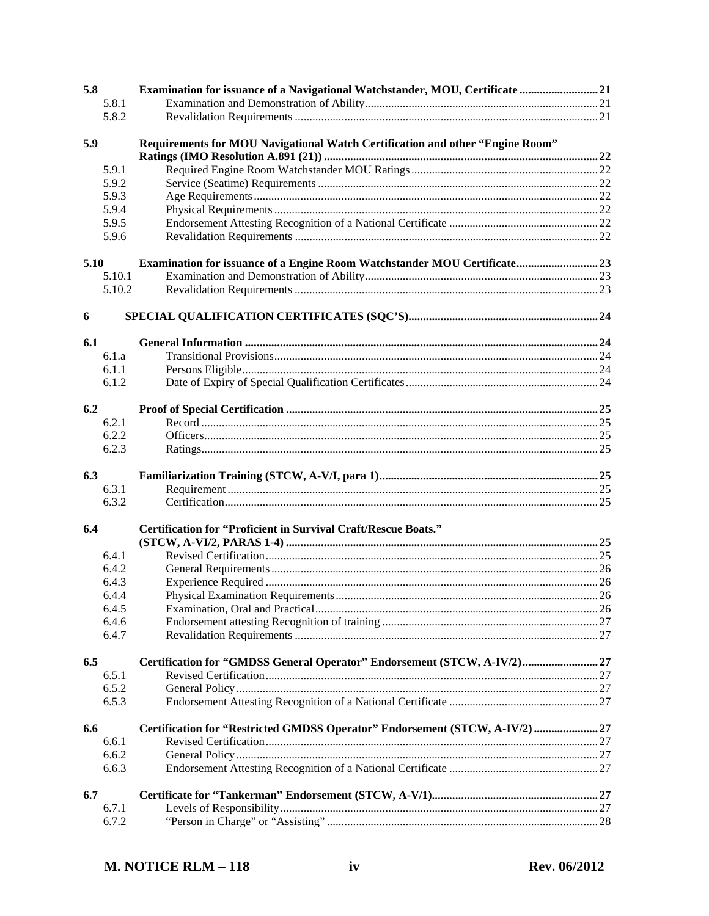| 5.8  |                | Examination for issuance of a Navigational Watchstander, MOU, Certificate 21     |  |
|------|----------------|----------------------------------------------------------------------------------|--|
|      | 5.8.1          |                                                                                  |  |
|      | 5.8.2          |                                                                                  |  |
|      |                |                                                                                  |  |
| 5.9  |                | Requirements for MOU Navigational Watch Certification and other "Engine Room"    |  |
|      |                |                                                                                  |  |
|      | 5.9.1          |                                                                                  |  |
|      | 5.9.2          |                                                                                  |  |
|      | 5.9.3          |                                                                                  |  |
|      | 5.9.4          |                                                                                  |  |
|      | 5.9.5          |                                                                                  |  |
|      | 5.9.6          |                                                                                  |  |
|      |                |                                                                                  |  |
| 5.10 |                | <b>Examination for issuance of a Engine Room Watchstander MOU Certificate 23</b> |  |
|      |                |                                                                                  |  |
|      | 5.10.1         |                                                                                  |  |
|      | 5.10.2         |                                                                                  |  |
|      |                |                                                                                  |  |
| 6    |                |                                                                                  |  |
| 6.1  |                |                                                                                  |  |
|      |                |                                                                                  |  |
|      | 6.1.a          |                                                                                  |  |
|      | 6.1.1          |                                                                                  |  |
|      | 6.1.2          |                                                                                  |  |
|      |                |                                                                                  |  |
| 6.2  |                |                                                                                  |  |
|      | 6.2.1          |                                                                                  |  |
|      | 6.2.2          |                                                                                  |  |
|      | 6.2.3          |                                                                                  |  |
|      |                |                                                                                  |  |
| 6.3  |                |                                                                                  |  |
|      | 6.3.1          |                                                                                  |  |
|      | 6.3.2          |                                                                                  |  |
| 6.4  |                |                                                                                  |  |
|      |                |                                                                                  |  |
|      |                | <b>Certification for "Proficient in Survival Craft/Rescue Boats."</b>            |  |
|      |                |                                                                                  |  |
|      | 6.4.1          |                                                                                  |  |
|      | 6.4.2          |                                                                                  |  |
|      | 6.4.3          |                                                                                  |  |
|      | 6.4.4          |                                                                                  |  |
|      | 6.4.5          |                                                                                  |  |
|      | 6.4.6          |                                                                                  |  |
|      | 6.4.7          |                                                                                  |  |
|      |                |                                                                                  |  |
| 6.5  |                | Certification for "GMDSS General Operator" Endorsement (STCW, A-IV/2) 27         |  |
|      | 6.5.1          |                                                                                  |  |
|      | 6.5.2          |                                                                                  |  |
|      | 6.5.3          |                                                                                  |  |
|      |                |                                                                                  |  |
| 6.6  |                | Certification for "Restricted GMDSS Operator" Endorsement (STCW, A-IV/2)  27     |  |
|      | 6.6.1          |                                                                                  |  |
|      | 6.6.2          |                                                                                  |  |
|      | 6.6.3          |                                                                                  |  |
|      |                |                                                                                  |  |
| 6.7  |                |                                                                                  |  |
|      | 6.7.1<br>6.7.2 |                                                                                  |  |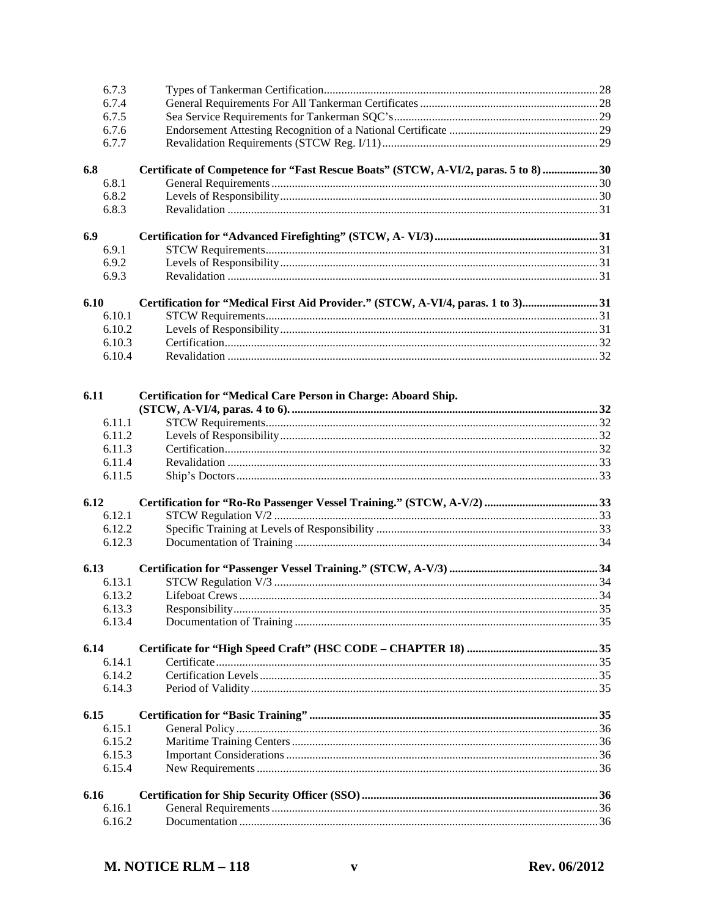|      | 6.7.3  |                                                                                     |  |
|------|--------|-------------------------------------------------------------------------------------|--|
|      | 6.7.4  |                                                                                     |  |
|      | 6.7.5  |                                                                                     |  |
|      | 6.7.6  |                                                                                     |  |
|      | 6.7.7  |                                                                                     |  |
| 6.8  |        | Certificate of Competence for "Fast Rescue Boats" (STCW, A-VI/2, paras. 5 to 8)  30 |  |
|      | 6.8.1  |                                                                                     |  |
|      | 6.8.2  |                                                                                     |  |
|      | 6.8.3  |                                                                                     |  |
| 6.9  |        |                                                                                     |  |
|      | 6.9.1  |                                                                                     |  |
|      | 6.9.2  |                                                                                     |  |
|      | 6.9.3  |                                                                                     |  |
| 6.10 |        | Certification for "Medical First Aid Provider." (STCW, A-VI/4, paras. 1 to 3)31     |  |
|      | 6.10.1 |                                                                                     |  |
|      | 6.10.2 |                                                                                     |  |
|      | 6.10.3 |                                                                                     |  |
|      | 6.10.4 |                                                                                     |  |
|      |        |                                                                                     |  |
| 6.11 |        | Certification for "Medical Care Person in Charge: Aboard Ship.                      |  |
|      | 6.11.1 |                                                                                     |  |
|      | 6.11.2 |                                                                                     |  |
|      | 6.11.3 |                                                                                     |  |
|      | 6.11.4 |                                                                                     |  |
|      | 6.11.5 |                                                                                     |  |
| 6.12 |        |                                                                                     |  |
|      | 6.12.1 |                                                                                     |  |
|      | 6.12.2 |                                                                                     |  |
|      | 6.12.3 |                                                                                     |  |
|      |        |                                                                                     |  |
| 6.13 |        |                                                                                     |  |
|      | 6.13.1 |                                                                                     |  |
|      | 6.13.2 |                                                                                     |  |
|      | 6.13.3 |                                                                                     |  |
|      | 6.13.4 |                                                                                     |  |
| 6.14 |        |                                                                                     |  |
|      | 6.14.1 |                                                                                     |  |
|      | 6.14.2 |                                                                                     |  |
|      | 6.14.3 |                                                                                     |  |
| 6.15 |        |                                                                                     |  |
|      | 6.15.1 |                                                                                     |  |
|      | 6.15.2 |                                                                                     |  |
|      | 6.15.3 |                                                                                     |  |
|      | 6.15.4 |                                                                                     |  |
| 6.16 |        |                                                                                     |  |
|      | 6.16.1 |                                                                                     |  |
|      | 6.16.2 |                                                                                     |  |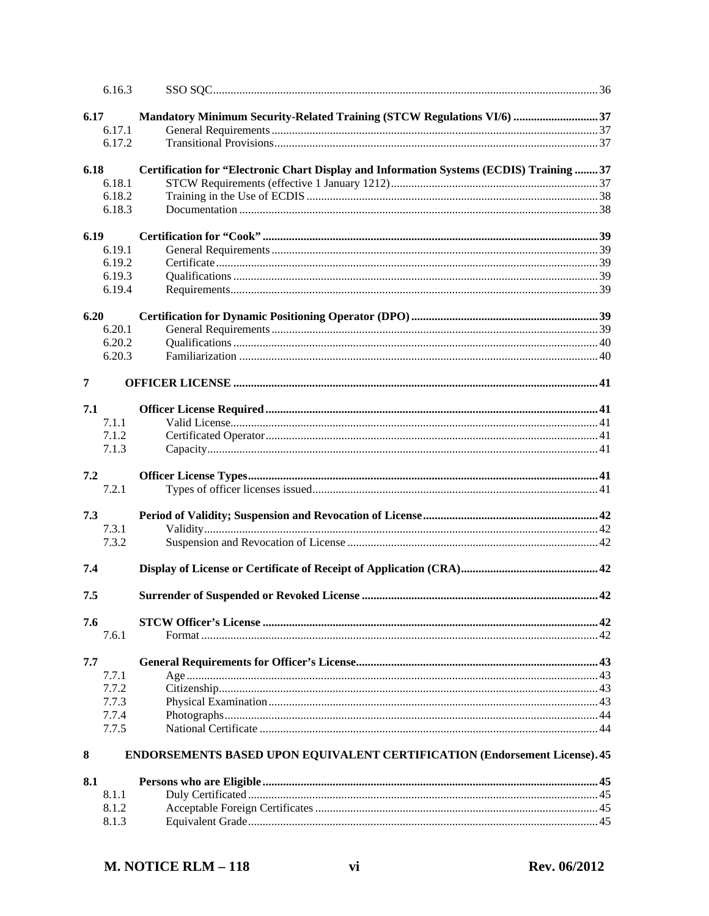|                | 6.16.3         |                                                                                          |  |
|----------------|----------------|------------------------------------------------------------------------------------------|--|
| 6.17           |                | Mandatory Minimum Security-Related Training (STCW Regulations VI/6) 37                   |  |
|                | 6.17.1         |                                                                                          |  |
|                | 6.17.2         |                                                                                          |  |
| 6.18           |                | Certification for "Electronic Chart Display and Information Systems (ECDIS) Training  37 |  |
|                | 6.18.1         |                                                                                          |  |
|                | 6.18.2         |                                                                                          |  |
|                | 6.18.3         |                                                                                          |  |
| 6.19           |                |                                                                                          |  |
|                | 6.19.1         |                                                                                          |  |
|                | 6.19.2         |                                                                                          |  |
|                | 6.19.3         |                                                                                          |  |
|                | 6.19.4         |                                                                                          |  |
| 6.20           |                |                                                                                          |  |
|                | 6.20.1         |                                                                                          |  |
|                | 6.20.2         |                                                                                          |  |
|                | 6.20.3         |                                                                                          |  |
| $\overline{7}$ |                |                                                                                          |  |
| 7.1            |                |                                                                                          |  |
|                | 7.1.1          |                                                                                          |  |
|                | 7.1.2          |                                                                                          |  |
|                | 7.1.3          |                                                                                          |  |
| 7.2            |                |                                                                                          |  |
|                | 7.2.1          |                                                                                          |  |
| 7.3            |                |                                                                                          |  |
|                | 7.3.1<br>7.3.2 |                                                                                          |  |
|                |                |                                                                                          |  |
| 7.4            |                |                                                                                          |  |
| 7.5            |                |                                                                                          |  |
| 7.6            |                |                                                                                          |  |
|                | 7.6.1          |                                                                                          |  |
| 7.7            |                |                                                                                          |  |
|                | 7.7.1          |                                                                                          |  |
|                | 7.7.2          |                                                                                          |  |
|                | 7.7.3          |                                                                                          |  |
|                | 7.7.4          |                                                                                          |  |
|                | 7.7.5          |                                                                                          |  |
| 8              |                | <b>ENDORSEMENTS BASED UPON EQUIVALENT CERTIFICATION (Endorsement License). 45</b>        |  |
| 8.1            |                |                                                                                          |  |
|                | 8.1.1          |                                                                                          |  |
|                | 8.1.2          |                                                                                          |  |
|                | 8.1.3          |                                                                                          |  |
|                |                |                                                                                          |  |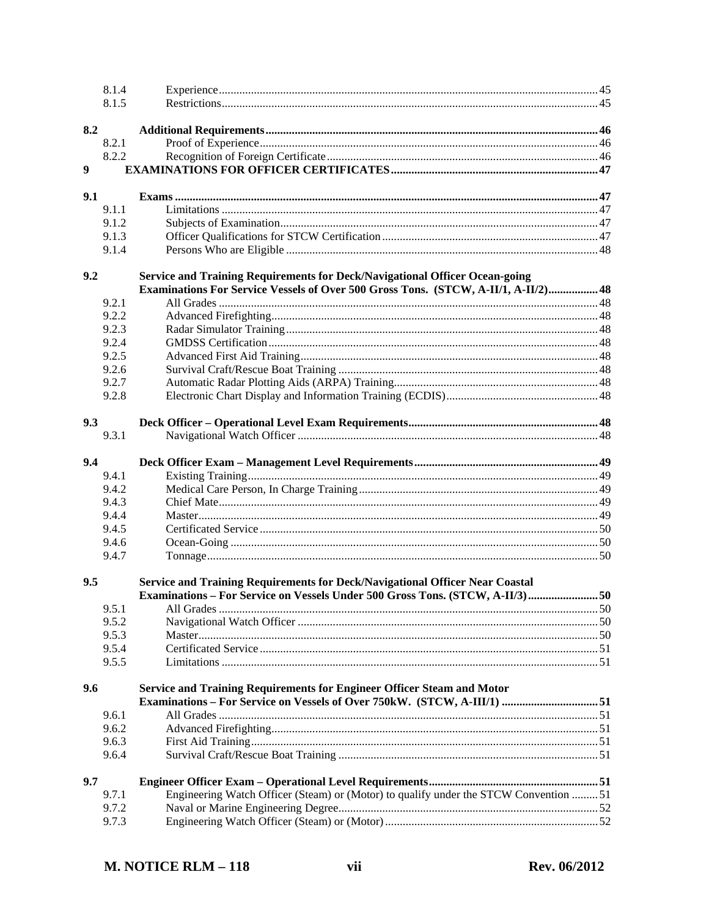|     | 8.1.4 |                                                                                      |  |
|-----|-------|--------------------------------------------------------------------------------------|--|
|     | 8.1.5 |                                                                                      |  |
| 8.2 |       |                                                                                      |  |
|     | 8.2.1 |                                                                                      |  |
|     | 8.2.2 |                                                                                      |  |
| 9   |       |                                                                                      |  |
| 9.1 |       |                                                                                      |  |
|     | 9.1.1 |                                                                                      |  |
|     | 9.1.2 |                                                                                      |  |
|     | 9.1.3 |                                                                                      |  |
|     | 9.1.4 |                                                                                      |  |
| 9.2 |       | Service and Training Requirements for Deck/Navigational Officer Ocean-going          |  |
|     |       | Examinations For Service Vessels of Over 500 Gross Tons. (STCW, A-II/1, A-II/2)48    |  |
|     | 9.2.1 |                                                                                      |  |
|     | 9.2.2 |                                                                                      |  |
|     | 9.2.3 |                                                                                      |  |
|     | 9.2.4 |                                                                                      |  |
|     | 9.2.5 |                                                                                      |  |
|     | 9.2.6 |                                                                                      |  |
|     | 9.2.7 |                                                                                      |  |
|     | 9.2.8 |                                                                                      |  |
| 9.3 |       |                                                                                      |  |
|     | 9.3.1 |                                                                                      |  |
| 9.4 |       |                                                                                      |  |
|     | 9.4.1 |                                                                                      |  |
|     | 9.4.2 |                                                                                      |  |
|     | 9.4.3 |                                                                                      |  |
|     | 9.4.4 |                                                                                      |  |
|     | 9.4.5 |                                                                                      |  |
|     | 9.4.6 |                                                                                      |  |
|     | 9.4.7 |                                                                                      |  |
| 9.5 |       | Service and Training Requirements for Deck/Navigational Officer Near Coastal         |  |
|     |       | Examinations – For Service on Vessels Under 500 Gross Tons. (STCW, A-II/3)  50       |  |
|     | 9.5.1 |                                                                                      |  |
|     | 9.5.2 |                                                                                      |  |
|     | 9.5.3 |                                                                                      |  |
|     | 9.5.4 |                                                                                      |  |
|     | 9.5.5 |                                                                                      |  |
| 9.6 |       | Service and Training Requirements for Engineer Officer Steam and Motor               |  |
|     |       |                                                                                      |  |
|     | 9.6.1 |                                                                                      |  |
|     | 9.6.2 |                                                                                      |  |
|     | 9.6.3 |                                                                                      |  |
|     | 9.6.4 |                                                                                      |  |
| 9.7 |       |                                                                                      |  |
|     | 9.7.1 | Engineering Watch Officer (Steam) or (Motor) to qualify under the STCW Convention 51 |  |
|     | 9.7.2 |                                                                                      |  |
|     | 9.7.3 |                                                                                      |  |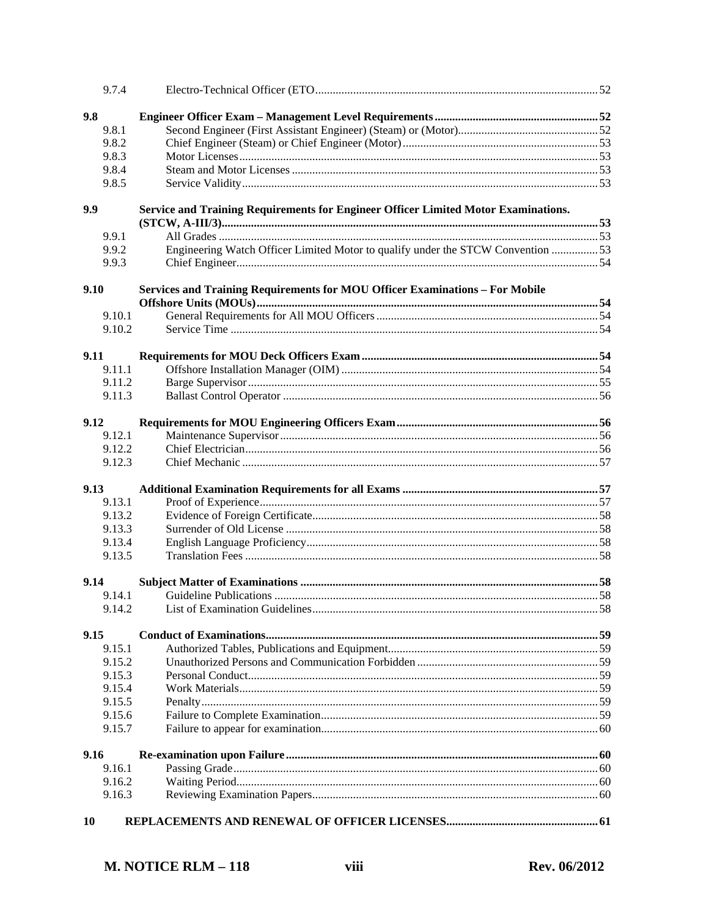|      | 9.7.4  |                                                                                    |  |
|------|--------|------------------------------------------------------------------------------------|--|
| 9.8  |        |                                                                                    |  |
|      | 9.8.1  |                                                                                    |  |
|      | 9.8.2  |                                                                                    |  |
|      | 9.8.3  |                                                                                    |  |
|      | 9.8.4  |                                                                                    |  |
|      | 9.8.5  |                                                                                    |  |
|      |        |                                                                                    |  |
| 9.9  |        | Service and Training Requirements for Engineer Officer Limited Motor Examinations. |  |
|      |        |                                                                                    |  |
|      | 9.9.1  |                                                                                    |  |
|      | 9.9.2  | Engineering Watch Officer Limited Motor to qualify under the STCW Convention 53    |  |
|      | 9.9.3  |                                                                                    |  |
| 9.10 |        | Services and Training Requirements for MOU Officer Examinations - For Mobile       |  |
|      |        |                                                                                    |  |
|      | 9.10.1 |                                                                                    |  |
|      | 9.10.2 |                                                                                    |  |
| 9.11 |        |                                                                                    |  |
|      | 9.11.1 |                                                                                    |  |
|      | 9.11.2 |                                                                                    |  |
|      | 9.11.3 |                                                                                    |  |
|      |        |                                                                                    |  |
| 9.12 |        |                                                                                    |  |
|      | 9.12.1 |                                                                                    |  |
|      | 9.12.2 |                                                                                    |  |
|      | 9.12.3 |                                                                                    |  |
| 9.13 |        |                                                                                    |  |
|      | 9.13.1 |                                                                                    |  |
|      | 9.13.2 |                                                                                    |  |
|      | 9.13.3 |                                                                                    |  |
|      | 9.13.4 |                                                                                    |  |
|      | 9.13.5 |                                                                                    |  |
| 9.14 |        |                                                                                    |  |
|      | 9.14.1 |                                                                                    |  |
|      | 9.14.2 |                                                                                    |  |
|      |        |                                                                                    |  |
| 9.15 |        |                                                                                    |  |
|      | 9.15.1 |                                                                                    |  |
|      | 9.15.2 |                                                                                    |  |
|      | 9.15.3 |                                                                                    |  |
|      | 9.15.4 |                                                                                    |  |
|      | 9.15.5 |                                                                                    |  |
|      | 9.15.6 |                                                                                    |  |
|      | 9.15.7 |                                                                                    |  |
| 9.16 |        |                                                                                    |  |
|      | 9.16.1 |                                                                                    |  |
|      | 9.16.2 |                                                                                    |  |
|      | 9.16.3 |                                                                                    |  |
|      |        |                                                                                    |  |
| 10   |        |                                                                                    |  |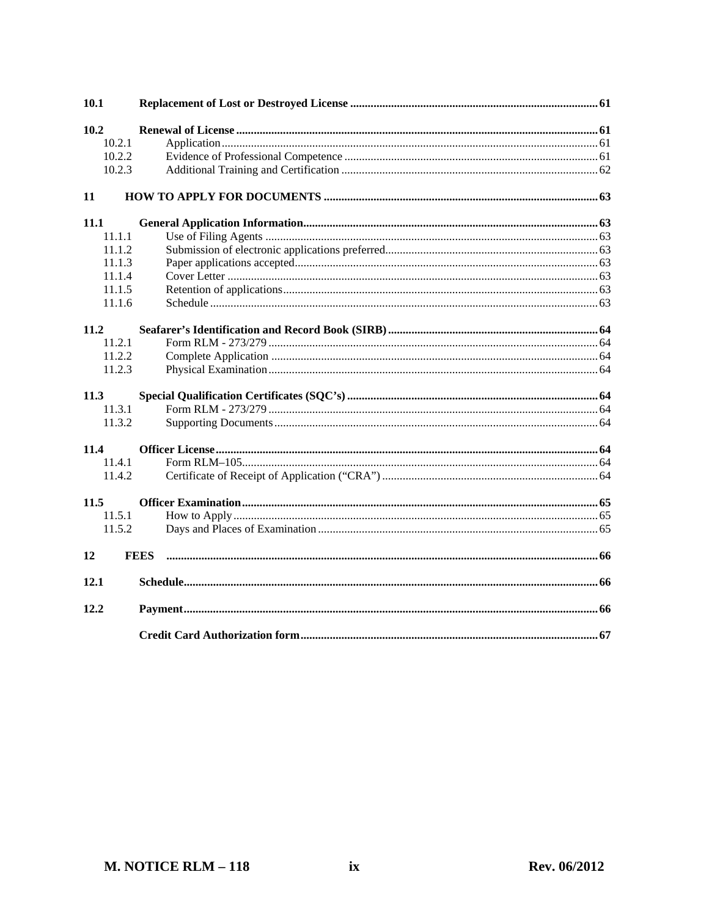| 10.1        |             |  |
|-------------|-------------|--|
| 10.2        |             |  |
| 10.2.1      |             |  |
| 10.2.2      |             |  |
| 10.2.3      |             |  |
| 11          |             |  |
| 11.1        |             |  |
| 11.1.1      |             |  |
| 11.1.2      |             |  |
| 11.1.3      |             |  |
| 11.1.4      |             |  |
| 11.1.5      |             |  |
| 11.1.6      |             |  |
|             |             |  |
| 11.2        |             |  |
| 11.2.1      |             |  |
| 11.2.2      |             |  |
| 11.2.3      |             |  |
| <b>11.3</b> |             |  |
| 11.3.1      |             |  |
| 11.3.2      |             |  |
| 11.4        |             |  |
| 11.4.1      |             |  |
| 11.4.2      |             |  |
|             |             |  |
| 11.5        |             |  |
| 11.5.1      |             |  |
| 11.5.2      |             |  |
| 12          | <b>FEES</b> |  |
| 12.1        |             |  |
| 12.2        |             |  |
|             |             |  |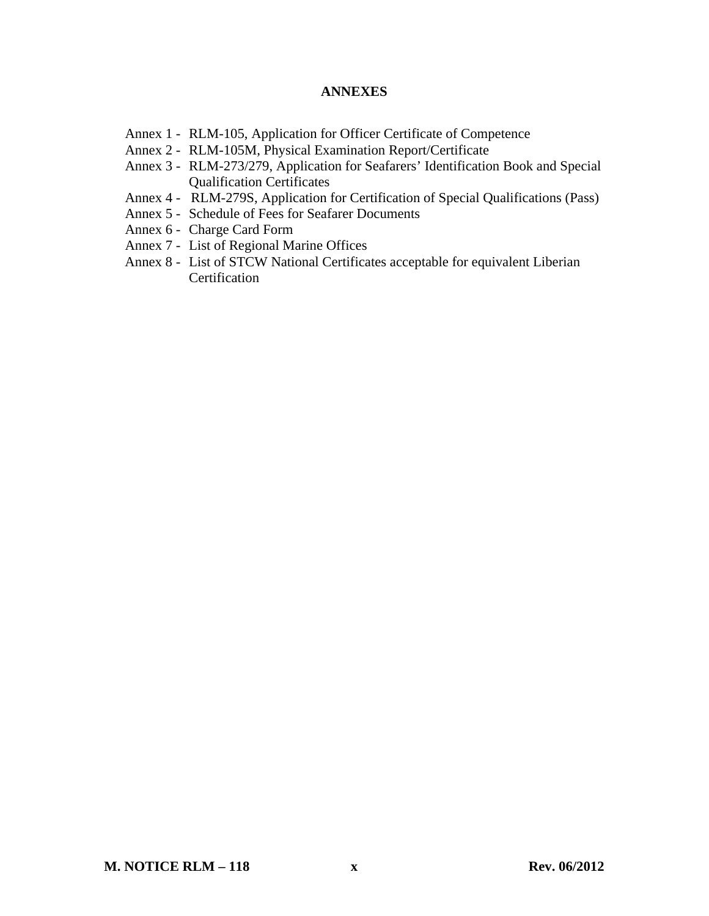#### **ANNEXES**

- Annex 1 RLM-105, Application for Officer Certificate of Competence
- Annex 2 RLM-105M, Physical Examination Report/Certificate
- Annex 3 RLM-273/279, Application for Seafarers' Identification Book and Special Qualification Certificates
- Annex 4 RLM-279S, Application for Certification of Special Qualifications (Pass)
- Annex 5 Schedule of Fees for Seafarer Documents
- Annex 6 Charge Card Form
- Annex 7 List of Regional Marine Offices
- Annex 8 List of STCW National Certificates acceptable for equivalent Liberian **Certification**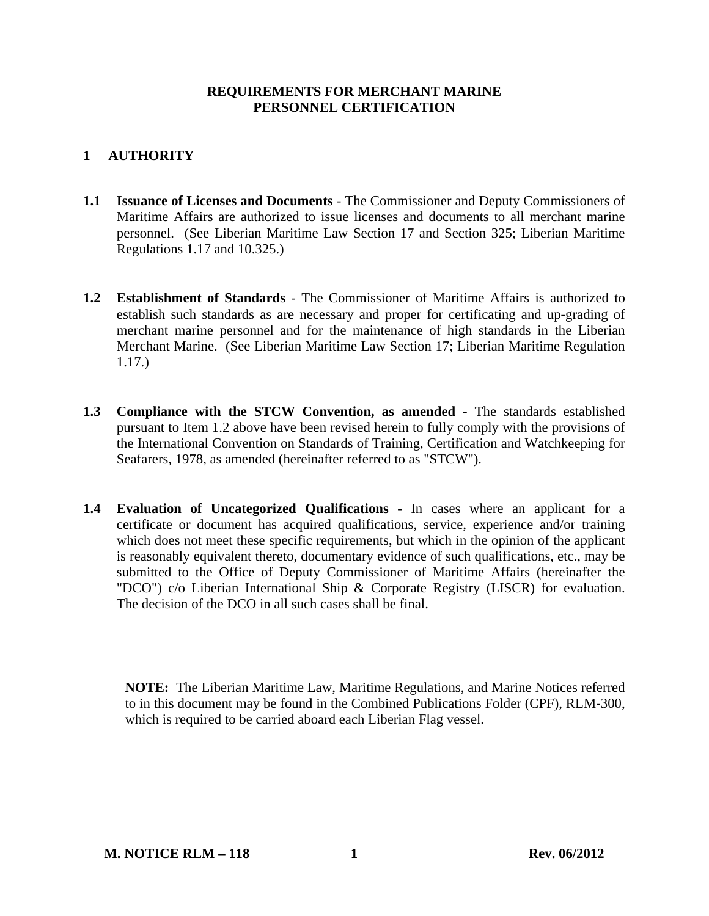### **REQUIREMENTS FOR MERCHANT MARINE PERSONNEL CERTIFICATION**

# **1 AUTHORITY**

- **1.1 Issuance of Licenses and Documents** The Commissioner and Deputy Commissioners of Maritime Affairs are authorized to issue licenses and documents to all merchant marine personnel. (See Liberian Maritime Law Section 17 and Section 325; Liberian Maritime Regulations 1.17 and 10.325.)
- **1.2 Establishment of Standards** The Commissioner of Maritime Affairs is authorized to establish such standards as are necessary and proper for certificating and up-grading of merchant marine personnel and for the maintenance of high standards in the Liberian Merchant Marine. (See Liberian Maritime Law Section 17; Liberian Maritime Regulation 1.17.)
- **1.3 Compliance with the STCW Convention, as amended** The standards established pursuant to Item 1.2 above have been revised herein to fully comply with the provisions of the International Convention on Standards of Training, Certification and Watchkeeping for Seafarers, 1978, as amended (hereinafter referred to as "STCW").
- **1.4 Evaluation of Uncategorized Qualifications** In cases where an applicant for a certificate or document has acquired qualifications, service, experience and/or training which does not meet these specific requirements, but which in the opinion of the applicant is reasonably equivalent thereto, documentary evidence of such qualifications, etc., may be submitted to the Office of Deputy Commissioner of Maritime Affairs (hereinafter the "DCO") c/o Liberian International Ship & Corporate Registry (LISCR) for evaluation. The decision of the DCO in all such cases shall be final.

**NOTE:** The Liberian Maritime Law, Maritime Regulations, and Marine Notices referred to in this document may be found in the Combined Publications Folder (CPF), RLM-300, which is required to be carried aboard each Liberian Flag vessel.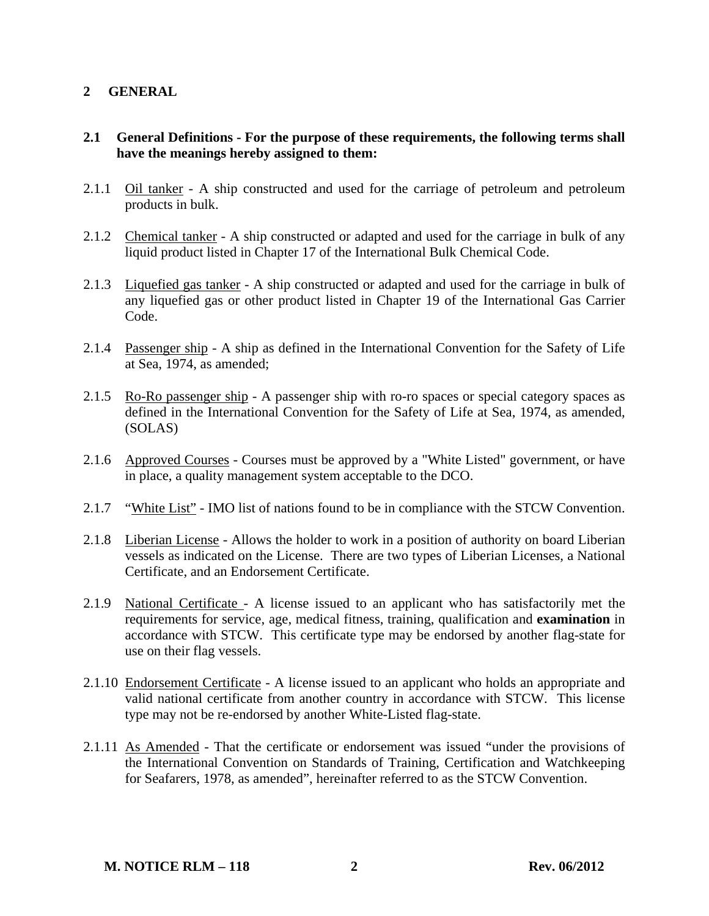# **2 GENERAL**

### **2.1 General Definitions - For the purpose of these requirements, the following terms shall have the meanings hereby assigned to them:**

- 2.1.1 Oil tanker A ship constructed and used for the carriage of petroleum and petroleum products in bulk.
- 2.1.2 Chemical tanker A ship constructed or adapted and used for the carriage in bulk of any liquid product listed in Chapter 17 of the International Bulk Chemical Code.
- 2.1.3 Liquefied gas tanker A ship constructed or adapted and used for the carriage in bulk of any liquefied gas or other product listed in Chapter 19 of the International Gas Carrier Code.
- 2.1.4 Passenger ship A ship as defined in the International Convention for the Safety of Life at Sea, 1974, as amended;
- 2.1.5 Ro-Ro passenger ship A passenger ship with ro-ro spaces or special category spaces as defined in the International Convention for the Safety of Life at Sea, 1974, as amended, (SOLAS)
- 2.1.6 Approved Courses Courses must be approved by a "White Listed" government, or have in place, a quality management system acceptable to the DCO.
- 2.1.7 "White List" IMO list of nations found to be in compliance with the STCW Convention.
- 2.1.8 Liberian License Allows the holder to work in a position of authority on board Liberian vessels as indicated on the License. There are two types of Liberian Licenses, a National Certificate, and an Endorsement Certificate.
- 2.1.9 National Certificate A license issued to an applicant who has satisfactorily met the requirements for service, age, medical fitness, training, qualification and **examination** in accordance with STCW. This certificate type may be endorsed by another flag-state for use on their flag vessels.
- 2.1.10 Endorsement Certificate A license issued to an applicant who holds an appropriate and valid national certificate from another country in accordance with STCW. This license type may not be re-endorsed by another White-Listed flag-state.
- 2.1.11 As Amended That the certificate or endorsement was issued "under the provisions of the International Convention on Standards of Training, Certification and Watchkeeping for Seafarers, 1978, as amended", hereinafter referred to as the STCW Convention.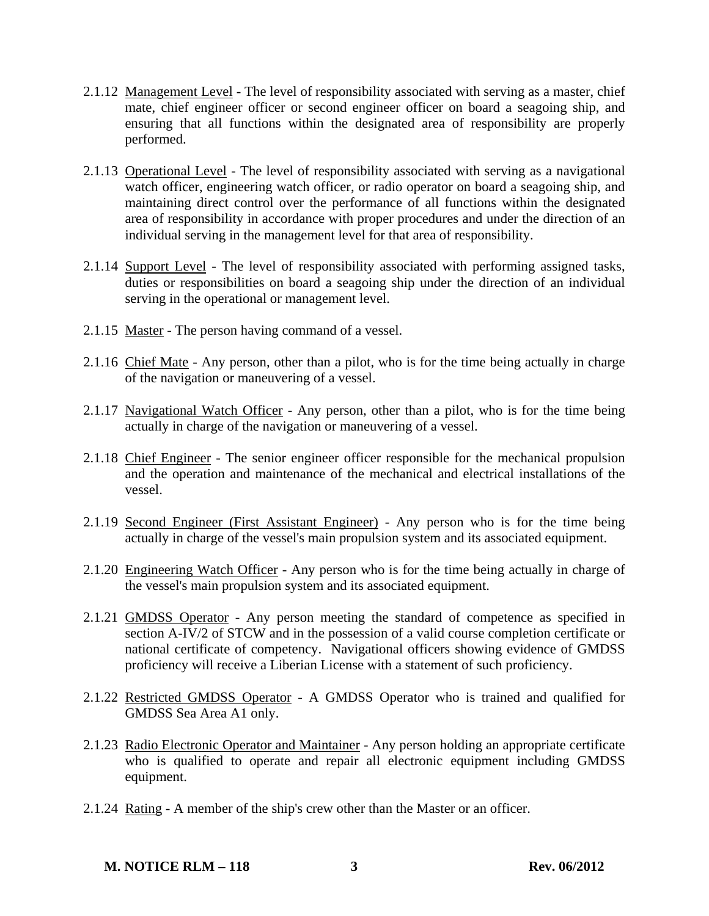- 2.1.12 Management Level The level of responsibility associated with serving as a master, chief mate, chief engineer officer or second engineer officer on board a seagoing ship, and ensuring that all functions within the designated area of responsibility are properly performed.
- 2.1.13 Operational Level The level of responsibility associated with serving as a navigational watch officer, engineering watch officer, or radio operator on board a seagoing ship, and maintaining direct control over the performance of all functions within the designated area of responsibility in accordance with proper procedures and under the direction of an individual serving in the management level for that area of responsibility.
- 2.1.14 Support Level The level of responsibility associated with performing assigned tasks, duties or responsibilities on board a seagoing ship under the direction of an individual serving in the operational or management level.
- 2.1.15 Master The person having command of a vessel.
- 2.1.16 Chief Mate Any person, other than a pilot, who is for the time being actually in charge of the navigation or maneuvering of a vessel.
- 2.1.17 Navigational Watch Officer Any person, other than a pilot, who is for the time being actually in charge of the navigation or maneuvering of a vessel.
- 2.1.18 Chief Engineer The senior engineer officer responsible for the mechanical propulsion and the operation and maintenance of the mechanical and electrical installations of the vessel.
- 2.1.19 Second Engineer (First Assistant Engineer) Any person who is for the time being actually in charge of the vessel's main propulsion system and its associated equipment.
- 2.1.20 Engineering Watch Officer Any person who is for the time being actually in charge of the vessel's main propulsion system and its associated equipment.
- 2.1.21 GMDSS Operator Any person meeting the standard of competence as specified in section A-IV/2 of STCW and in the possession of a valid course completion certificate or national certificate of competency. Navigational officers showing evidence of GMDSS proficiency will receive a Liberian License with a statement of such proficiency.
- 2.1.22 Restricted GMDSS Operator A GMDSS Operator who is trained and qualified for GMDSS Sea Area A1 only.
- 2.1.23 Radio Electronic Operator and Maintainer Any person holding an appropriate certificate who is qualified to operate and repair all electronic equipment including GMDSS equipment.
- 2.1.24 Rating A member of the ship's crew other than the Master or an officer.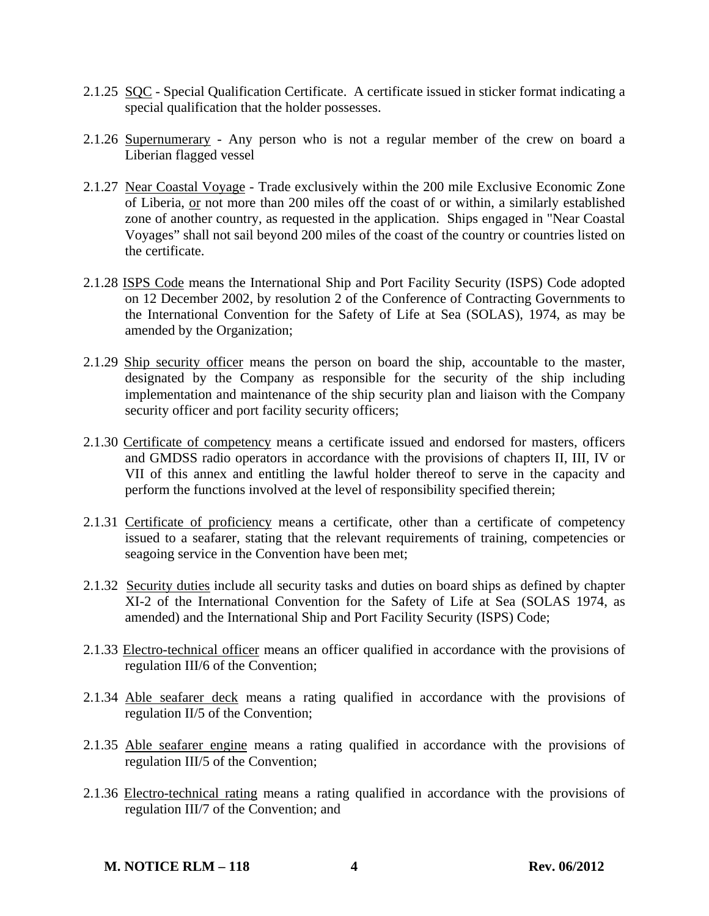- 2.1.25 SQC Special Qualification Certificate. A certificate issued in sticker format indicating a special qualification that the holder possesses.
- 2.1.26 Supernumerary Any person who is not a regular member of the crew on board a Liberian flagged vessel
- 2.1.27 Near Coastal Voyage Trade exclusively within the 200 mile Exclusive Economic Zone of Liberia, or not more than 200 miles off the coast of or within, a similarly established zone of another country, as requested in the application. Ships engaged in "Near Coastal Voyages" shall not sail beyond 200 miles of the coast of the country or countries listed on the certificate.
- 2.1.28 ISPS Code means the International Ship and Port Facility Security (ISPS) Code adopted on 12 December 2002, by resolution 2 of the Conference of Contracting Governments to the International Convention for the Safety of Life at Sea (SOLAS), 1974, as may be amended by the Organization;
- 2.1.29 Ship security officer means the person on board the ship, accountable to the master, designated by the Company as responsible for the security of the ship including implementation and maintenance of the ship security plan and liaison with the Company security officer and port facility security officers;
- 2.1.30 Certificate of competency means a certificate issued and endorsed for masters, officers and GMDSS radio operators in accordance with the provisions of chapters II, III, IV or VII of this annex and entitling the lawful holder thereof to serve in the capacity and perform the functions involved at the level of responsibility specified therein;
- 2.1.31 Certificate of proficiency means a certificate, other than a certificate of competency issued to a seafarer, stating that the relevant requirements of training, competencies or seagoing service in the Convention have been met;
- 2.1.32 Security duties include all security tasks and duties on board ships as defined by chapter XI-2 of the International Convention for the Safety of Life at Sea (SOLAS 1974, as amended) and the International Ship and Port Facility Security (ISPS) Code;
- 2.1.33 Electro-technical officer means an officer qualified in accordance with the provisions of regulation III/6 of the Convention;
- 2.1.34 Able seafarer deck means a rating qualified in accordance with the provisions of regulation II/5 of the Convention;
- 2.1.35 Able seafarer engine means a rating qualified in accordance with the provisions of regulation III/5 of the Convention;
- 2.1.36 Electro-technical rating means a rating qualified in accordance with the provisions of regulation III/7 of the Convention; and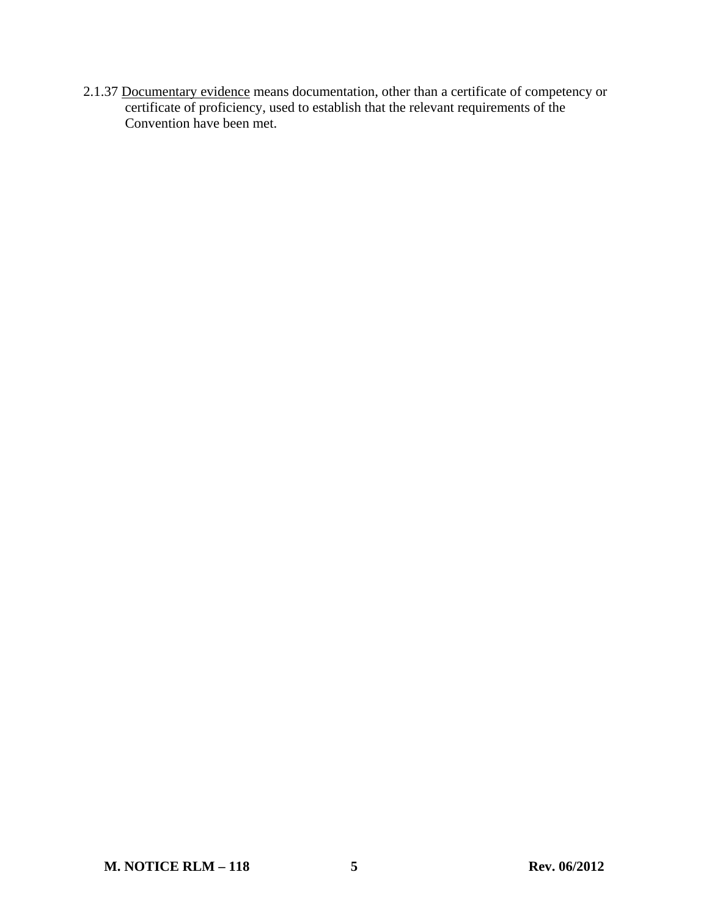2.1.37 Documentary evidence means documentation, other than a certificate of competency or certificate of proficiency, used to establish that the relevant requirements of the Convention have been met.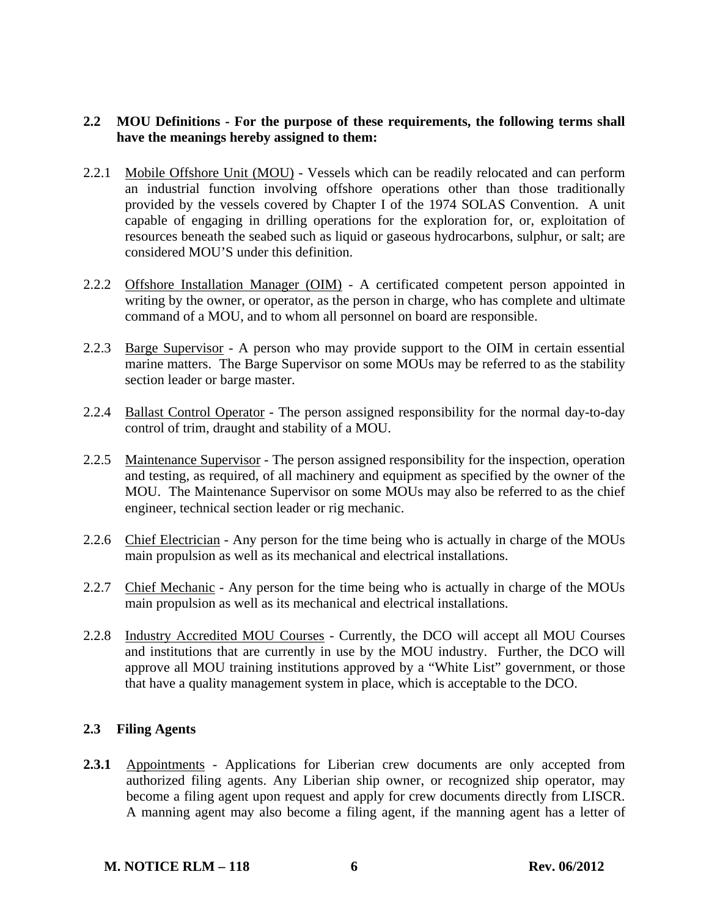# **2.2 MOU Definitions - For the purpose of these requirements, the following terms shall have the meanings hereby assigned to them:**

- 2.2.1 Mobile Offshore Unit (MOU) Vessels which can be readily relocated and can perform an industrial function involving offshore operations other than those traditionally provided by the vessels covered by Chapter I of the 1974 SOLAS Convention. A unit capable of engaging in drilling operations for the exploration for, or, exploitation of resources beneath the seabed such as liquid or gaseous hydrocarbons, sulphur, or salt; are considered MOU'S under this definition.
- 2.2.2 Offshore Installation Manager (OIM) A certificated competent person appointed in writing by the owner, or operator, as the person in charge, who has complete and ultimate command of a MOU, and to whom all personnel on board are responsible.
- 2.2.3 Barge Supervisor A person who may provide support to the OIM in certain essential marine matters. The Barge Supervisor on some MOUs may be referred to as the stability section leader or barge master.
- 2.2.4 Ballast Control Operator The person assigned responsibility for the normal day-to-day control of trim, draught and stability of a MOU.
- 2.2.5 Maintenance Supervisor The person assigned responsibility for the inspection, operation and testing, as required, of all machinery and equipment as specified by the owner of the MOU. The Maintenance Supervisor on some MOUs may also be referred to as the chief engineer, technical section leader or rig mechanic.
- 2.2.6 Chief Electrician Any person for the time being who is actually in charge of the MOUs main propulsion as well as its mechanical and electrical installations.
- 2.2.7 Chief Mechanic Any person for the time being who is actually in charge of the MOUs main propulsion as well as its mechanical and electrical installations.
- 2.2.8 Industry Accredited MOU Courses Currently, the DCO will accept all MOU Courses and institutions that are currently in use by the MOU industry. Further, the DCO will approve all MOU training institutions approved by a "White List" government, or those that have a quality management system in place, which is acceptable to the DCO.

# **2.3 Filing Agents**

**2.3.1** Appointments - Applications for Liberian crew documents are only accepted from authorized filing agents. Any Liberian ship owner, or recognized ship operator, may become a filing agent upon request and apply for crew documents directly from LISCR. A manning agent may also become a filing agent, if the manning agent has a letter of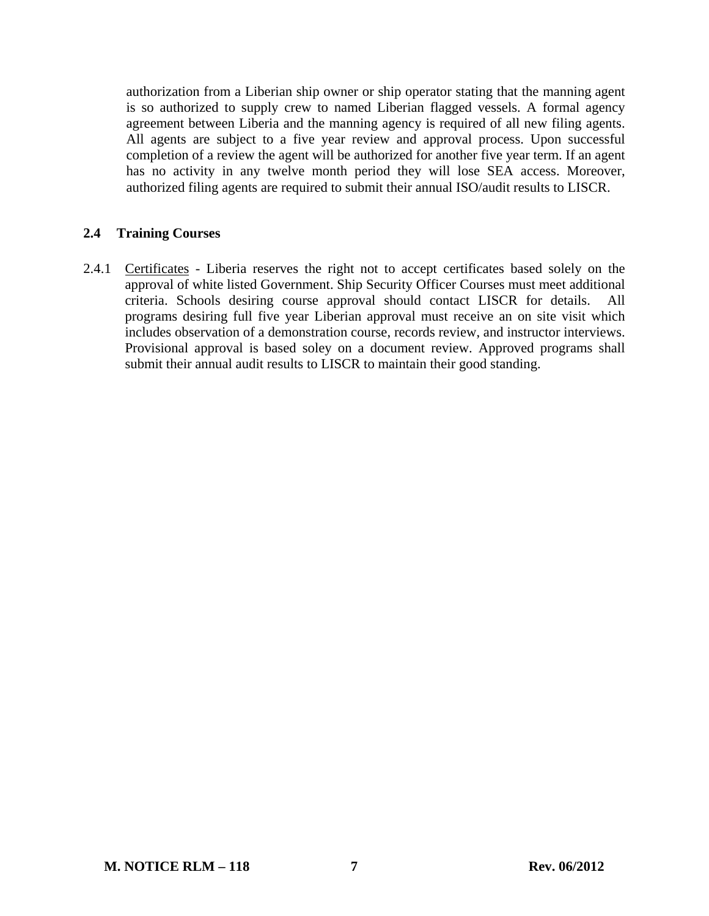authorization from a Liberian ship owner or ship operator stating that the manning agent is so authorized to supply crew to named Liberian flagged vessels. A formal agency agreement between Liberia and the manning agency is required of all new filing agents. All agents are subject to a five year review and approval process. Upon successful completion of a review the agent will be authorized for another five year term. If an agent has no activity in any twelve month period they will lose SEA access. Moreover, authorized filing agents are required to submit their annual ISO/audit results to LISCR.

# **2.4 Training Courses**

2.4.1 Certificates - Liberia reserves the right not to accept certificates based solely on the approval of white listed Government. Ship Security Officer Courses must meet additional criteria. Schools desiring course approval should contact LISCR for details. All programs desiring full five year Liberian approval must receive an on site visit which includes observation of a demonstration course, records review, and instructor interviews. Provisional approval is based soley on a document review. Approved programs shall submit their annual audit results to LISCR to maintain their good standing.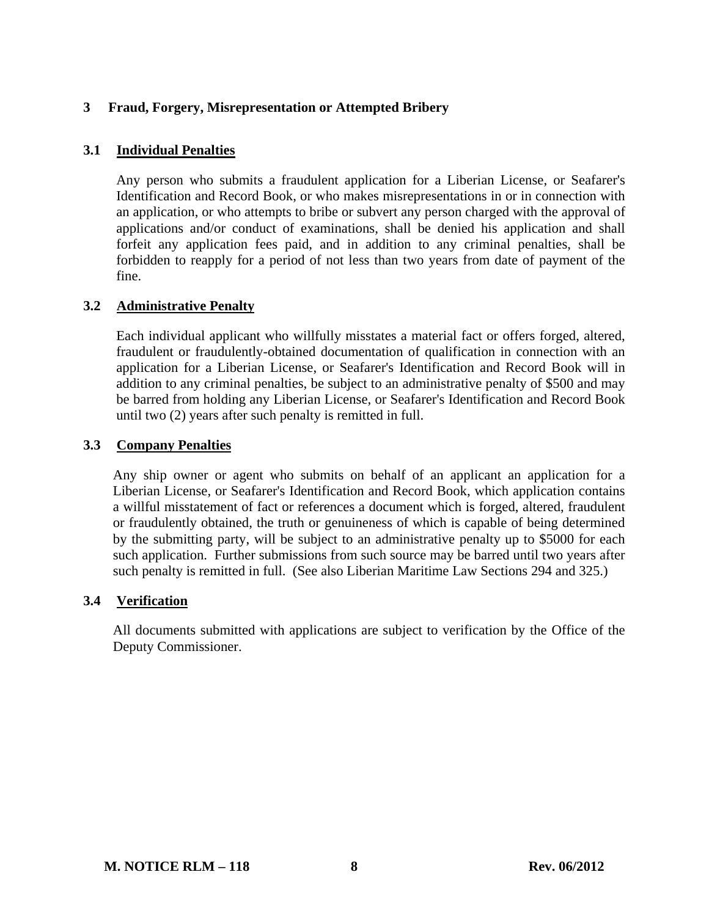# **3 Fraud, Forgery, Misrepresentation or Attempted Bribery**

### **3.1 Individual Penalties**

Any person who submits a fraudulent application for a Liberian License, or Seafarer's Identification and Record Book, or who makes misrepresentations in or in connection with an application, or who attempts to bribe or subvert any person charged with the approval of applications and/or conduct of examinations, shall be denied his application and shall forfeit any application fees paid, and in addition to any criminal penalties, shall be forbidden to reapply for a period of not less than two years from date of payment of the fine.

### **3.2 Administrative Penalty**

Each individual applicant who willfully misstates a material fact or offers forged, altered, fraudulent or fraudulently-obtained documentation of qualification in connection with an application for a Liberian License, or Seafarer's Identification and Record Book will in addition to any criminal penalties, be subject to an administrative penalty of \$500 and may be barred from holding any Liberian License, or Seafarer's Identification and Record Book until two (2) years after such penalty is remitted in full.

# **3.3 Company Penalties**

Any ship owner or agent who submits on behalf of an applicant an application for a Liberian License, or Seafarer's Identification and Record Book, which application contains a willful misstatement of fact or references a document which is forged, altered, fraudulent or fraudulently obtained, the truth or genuineness of which is capable of being determined by the submitting party, will be subject to an administrative penalty up to \$5000 for each such application. Further submissions from such source may be barred until two years after such penalty is remitted in full. (See also Liberian Maritime Law Sections 294 and 325.)

### **3.4 Verification**

All documents submitted with applications are subject to verification by the Office of the Deputy Commissioner.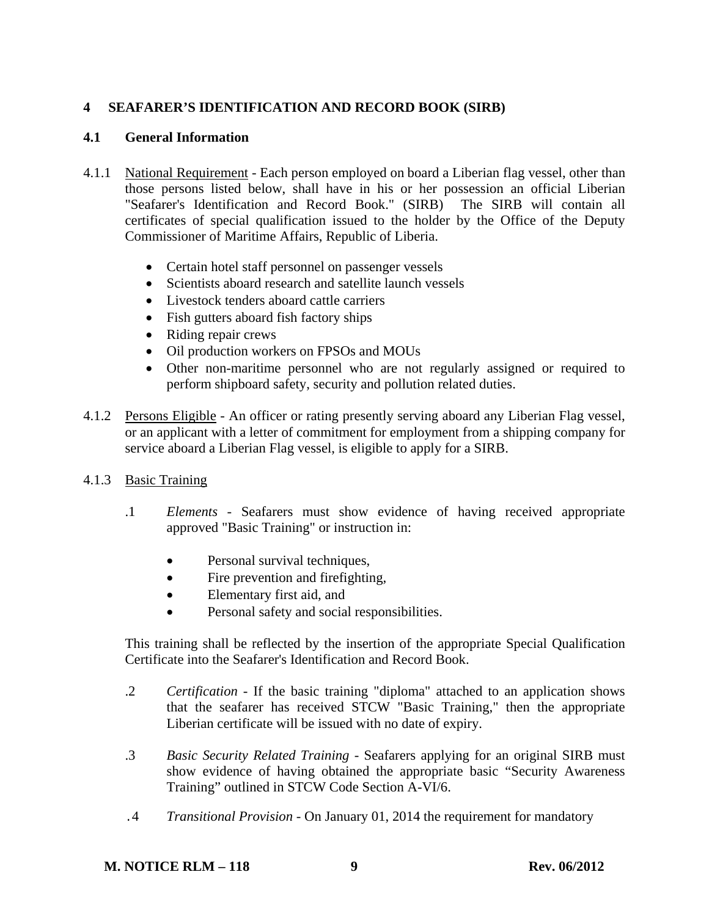# **4 SEAFARER'S IDENTIFICATION AND RECORD BOOK (SIRB)**

# **4.1 General Information**

- 4.1.1 National Requirement Each person employed on board a Liberian flag vessel, other than those persons listed below, shall have in his or her possession an official Liberian "Seafarer's Identification and Record Book." (SIRB) The SIRB will contain all certificates of special qualification issued to the holder by the Office of the Deputy Commissioner of Maritime Affairs, Republic of Liberia.
	- Certain hotel staff personnel on passenger vessels
	- Scientists aboard research and satellite launch vessels
	- Livestock tenders aboard cattle carriers
	- Fish gutters aboard fish factory ships
	- Riding repair crews
	- Oil production workers on FPSOs and MOUs
	- Other non-maritime personnel who are not regularly assigned or required to perform shipboard safety, security and pollution related duties.
- 4.1.2 Persons Eligible An officer or rating presently serving aboard any Liberian Flag vessel, or an applicant with a letter of commitment for employment from a shipping company for service aboard a Liberian Flag vessel, is eligible to apply for a SIRB.
- 4.1.3 Basic Training
	- .1 *Elements* Seafarers must show evidence of having received appropriate approved "Basic Training" or instruction in:
		- Personal survival techniques,
		- Fire prevention and firefighting,
		- Elementary first aid, and
		- Personal safety and social responsibilities.

 This training shall be reflected by the insertion of the appropriate Special Qualification Certificate into the Seafarer's Identification and Record Book.

- .2 *Certification* If the basic training "diploma" attached to an application shows that the seafarer has received STCW "Basic Training," then the appropriate Liberian certificate will be issued with no date of expiry.
- .3 *Basic Security Related Training -* Seafarers applying for an original SIRB must show evidence of having obtained the appropriate basic "Security Awareness Training" outlined in STCW Code Section A-VI/6.
- .4 *Transitional Provision -* On January 01, 2014 the requirement for mandatory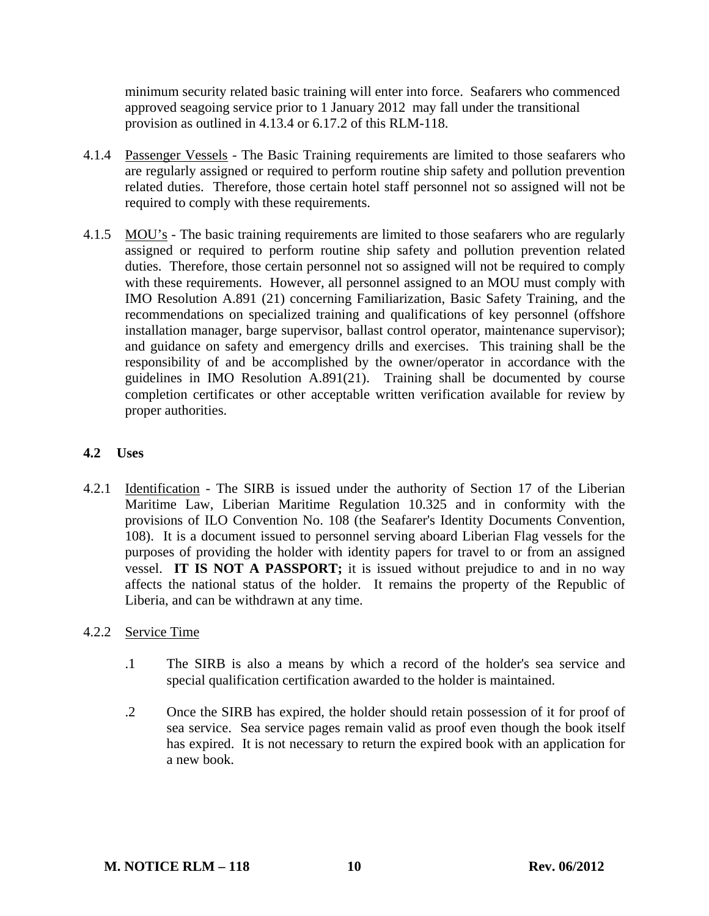minimum security related basic training will enter into force. Seafarers who commenced approved seagoing service prior to 1 January 2012 may fall under the transitional provision as outlined in 4.13.4 or 6.17.2 of this RLM-118.

- 4.1.4 Passenger Vessels The Basic Training requirements are limited to those seafarers who are regularly assigned or required to perform routine ship safety and pollution prevention related duties. Therefore, those certain hotel staff personnel not so assigned will not be required to comply with these requirements.
- 4.1.5 MOU's The basic training requirements are limited to those seafarers who are regularly assigned or required to perform routine ship safety and pollution prevention related duties. Therefore, those certain personnel not so assigned will not be required to comply with these requirements. However, all personnel assigned to an MOU must comply with IMO Resolution A.891 (21) concerning Familiarization, Basic Safety Training, and the recommendations on specialized training and qualifications of key personnel (offshore installation manager, barge supervisor, ballast control operator, maintenance supervisor); and guidance on safety and emergency drills and exercises. This training shall be the responsibility of and be accomplished by the owner/operator in accordance with the guidelines in IMO Resolution A.891(21). Training shall be documented by course completion certificates or other acceptable written verification available for review by proper authorities.

# **4.2 Uses**

4.2.1 Identification - The SIRB is issued under the authority of Section 17 of the Liberian Maritime Law, Liberian Maritime Regulation 10.325 and in conformity with the provisions of ILO Convention No. 108 (the Seafarer's Identity Documents Convention, 108). It is a document issued to personnel serving aboard Liberian Flag vessels for the purposes of providing the holder with identity papers for travel to or from an assigned vessel. **IT IS NOT A PASSPORT;** it is issued without prejudice to and in no way affects the national status of the holder. It remains the property of the Republic of Liberia, and can be withdrawn at any time.

# 4.2.2 Service Time

- .1 The SIRB is also a means by which a record of the holder's sea service and special qualification certification awarded to the holder is maintained.
- .2 Once the SIRB has expired, the holder should retain possession of it for proof of sea service. Sea service pages remain valid as proof even though the book itself has expired. It is not necessary to return the expired book with an application for a new book.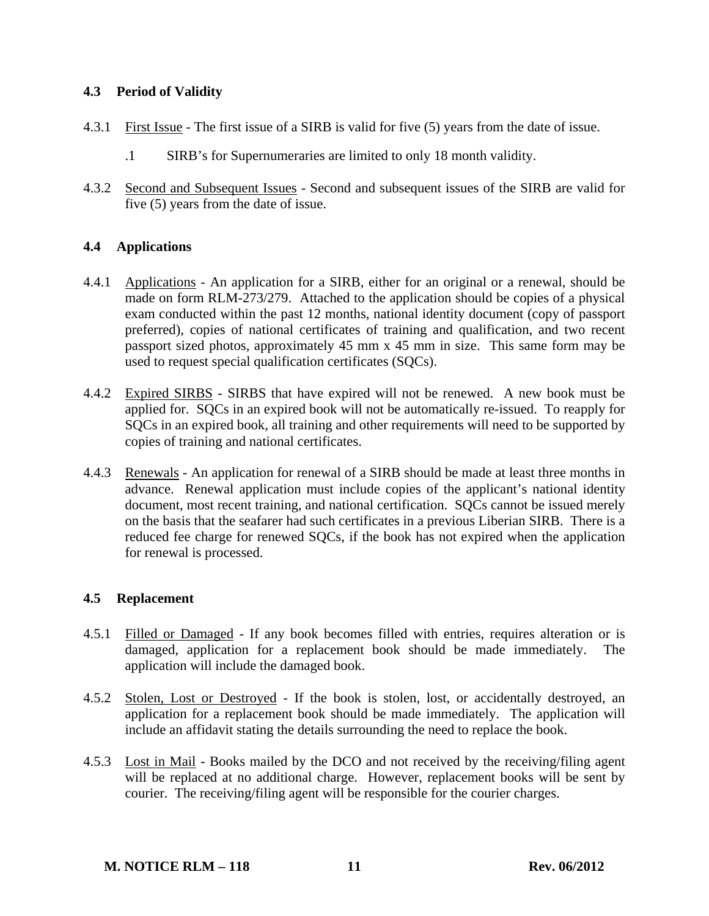# **4.3 Period of Validity**

- 4.3.1 First Issue The first issue of a SIRB is valid for five (5) years from the date of issue.
	- .1 SIRB's for Supernumeraries are limited to only 18 month validity.
- 4.3.2 Second and Subsequent Issues Second and subsequent issues of the SIRB are valid for five (5) years from the date of issue.

# **4.4 Applications**

- 4.4.1 Applications An application for a SIRB, either for an original or a renewal, should be made on form RLM-273/279. Attached to the application should be copies of a physical exam conducted within the past 12 months, national identity document (copy of passport preferred), copies of national certificates of training and qualification, and two recent passport sized photos, approximately 45 mm x 45 mm in size. This same form may be used to request special qualification certificates (SQCs).
- 4.4.2 Expired SIRBS SIRBS that have expired will not be renewed. A new book must be applied for. SQCs in an expired book will not be automatically re-issued. To reapply for SQCs in an expired book, all training and other requirements will need to be supported by copies of training and national certificates.
- 4.4.3 Renewals An application for renewal of a SIRB should be made at least three months in advance. Renewal application must include copies of the applicant's national identity document, most recent training, and national certification. SOCs cannot be issued merely on the basis that the seafarer had such certificates in a previous Liberian SIRB. There is a reduced fee charge for renewed SQCs, if the book has not expired when the application for renewal is processed.

# **4.5 Replacement**

- 4.5.1 Filled or Damaged If any book becomes filled with entries, requires alteration or is damaged, application for a replacement book should be made immediately. The application will include the damaged book.
- 4.5.2 Stolen, Lost or Destroyed If the book is stolen, lost, or accidentally destroyed, an application for a replacement book should be made immediately. The application will include an affidavit stating the details surrounding the need to replace the book.
- 4.5.3 Lost in Mail Books mailed by the DCO and not received by the receiving/filing agent will be replaced at no additional charge. However, replacement books will be sent by courier. The receiving/filing agent will be responsible for the courier charges.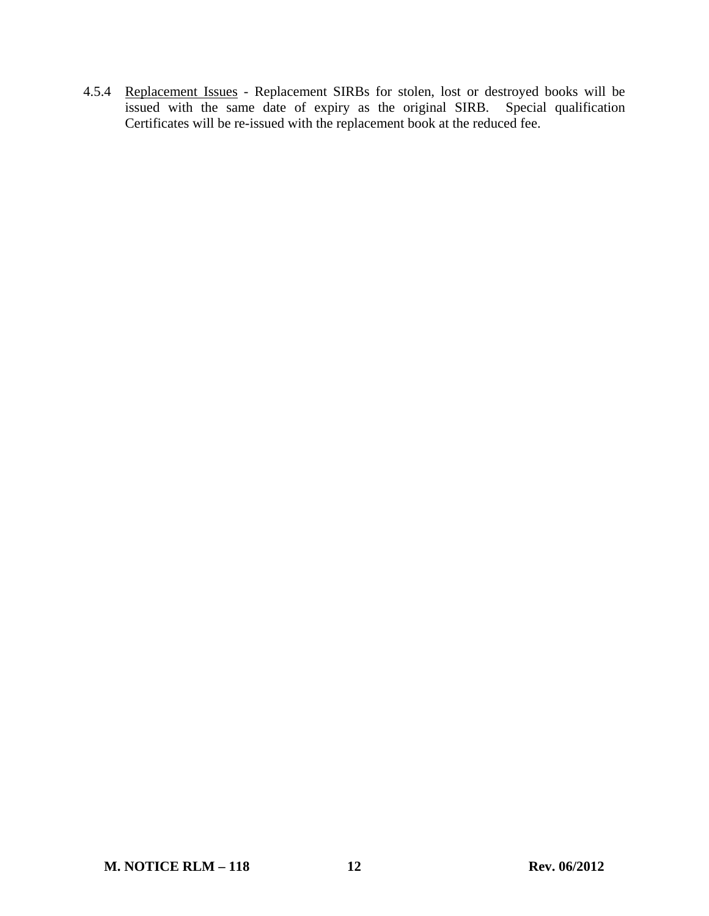4.5.4 Replacement Issues - Replacement SIRBs for stolen, lost or destroyed books will be issued with the same date of expiry as the original SIRB. Special qualification Certificates will be re-issued with the replacement book at the reduced fee.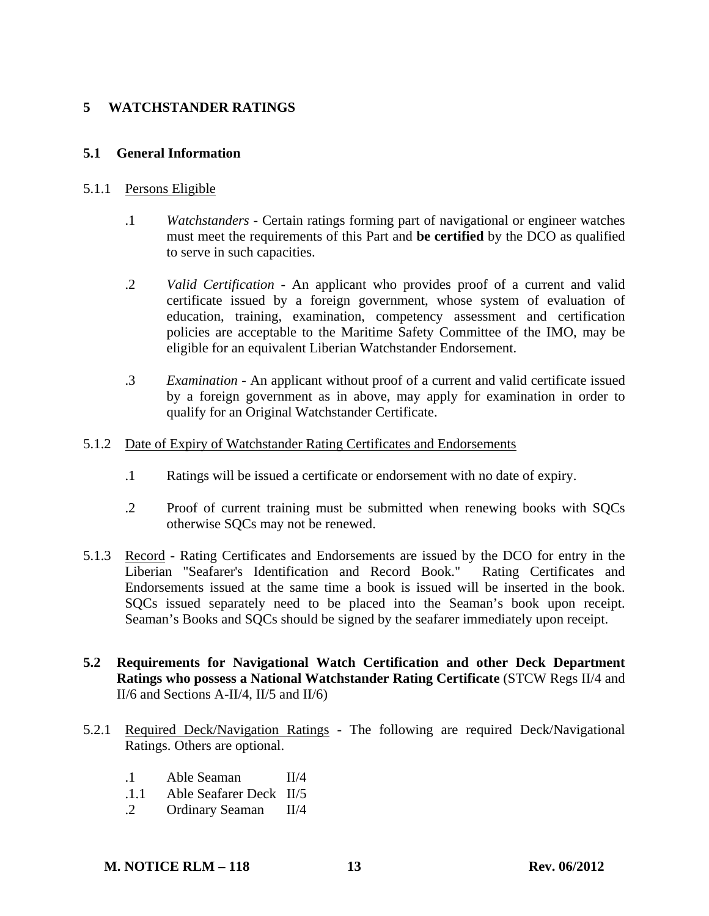# **5 WATCHSTANDER RATINGS**

### **5.1 General Information**

### 5.1.1 Persons Eligible

- .1 *Watchstanders* Certain ratings forming part of navigational or engineer watches must meet the requirements of this Part and **be certified** by the DCO as qualified to serve in such capacities.
- .2 *Valid Certification* An applicant who provides proof of a current and valid certificate issued by a foreign government, whose system of evaluation of education, training, examination, competency assessment and certification policies are acceptable to the Maritime Safety Committee of the IMO, may be eligible for an equivalent Liberian Watchstander Endorsement.
- .3 *Examination* An applicant without proof of a current and valid certificate issued by a foreign government as in above, may apply for examination in order to qualify for an Original Watchstander Certificate.

### 5.1.2 Date of Expiry of Watchstander Rating Certificates and Endorsements

- .1 Ratings will be issued a certificate or endorsement with no date of expiry.
- .2 Proof of current training must be submitted when renewing books with SQCs otherwise SQCs may not be renewed.
- 5.1.3 Record Rating Certificates and Endorsements are issued by the DCO for entry in the Liberian "Seafarer's Identification and Record Book." Rating Certificates and Endorsements issued at the same time a book is issued will be inserted in the book. SQCs issued separately need to be placed into the Seaman's book upon receipt. Seaman's Books and SQCs should be signed by the seafarer immediately upon receipt.
- **5.2 Requirements for Navigational Watch Certification and other Deck Department Ratings who possess a National Watchstander Rating Certificate** (STCW Regs II/4 and II/6 and Sections A-II/4, II/5 and II/6)
- 5.2.1 Required Deck/Navigation Ratings The following are required Deck/Navigational Ratings. Others are optional.
	- .1 Able Seaman II/4
	- .1.1 Able Seafarer Deck II/5
	- .2 Ordinary Seaman II/4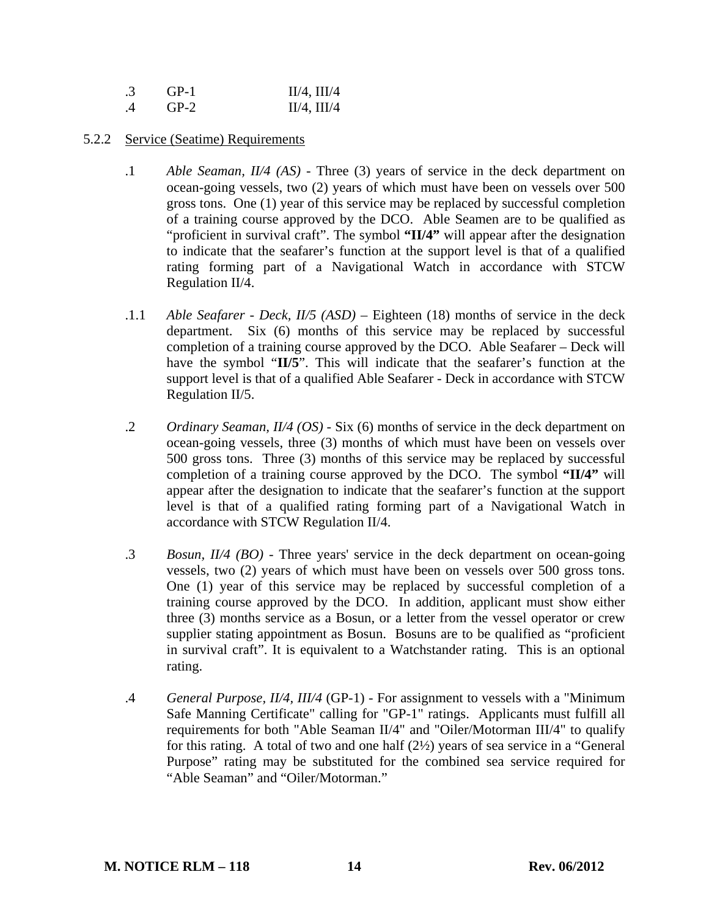| .3 | $GP-1$ | $II/4$ , $III/4$ |
|----|--------|------------------|
| .4 | $GP-2$ | $II/4$ , $III/4$ |

### 5.2.2 Service (Seatime) Requirements

- .1 *Able Seaman, II/4 (AS)* Three (3) years of service in the deck department on ocean-going vessels, two (2) years of which must have been on vessels over 500 gross tons. One (1) year of this service may be replaced by successful completion of a training course approved by the DCO. Able Seamen are to be qualified as "proficient in survival craft". The symbol **"II/4"** will appear after the designation to indicate that the seafarer's function at the support level is that of a qualified rating forming part of a Navigational Watch in accordance with STCW Regulation II/4.
- .1.1 *Able Seafarer Deck, II/5 (ASD)* Eighteen (18) months of service in the deck department. Six (6) months of this service may be replaced by successful completion of a training course approved by the DCO. Able Seafarer – Deck will have the symbol "**II/5**". This will indicate that the seafarer's function at the support level is that of a qualified Able Seafarer - Deck in accordance with STCW Regulation II/5.
- .2 *Ordinary Seaman, II/4 (OS)* Six (6) months of service in the deck department on ocean-going vessels, three (3) months of which must have been on vessels over 500 gross tons. Three (3) months of this service may be replaced by successful completion of a training course approved by the DCO. The symbol **"II/4"** will appear after the designation to indicate that the seafarer's function at the support level is that of a qualified rating forming part of a Navigational Watch in accordance with STCW Regulation II/4.
- .3 *Bosun, II/4 (BO)* Three years' service in the deck department on ocean-going vessels, two (2) years of which must have been on vessels over 500 gross tons. One (1) year of this service may be replaced by successful completion of a training course approved by the DCO. In addition, applicant must show either three (3) months service as a Bosun, or a letter from the vessel operator or crew supplier stating appointment as Bosun. Bosuns are to be qualified as "proficient in survival craft". It is equivalent to a Watchstander rating. This is an optional rating.
- .4 *General Purpose, II/4, III/4* (GP-1) For assignment to vessels with a "Minimum Safe Manning Certificate" calling for "GP-1" ratings. Applicants must fulfill all requirements for both "Able Seaman II/4" and "Oiler/Motorman III/4" to qualify for this rating. A total of two and one half (2½) years of sea service in a "General Purpose" rating may be substituted for the combined sea service required for "Able Seaman" and "Oiler/Motorman."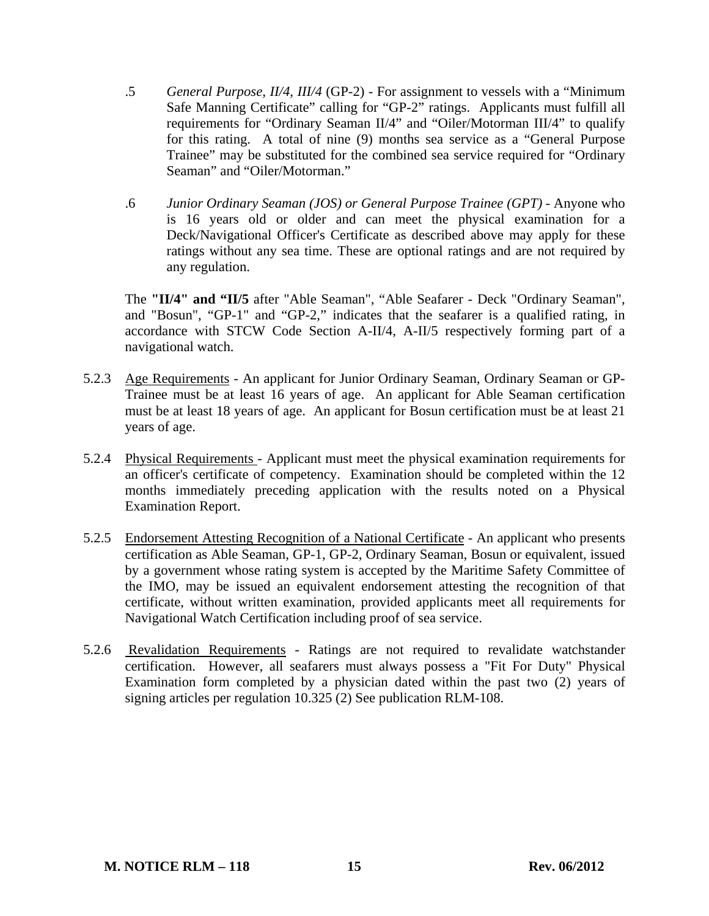- .5 *General Purpose, II/4, III/4* (GP-2) For assignment to vessels with a "Minimum Safe Manning Certificate" calling for "GP-2" ratings. Applicants must fulfill all requirements for "Ordinary Seaman II/4" and "Oiler/Motorman III/4" to qualify for this rating. A total of nine (9) months sea service as a "General Purpose Trainee" may be substituted for the combined sea service required for "Ordinary Seaman" and "Oiler/Motorman."
- .6 *Junior Ordinary Seaman (JOS) or General Purpose Trainee (GPT)* Anyone who is 16 years old or older and can meet the physical examination for a Deck/Navigational Officer's Certificate as described above may apply for these ratings without any sea time. These are optional ratings and are not required by any regulation.

The **"II/4" and "II/5** after "Able Seaman", "Able Seafarer - Deck "Ordinary Seaman", and "Bosun", "GP-1" and "GP-2," indicates that the seafarer is a qualified rating, in accordance with STCW Code Section A-II/4, A-II/5 respectively forming part of a navigational watch.

- 5.2.3 Age Requirements An applicant for Junior Ordinary Seaman, Ordinary Seaman or GP-Trainee must be at least 16 years of age. An applicant for Able Seaman certification must be at least 18 years of age. An applicant for Bosun certification must be at least 21 years of age.
- 5.2.4 Physical Requirements Applicant must meet the physical examination requirements for an officer's certificate of competency. Examination should be completed within the 12 months immediately preceding application with the results noted on a Physical Examination Report.
- 5.2.5 Endorsement Attesting Recognition of a National Certificate An applicant who presents certification as Able Seaman, GP-1, GP-2, Ordinary Seaman, Bosun or equivalent, issued by a government whose rating system is accepted by the Maritime Safety Committee of the IMO, may be issued an equivalent endorsement attesting the recognition of that certificate, without written examination, provided applicants meet all requirements for Navigational Watch Certification including proof of sea service.
- 5.2.6 Revalidation Requirements Ratings are not required to revalidate watchstander certification. However, all seafarers must always possess a "Fit For Duty" Physical Examination form completed by a physician dated within the past two (2) years of signing articles per regulation 10.325 (2) See publication RLM-108.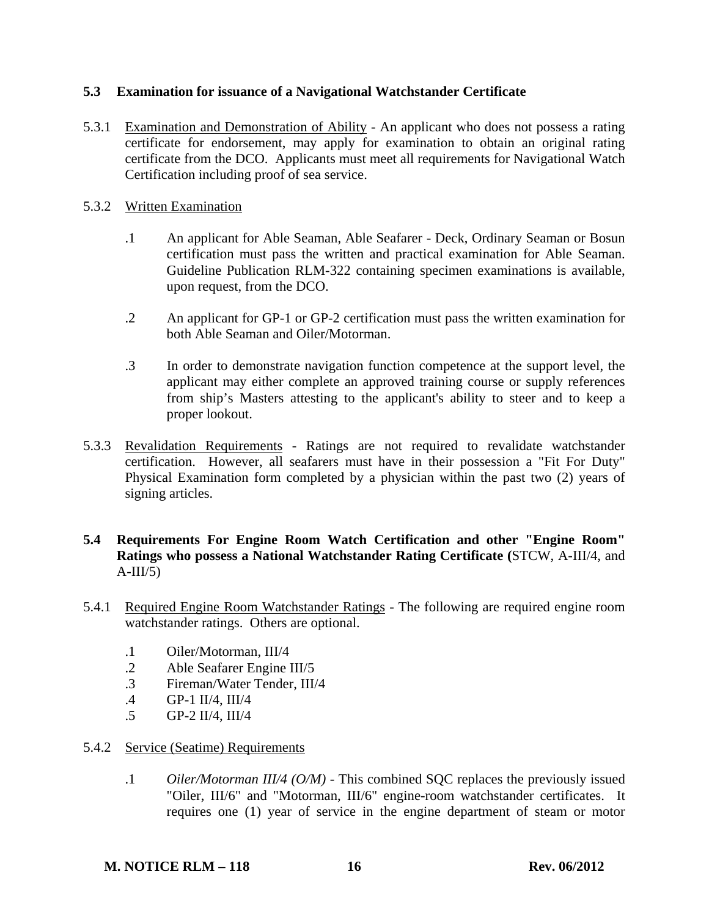# **5.3 Examination for issuance of a Navigational Watchstander Certificate**

5.3.1 Examination and Demonstration of Ability - An applicant who does not possess a rating certificate for endorsement, may apply for examination to obtain an original rating certificate from the DCO. Applicants must meet all requirements for Navigational Watch Certification including proof of sea service.

### 5.3.2 Written Examination

- .1 An applicant for Able Seaman, Able Seafarer Deck, Ordinary Seaman or Bosun certification must pass the written and practical examination for Able Seaman. Guideline Publication RLM-322 containing specimen examinations is available, upon request, from the DCO.
- .2 An applicant for GP-1 or GP-2 certification must pass the written examination for both Able Seaman and Oiler/Motorman.
- .3 In order to demonstrate navigation function competence at the support level, the applicant may either complete an approved training course or supply references from ship's Masters attesting to the applicant's ability to steer and to keep a proper lookout.
- 5.3.3 Revalidation Requirements Ratings are not required to revalidate watchstander certification. However, all seafarers must have in their possession a "Fit For Duty" Physical Examination form completed by a physician within the past two (2) years of signing articles.

# **5.4 Requirements For Engine Room Watch Certification and other "Engine Room" Ratings who possess a National Watchstander Rating Certificate (**STCW, A-III/4, and  $A-III/5$ )

- 5.4.1 Required Engine Room Watchstander Ratings The following are required engine room watchstander ratings. Others are optional.
	- .1 Oiler/Motorman, III/4
	- .2 Able Seafarer Engine III/5
	- .3 Fireman/Water Tender, III/4
	- .4 GP-1 II/4, III/4
	- .5 GP-2 II/4, III/4

### 5.4.2 Service (Seatime) Requirements

 .1 *Oiler/Motorman III/4 (O/M)* - This combined SQC replaces the previously issued "Oiler, III/6" and "Motorman, III/6" engine-room watchstander certificates. It requires one (1) year of service in the engine department of steam or motor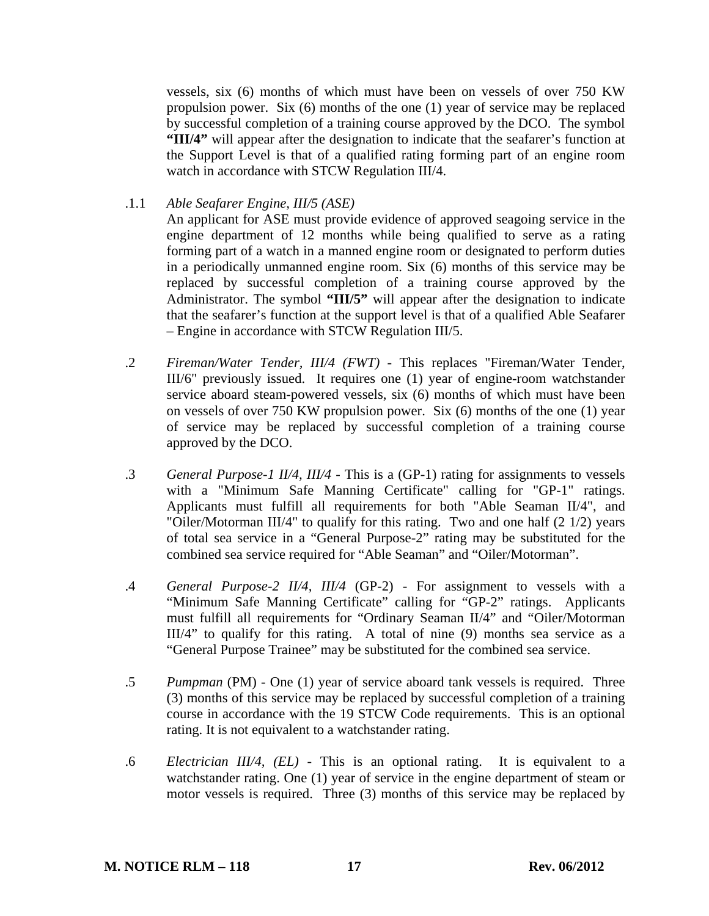vessels, six (6) months of which must have been on vessels of over 750 KW propulsion power. Six (6) months of the one (1) year of service may be replaced by successful completion of a training course approved by the DCO. The symbol **"III/4"** will appear after the designation to indicate that the seafarer's function at the Support Level is that of a qualified rating forming part of an engine room watch in accordance with STCW Regulation III/4.

.1.1 *Able Seafarer Engine, III/5 (ASE)* 

 An applicant for ASE must provide evidence of approved seagoing service in the engine department of 12 months while being qualified to serve as a rating forming part of a watch in a manned engine room or designated to perform duties in a periodically unmanned engine room. Six (6) months of this service may be replaced by successful completion of a training course approved by the Administrator. The symbol **"III/5"** will appear after the designation to indicate that the seafarer's function at the support level is that of a qualified Able Seafarer – Engine in accordance with STCW Regulation III/5.

- .2 *Fireman/Water Tender, III/4 (FWT)* This replaces "Fireman/Water Tender, III/6" previously issued. It requires one (1) year of engine-room watchstander service aboard steam-powered vessels, six (6) months of which must have been on vessels of over 750 KW propulsion power. Six (6) months of the one (1) year of service may be replaced by successful completion of a training course approved by the DCO.
- .3 *General Purpose-1 II/4, III/4* This is a (GP-1) rating for assignments to vessels with a "Minimum Safe Manning Certificate" calling for "GP-1" ratings. Applicants must fulfill all requirements for both "Able Seaman II/4", and "Oiler/Motorman III/4" to qualify for this rating. Two and one half (2 1/2) years of total sea service in a "General Purpose-2" rating may be substituted for the combined sea service required for "Able Seaman" and "Oiler/Motorman".
- .4 *General Purpose-2 II/4, III/4* (GP-2) For assignment to vessels with a "Minimum Safe Manning Certificate" calling for "GP-2" ratings. Applicants must fulfill all requirements for "Ordinary Seaman II/4" and "Oiler/Motorman III/4" to qualify for this rating. A total of nine (9) months sea service as a "General Purpose Trainee" may be substituted for the combined sea service.
- .5 *Pumpman* (PM) One (1) year of service aboard tank vessels is required. Three (3) months of this service may be replaced by successful completion of a training course in accordance with the 19 STCW Code requirements. This is an optional rating. It is not equivalent to a watchstander rating.
- .6 *Electrician III/4, (EL)* This is an optional rating. It is equivalent to a watchstander rating. One (1) year of service in the engine department of steam or motor vessels is required. Three (3) months of this service may be replaced by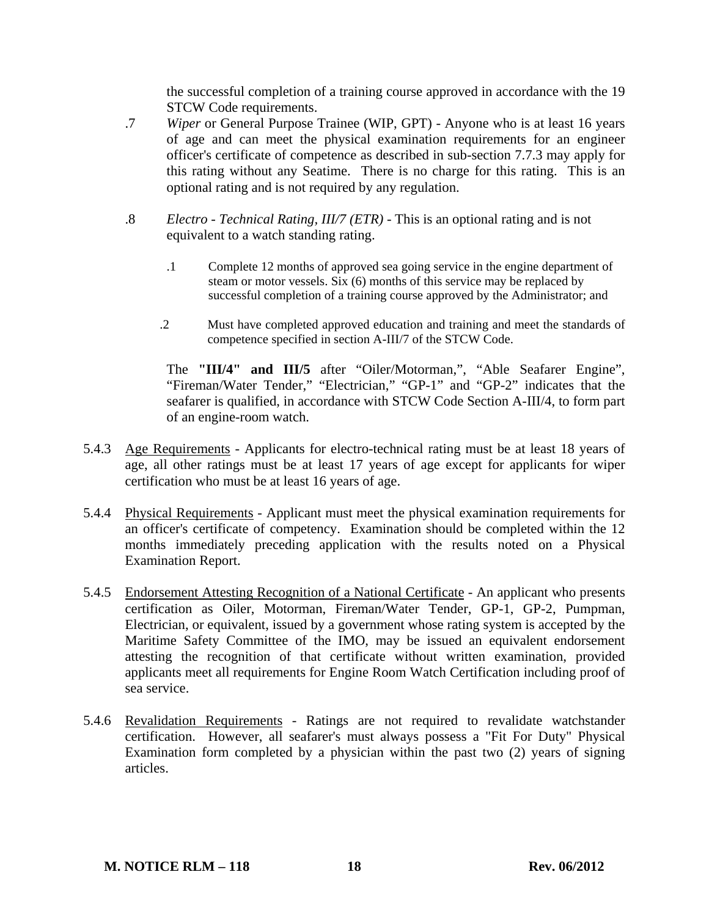the successful completion of a training course approved in accordance with the 19 STCW Code requirements.

- .7 *Wiper* or General Purpose Trainee (WIP, GPT) Anyone who is at least 16 years of age and can meet the physical examination requirements for an engineer officer's certificate of competence as described in sub-section 7.7.3 may apply for this rating without any Seatime. There is no charge for this rating. This is an optional rating and is not required by any regulation.
- .8 *Electro Technical Rating, III/7 (ETR)* This is an optional rating and is not equivalent to a watch standing rating.
	- .1 Complete 12 months of approved sea going service in the engine department of steam or motor vessels. Six (6) months of this service may be replaced by successful completion of a training course approved by the Administrator; and
	- .2 Must have completed approved education and training and meet the standards of competence specified in section A-III/7 of the STCW Code.

The **"III/4" and III/5** after "Oiler/Motorman,", "Able Seafarer Engine", "Fireman/Water Tender," "Electrician," "GP-1" and "GP-2" indicates that the seafarer is qualified, in accordance with STCW Code Section A-III/4, to form part of an engine-room watch.

- 5.4.3 Age Requirements Applicants for electro-technical rating must be at least 18 years of age, all other ratings must be at least 17 years of age except for applicants for wiper certification who must be at least 16 years of age.
- 5.4.4 Physical Requirements Applicant must meet the physical examination requirements for an officer's certificate of competency. Examination should be completed within the 12 months immediately preceding application with the results noted on a Physical Examination Report.
- 5.4.5 Endorsement Attesting Recognition of a National Certificate An applicant who presents certification as Oiler, Motorman, Fireman/Water Tender, GP-1, GP-2, Pumpman, Electrician, or equivalent, issued by a government whose rating system is accepted by the Maritime Safety Committee of the IMO, may be issued an equivalent endorsement attesting the recognition of that certificate without written examination, provided applicants meet all requirements for Engine Room Watch Certification including proof of sea service.
- 5.4.6 Revalidation Requirements Ratings are not required to revalidate watchstander certification. However, all seafarer's must always possess a "Fit For Duty" Physical Examination form completed by a physician within the past two  $(2)$  years of signing articles.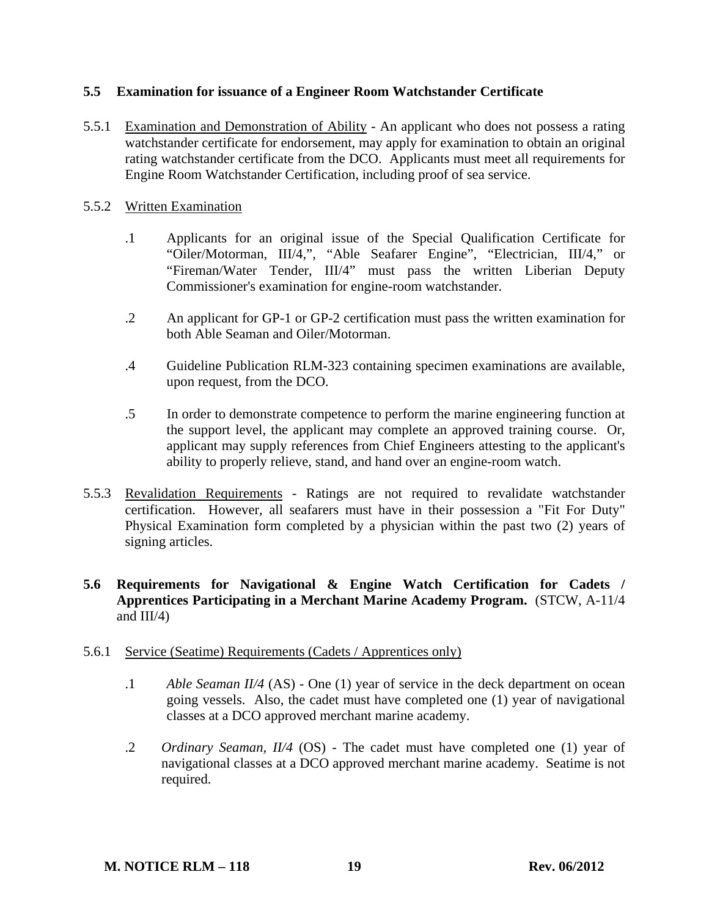# **5.5 Examination for issuance of a Engineer Room Watchstander Certificate**

5.5.1 Examination and Demonstration of Ability - An applicant who does not possess a rating watchstander certificate for endorsement, may apply for examination to obtain an original rating watchstander certificate from the DCO. Applicants must meet all requirements for Engine Room Watchstander Certification, including proof of sea service.

### 5.5.2 Written Examination

- .1 Applicants for an original issue of the Special Qualification Certificate for "Oiler/Motorman, III/4,", "Able Seafarer Engine", "Electrician, III/4," or "Fireman/Water Tender, III/4" must pass the written Liberian Deputy Commissioner's examination for engine-room watchstander.
- .2 An applicant for GP-1 or GP-2 certification must pass the written examination for both Able Seaman and Oiler/Motorman.
- .4 Guideline Publication RLM-323 containing specimen examinations are available, upon request, from the DCO.
- .5 In order to demonstrate competence to perform the marine engineering function at the support level, the applicant may complete an approved training course. Or, applicant may supply references from Chief Engineers attesting to the applicant's ability to properly relieve, stand, and hand over an engine-room watch.
- 5.5.3 Revalidation Requirements Ratings are not required to revalidate watchstander certification. However, all seafarers must have in their possession a "Fit For Duty" Physical Examination form completed by a physician within the past two (2) years of signing articles.

# **5.6 Requirements for Navigational & Engine Watch Certification for Cadets / Apprentices Participating in a Merchant Marine Academy Program.** (STCW, A-11/4 and III/4)

### 5.6.1 Service (Seatime) Requirements (Cadets / Apprentices only)

- .1 *Able Seaman II/4* (AS) One (1) year of service in the deck department on ocean going vessels. Also, the cadet must have completed one (1) year of navigational classes at a DCO approved merchant marine academy.
- .2 *Ordinary Seaman, II/4* (OS) The cadet must have completed one (1) year of navigational classes at a DCO approved merchant marine academy. Seatime is not required.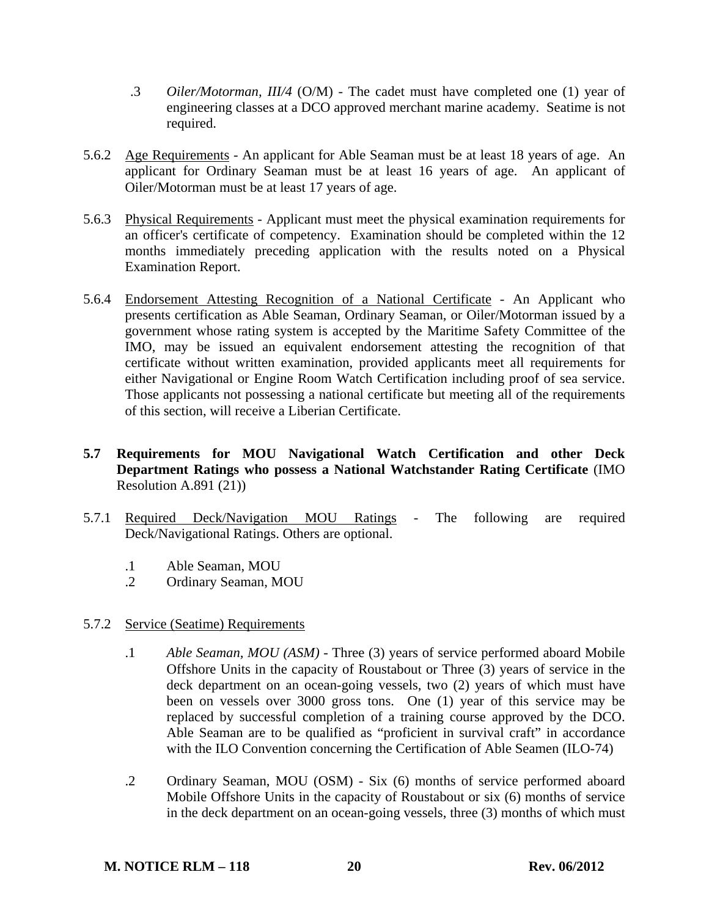- .3 *Oiler/Motorman, III/4* (O/M) The cadet must have completed one (1) year of engineering classes at a DCO approved merchant marine academy. Seatime is not required.
- 5.6.2 Age Requirements An applicant for Able Seaman must be at least 18 years of age. An applicant for Ordinary Seaman must be at least 16 years of age. An applicant of Oiler/Motorman must be at least 17 years of age.
- 5.6.3 Physical Requirements Applicant must meet the physical examination requirements for an officer's certificate of competency. Examination should be completed within the 12 months immediately preceding application with the results noted on a Physical Examination Report.
- 5.6.4 Endorsement Attesting Recognition of a National Certificate An Applicant who presents certification as Able Seaman, Ordinary Seaman, or Oiler/Motorman issued by a government whose rating system is accepted by the Maritime Safety Committee of the IMO, may be issued an equivalent endorsement attesting the recognition of that certificate without written examination, provided applicants meet all requirements for either Navigational or Engine Room Watch Certification including proof of sea service. Those applicants not possessing a national certificate but meeting all of the requirements of this section, will receive a Liberian Certificate.
- **5.7 Requirements for MOU Navigational Watch Certification and other Deck Department Ratings who possess a National Watchstander Rating Certificate** (IMO Resolution A.891 (21))
- 5.7.1 Required Deck/Navigation MOU Ratings The following are required Deck/Navigational Ratings. Others are optional.
	- .1 Able Seaman, MOU
	- .2 Ordinary Seaman, MOU
- 5.7.2 Service (Seatime) Requirements
	- .1 *Able Seaman, MOU (ASM)* Three (3) years of service performed aboard Mobile Offshore Units in the capacity of Roustabout or Three (3) years of service in the deck department on an ocean-going vessels, two (2) years of which must have been on vessels over 3000 gross tons. One (1) year of this service may be replaced by successful completion of a training course approved by the DCO. Able Seaman are to be qualified as "proficient in survival craft" in accordance with the ILO Convention concerning the Certification of Able Seamen (ILO-74)
	- .2 Ordinary Seaman, MOU (OSM) Six (6) months of service performed aboard Mobile Offshore Units in the capacity of Roustabout or six (6) months of service in the deck department on an ocean-going vessels, three (3) months of which must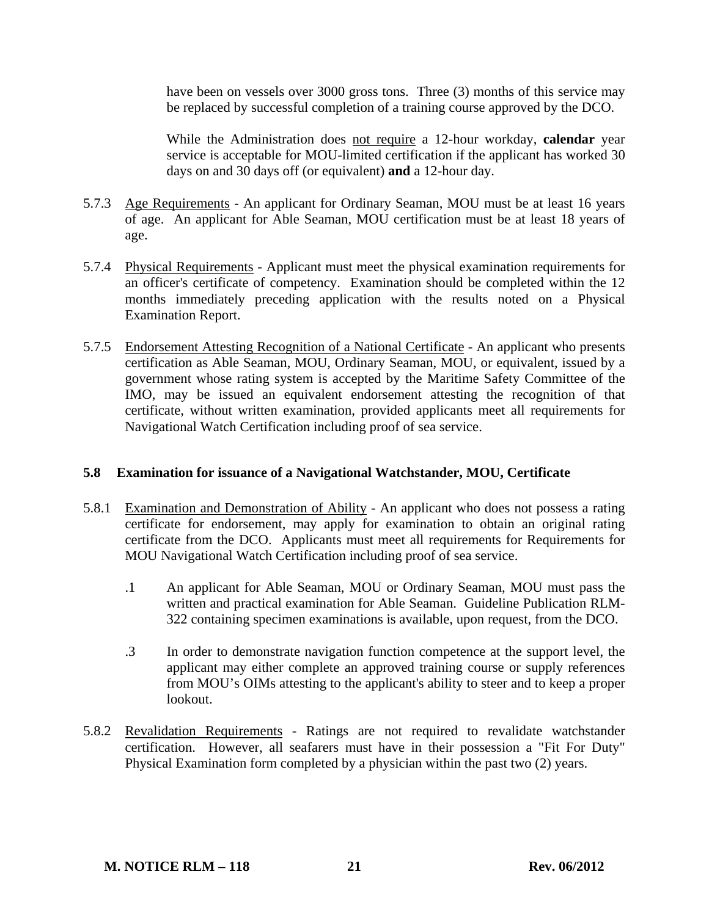have been on vessels over 3000 gross tons. Three (3) months of this service may be replaced by successful completion of a training course approved by the DCO.

 While the Administration does not require a 12-hour workday, **calendar** year service is acceptable for MOU-limited certification if the applicant has worked 30 days on and 30 days off (or equivalent) **and** a 12-hour day.

- 5.7.3 Age Requirements An applicant for Ordinary Seaman, MOU must be at least 16 years of age. An applicant for Able Seaman, MOU certification must be at least 18 years of age.
- 5.7.4 Physical Requirements Applicant must meet the physical examination requirements for an officer's certificate of competency. Examination should be completed within the 12 months immediately preceding application with the results noted on a Physical Examination Report.
- 5.7.5 Endorsement Attesting Recognition of a National Certificate An applicant who presents certification as Able Seaman, MOU, Ordinary Seaman, MOU, or equivalent, issued by a government whose rating system is accepted by the Maritime Safety Committee of the IMO, may be issued an equivalent endorsement attesting the recognition of that certificate, without written examination, provided applicants meet all requirements for Navigational Watch Certification including proof of sea service.

### **5.8 Examination for issuance of a Navigational Watchstander, MOU, Certificate**

- 5.8.1 Examination and Demonstration of Ability An applicant who does not possess a rating certificate for endorsement, may apply for examination to obtain an original rating certificate from the DCO. Applicants must meet all requirements for Requirements for MOU Navigational Watch Certification including proof of sea service.
	- .1 An applicant for Able Seaman, MOU or Ordinary Seaman, MOU must pass the written and practical examination for Able Seaman. Guideline Publication RLM-322 containing specimen examinations is available, upon request, from the DCO.
	- .3 In order to demonstrate navigation function competence at the support level, the applicant may either complete an approved training course or supply references from MOU's OIMs attesting to the applicant's ability to steer and to keep a proper lookout.
- 5.8.2 Revalidation Requirements Ratings are not required to revalidate watchstander certification. However, all seafarers must have in their possession a "Fit For Duty" Physical Examination form completed by a physician within the past two (2) years.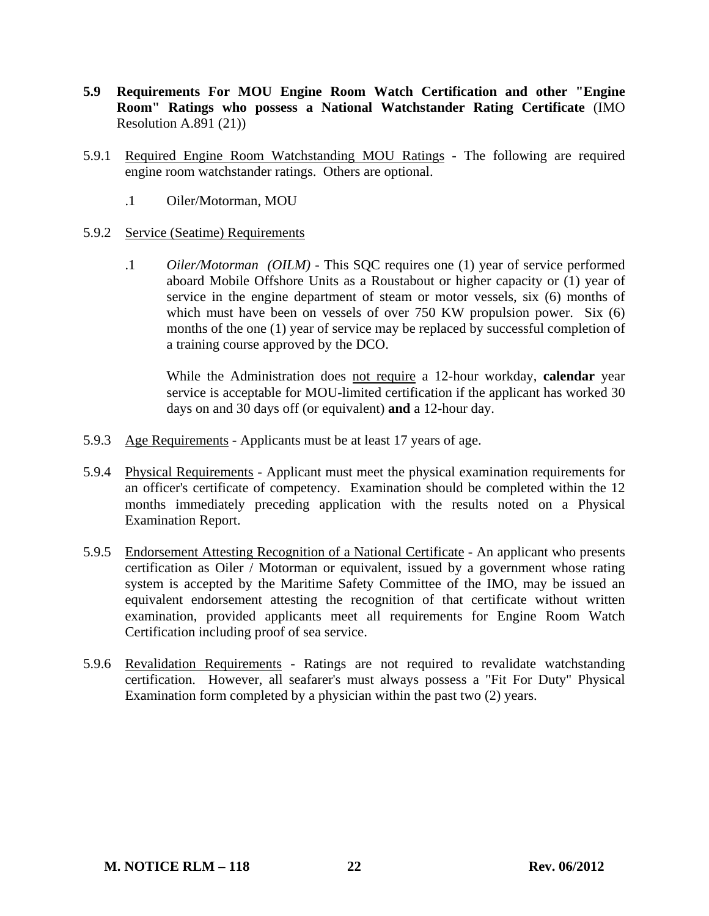- **5.9 Requirements For MOU Engine Room Watch Certification and other "Engine Room" Ratings who possess a National Watchstander Rating Certificate** (IMO Resolution A.891 (21))
- 5.9.1 Required Engine Room Watchstanding MOU Ratings The following are required engine room watchstander ratings. Others are optional.
	- .1 Oiler/Motorman, MOU

### 5.9.2 Service (Seatime) Requirements

 .1 *Oiler/Motorman (OILM)* - This SQC requires one (1) year of service performed aboard Mobile Offshore Units as a Roustabout or higher capacity or (1) year of service in the engine department of steam or motor vessels, six (6) months of which must have been on vessels of over 750 KW propulsion power. Six (6) months of the one (1) year of service may be replaced by successful completion of a training course approved by the DCO.

 While the Administration does not require a 12-hour workday, **calendar** year service is acceptable for MOU-limited certification if the applicant has worked 30 days on and 30 days off (or equivalent) **and** a 12-hour day.

- 5.9.3 Age Requirements Applicants must be at least 17 years of age.
- 5.9.4 Physical Requirements Applicant must meet the physical examination requirements for an officer's certificate of competency. Examination should be completed within the 12 months immediately preceding application with the results noted on a Physical Examination Report.
- 5.9.5 Endorsement Attesting Recognition of a National Certificate An applicant who presents certification as Oiler / Motorman or equivalent, issued by a government whose rating system is accepted by the Maritime Safety Committee of the IMO, may be issued an equivalent endorsement attesting the recognition of that certificate without written examination, provided applicants meet all requirements for Engine Room Watch Certification including proof of sea service.
- 5.9.6 Revalidation Requirements Ratings are not required to revalidate watchstanding certification. However, all seafarer's must always possess a "Fit For Duty" Physical Examination form completed by a physician within the past two (2) years.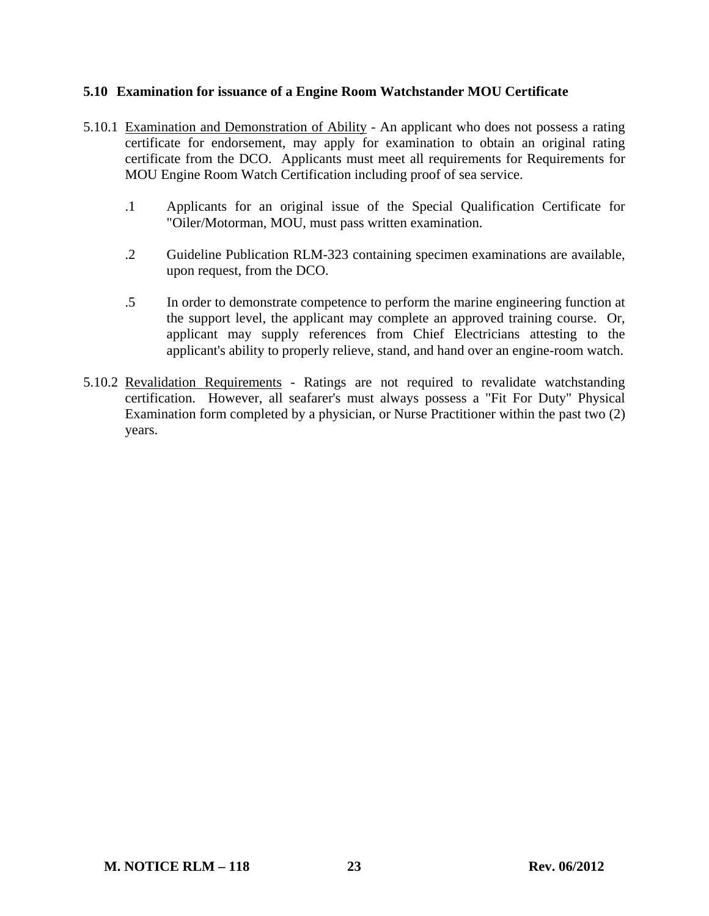# **5.10 Examination for issuance of a Engine Room Watchstander MOU Certificate**

- 5.10.1 Examination and Demonstration of Ability An applicant who does not possess a rating certificate for endorsement, may apply for examination to obtain an original rating certificate from the DCO. Applicants must meet all requirements for Requirements for MOU Engine Room Watch Certification including proof of sea service.
	- .1 Applicants for an original issue of the Special Qualification Certificate for "Oiler/Motorman, MOU, must pass written examination.
	- .2 Guideline Publication RLM-323 containing specimen examinations are available, upon request, from the DCO.
	- .5 In order to demonstrate competence to perform the marine engineering function at the support level, the applicant may complete an approved training course. Or, applicant may supply references from Chief Electricians attesting to the applicant's ability to properly relieve, stand, and hand over an engine-room watch.
- 5.10.2 Revalidation Requirements Ratings are not required to revalidate watchstanding certification. However, all seafarer's must always possess a "Fit For Duty" Physical Examination form completed by a physician, or Nurse Practitioner within the past two (2) years.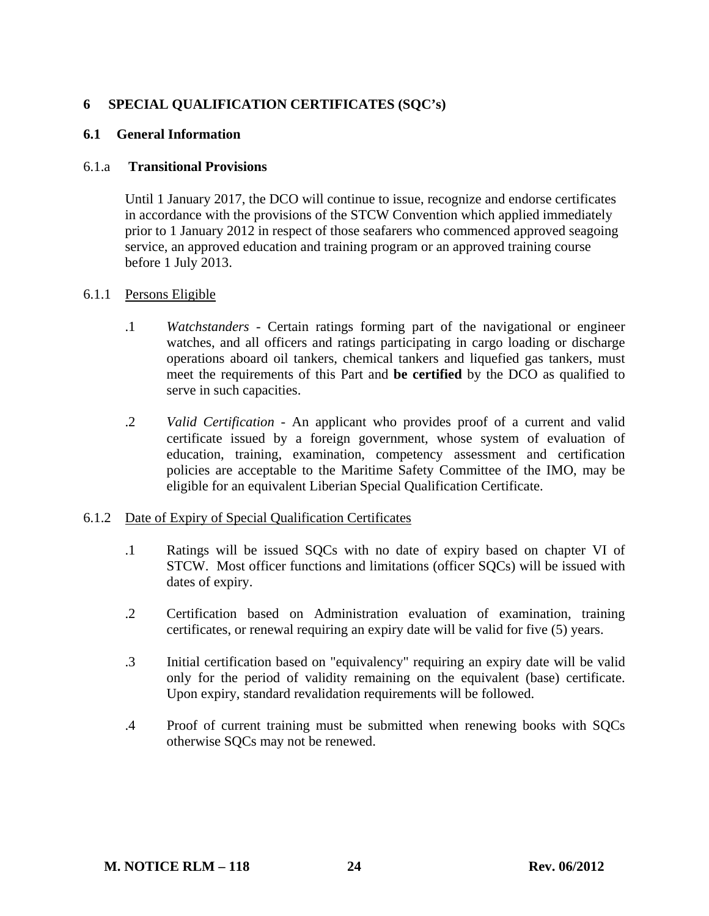# **6 SPECIAL QUALIFICATION CERTIFICATES (SQC's)**

# **6.1 General Information**

#### 6.1.a **Transitional Provisions**

Until 1 January 2017, the DCO will continue to issue, recognize and endorse certificates in accordance with the provisions of the STCW Convention which applied immediately prior to 1 January 2012 in respect of those seafarers who commenced approved seagoing service, an approved education and training program or an approved training course before 1 July 2013.

#### 6.1.1 Persons Eligible

- .1 *Watchstanders* Certain ratings forming part of the navigational or engineer watches, and all officers and ratings participating in cargo loading or discharge operations aboard oil tankers, chemical tankers and liquefied gas tankers, must meet the requirements of this Part and **be certified** by the DCO as qualified to serve in such capacities.
- .2 *Valid Certification* An applicant who provides proof of a current and valid certificate issued by a foreign government, whose system of evaluation of education, training, examination, competency assessment and certification policies are acceptable to the Maritime Safety Committee of the IMO, may be eligible for an equivalent Liberian Special Qualification Certificate.

### 6.1.2 Date of Expiry of Special Qualification Certificates

- .1 Ratings will be issued SQCs with no date of expiry based on chapter VI of STCW. Most officer functions and limitations (officer SQCs) will be issued with dates of expiry.
- .2 Certification based on Administration evaluation of examination, training certificates, or renewal requiring an expiry date will be valid for five (5) years.
- .3 Initial certification based on "equivalency" requiring an expiry date will be valid only for the period of validity remaining on the equivalent (base) certificate. Upon expiry, standard revalidation requirements will be followed.
- .4 Proof of current training must be submitted when renewing books with SQCs otherwise SQCs may not be renewed.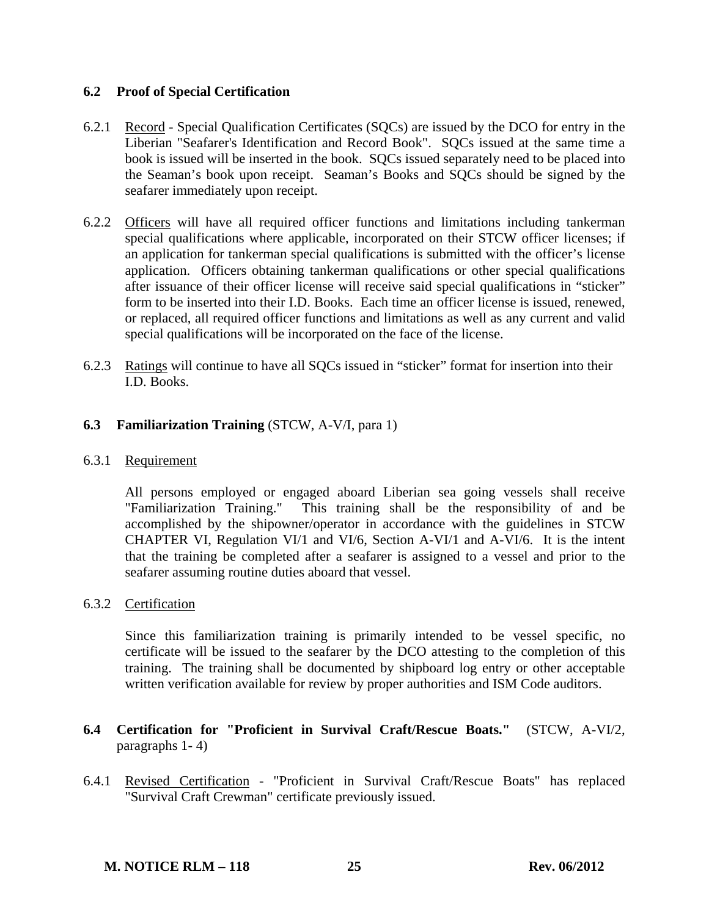# **6.2 Proof of Special Certification**

- 6.2.1 Record Special Qualification Certificates (SQCs) are issued by the DCO for entry in the Liberian "Seafarer's Identification and Record Book". SQCs issued at the same time a book is issued will be inserted in the book. SQCs issued separately need to be placed into the Seaman's book upon receipt. Seaman's Books and SQCs should be signed by the seafarer immediately upon receipt.
- 6.2.2 Officers will have all required officer functions and limitations including tankerman special qualifications where applicable, incorporated on their STCW officer licenses; if an application for tankerman special qualifications is submitted with the officer's license application. Officers obtaining tankerman qualifications or other special qualifications after issuance of their officer license will receive said special qualifications in "sticker" form to be inserted into their I.D. Books. Each time an officer license is issued, renewed, or replaced, all required officer functions and limitations as well as any current and valid special qualifications will be incorporated on the face of the license.
- 6.2.3 Ratings will continue to have all SQCs issued in "sticker" format for insertion into their I.D. Books.

# **6.3 Familiarization Training** (STCW, A-V/I, para 1)

### 6.3.1 Requirement

 All persons employed or engaged aboard Liberian sea going vessels shall receive "Familiarization Training." This training shall be the responsibility of and be accomplished by the shipowner/operator in accordance with the guidelines in STCW CHAPTER VI, Regulation VI/1 and VI/6, Section A-VI/1 and A-VI/6. It is the intent that the training be completed after a seafarer is assigned to a vessel and prior to the seafarer assuming routine duties aboard that vessel.

### 6.3.2 Certification

 Since this familiarization training is primarily intended to be vessel specific, no certificate will be issued to the seafarer by the DCO attesting to the completion of this training. The training shall be documented by shipboard log entry or other acceptable written verification available for review by proper authorities and ISM Code auditors.

- **6.4 Certification for "Proficient in Survival Craft/Rescue Boats."** (STCW, A-VI/2, paragraphs 1- 4)
- 6.4.1 Revised Certification "Proficient in Survival Craft/Rescue Boats" has replaced "Survival Craft Crewman" certificate previously issued.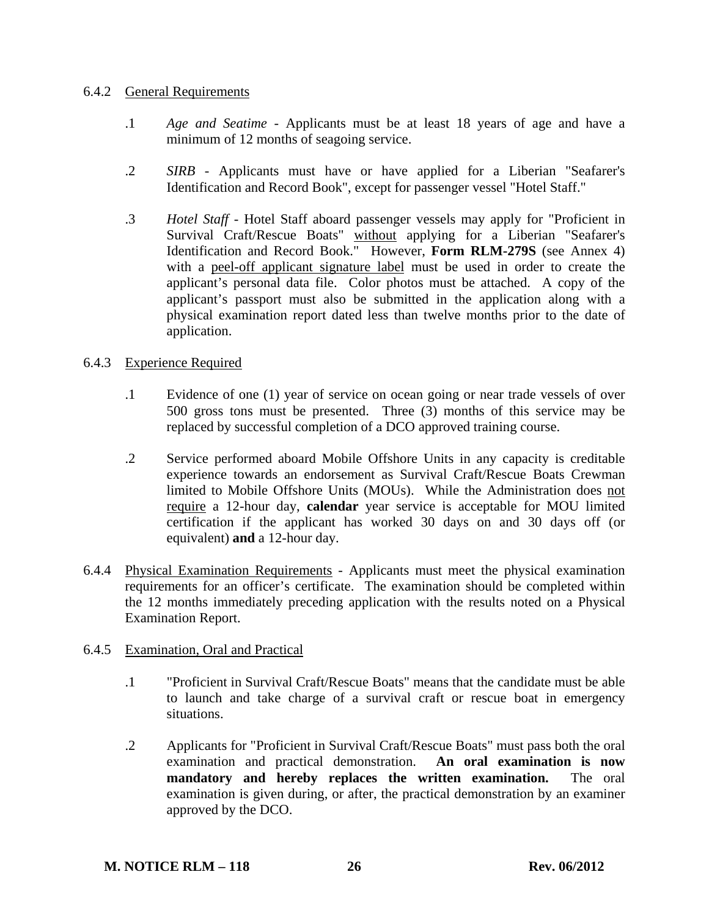### 6.4.2 General Requirements

- .1 *Age and Seatime* Applicants must be at least 18 years of age and have a minimum of 12 months of seagoing service.
- .2 *SIRB* Applicants must have or have applied for a Liberian "Seafarer's Identification and Record Book", except for passenger vessel "Hotel Staff."
- .3 *Hotel Staff* Hotel Staff aboard passenger vessels may apply for "Proficient in Survival Craft/Rescue Boats" without applying for a Liberian "Seafarer's Identification and Record Book." However, **Form RLM-279S** (see Annex 4) with a peel-off applicant signature label must be used in order to create the applicant's personal data file. Color photos must be attached. A copy of the applicant's passport must also be submitted in the application along with a physical examination report dated less than twelve months prior to the date of application.

# 6.4.3 Experience Required

- .1 Evidence of one (1) year of service on ocean going or near trade vessels of over 500 gross tons must be presented. Three (3) months of this service may be replaced by successful completion of a DCO approved training course.
- .2 Service performed aboard Mobile Offshore Units in any capacity is creditable experience towards an endorsement as Survival Craft/Rescue Boats Crewman limited to Mobile Offshore Units (MOUs). While the Administration does not require a 12-hour day, **calendar** year service is acceptable for MOU limited certification if the applicant has worked 30 days on and 30 days off (or equivalent) **and** a 12-hour day.
- 6.4.4 Physical Examination Requirements Applicants must meet the physical examination requirements for an officer's certificate. The examination should be completed within the 12 months immediately preceding application with the results noted on a Physical Examination Report.

### 6.4.5 Examination, Oral and Practical

- .1 "Proficient in Survival Craft/Rescue Boats" means that the candidate must be able to launch and take charge of a survival craft or rescue boat in emergency situations.
- .2 Applicants for "Proficient in Survival Craft/Rescue Boats" must pass both the oral examination and practical demonstration. **An oral examination is now mandatory and hereby replaces the written examination.** The oral examination is given during, or after, the practical demonstration by an examiner approved by the DCO.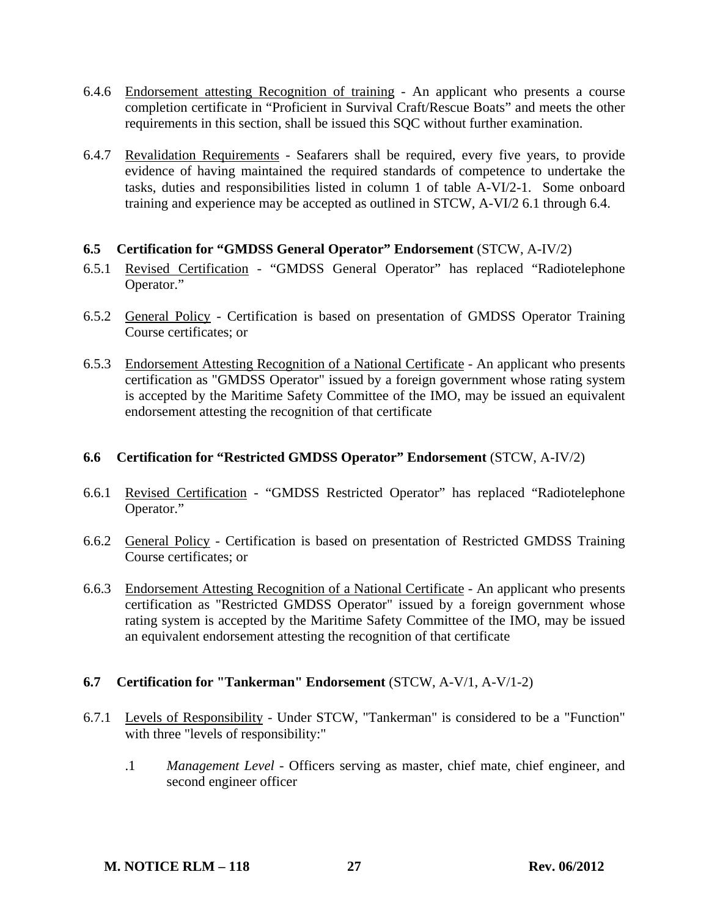- 6.4.6 Endorsement attesting Recognition of training An applicant who presents a course completion certificate in "Proficient in Survival Craft/Rescue Boats" and meets the other requirements in this section, shall be issued this SQC without further examination.
- 6.4.7 Revalidation Requirements Seafarers shall be required, every five years, to provide evidence of having maintained the required standards of competence to undertake the tasks, duties and responsibilities listed in column 1 of table A-VI/2-1. Some onboard training and experience may be accepted as outlined in STCW, A-VI/2 6.1 through 6.4.

### **6.5 Certification for "GMDSS General Operator" Endorsement** (STCW, A-IV/2)

- 6.5.1 Revised Certification "GMDSS General Operator" has replaced "Radiotelephone Operator."
- 6.5.2 General Policy Certification is based on presentation of GMDSS Operator Training Course certificates; or
- 6.5.3 Endorsement Attesting Recognition of a National Certificate An applicant who presents certification as "GMDSS Operator" issued by a foreign government whose rating system is accepted by the Maritime Safety Committee of the IMO, may be issued an equivalent endorsement attesting the recognition of that certificate

### **6.6 Certification for "Restricted GMDSS Operator" Endorsement** (STCW, A-IV/2)

- 6.6.1 Revised Certification "GMDSS Restricted Operator" has replaced "Radiotelephone Operator."
- 6.6.2 General Policy Certification is based on presentation of Restricted GMDSS Training Course certificates; or
- 6.6.3 Endorsement Attesting Recognition of a National Certificate An applicant who presents certification as "Restricted GMDSS Operator" issued by a foreign government whose rating system is accepted by the Maritime Safety Committee of the IMO, may be issued an equivalent endorsement attesting the recognition of that certificate

### **6.7 Certification for "Tankerman" Endorsement** (STCW, A-V/1, A-V/1-2)

- 6.7.1 Levels of Responsibility Under STCW, "Tankerman" is considered to be a "Function" with three "levels of responsibility:"
	- .1 *Management Level* Officers serving as master, chief mate, chief engineer, and second engineer officer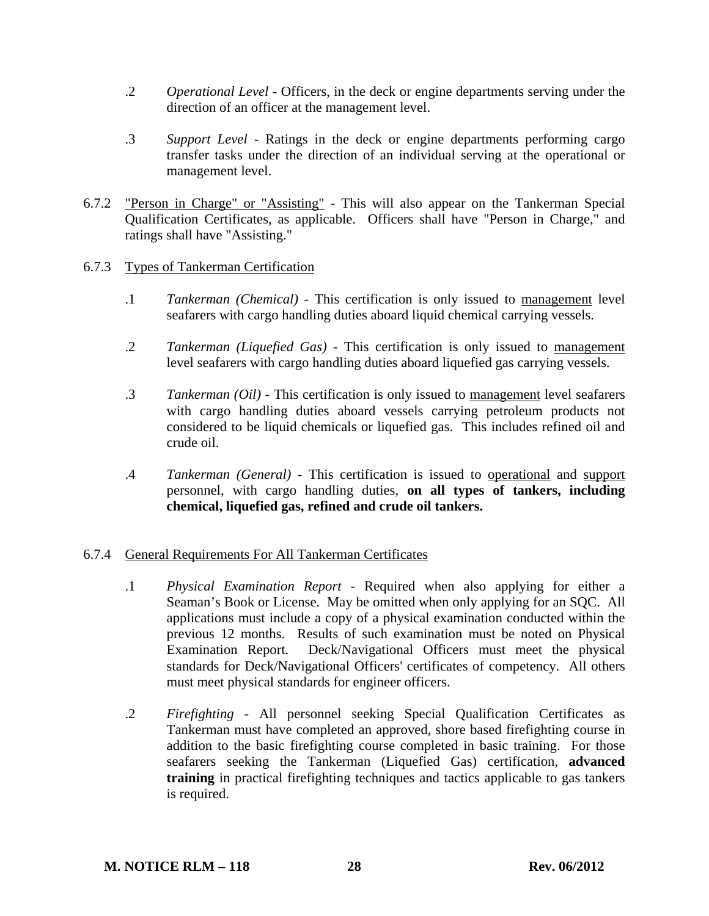- .2 *Operational Level* Officers, in the deck or engine departments serving under the direction of an officer at the management level.
- .3 *Support Level* Ratings in the deck or engine departments performing cargo transfer tasks under the direction of an individual serving at the operational or management level.
- 6.7.2 "Person in Charge" or "Assisting" This will also appear on the Tankerman Special Qualification Certificates, as applicable. Officers shall have "Person in Charge," and ratings shall have "Assisting."

### 6.7.3 Types of Tankerman Certification

- .1 *Tankerman (Chemical)* This certification is only issued to management level seafarers with cargo handling duties aboard liquid chemical carrying vessels.
- .2 *Tankerman (Liquefied Gas)* This certification is only issued to management level seafarers with cargo handling duties aboard liquefied gas carrying vessels.
- .3 *Tankerman (Oil)* This certification is only issued to management level seafarers with cargo handling duties aboard vessels carrying petroleum products not considered to be liquid chemicals or liquefied gas. This includes refined oil and crude oil.
- .4 *Tankerman (General)* This certification is issued to operational and support personnel, with cargo handling duties, **on all types of tankers, including chemical, liquefied gas, refined and crude oil tankers.**

# 6.7.4 General Requirements For All Tankerman Certificates

- .1 *Physical Examination Report* Required when also applying for either a Seaman's Book or License. May be omitted when only applying for an SQC. All applications must include a copy of a physical examination conducted within the previous 12 months. Results of such examination must be noted on Physical Examination Report. Deck/Navigational Officers must meet the physical standards for Deck/Navigational Officers' certificates of competency. All others must meet physical standards for engineer officers.
- .2 *Firefighting* All personnel seeking Special Qualification Certificates as Tankerman must have completed an approved, shore based firefighting course in addition to the basic firefighting course completed in basic training. For those seafarers seeking the Tankerman (Liquefied Gas) certification, **advanced training** in practical firefighting techniques and tactics applicable to gas tankers is required.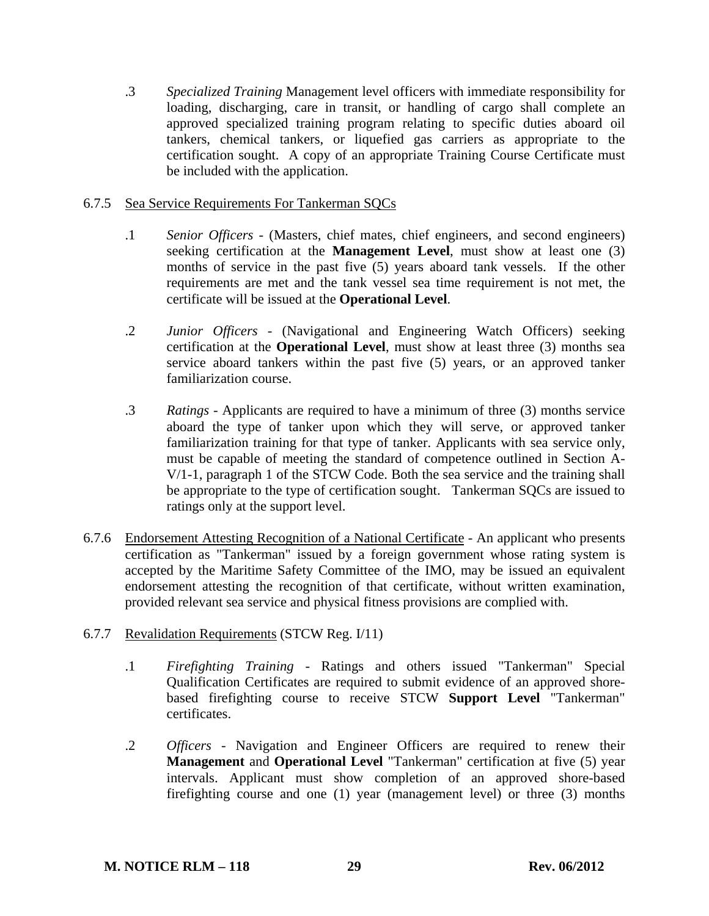.3 *Specialized Training* Management level officers with immediate responsibility for loading, discharging, care in transit, or handling of cargo shall complete an approved specialized training program relating to specific duties aboard oil tankers, chemical tankers, or liquefied gas carriers as appropriate to the certification sought. A copy of an appropriate Training Course Certificate must be included with the application.

### 6.7.5 Sea Service Requirements For Tankerman SQCs

- .1 *Senior Officers* (Masters, chief mates, chief engineers, and second engineers) seeking certification at the **Management Level**, must show at least one (3) months of service in the past five (5) years aboard tank vessels. If the other requirements are met and the tank vessel sea time requirement is not met, the certificate will be issued at the **Operational Level**.
- .2 *Junior Officers* (Navigational and Engineering Watch Officers) seeking certification at the **Operational Level**, must show at least three (3) months sea service aboard tankers within the past five (5) years, or an approved tanker familiarization course.
- .3 *Ratings* Applicants are required to have a minimum of three (3) months service aboard the type of tanker upon which they will serve, or approved tanker familiarization training for that type of tanker. Applicants with sea service only, must be capable of meeting the standard of competence outlined in Section A-V/1-1, paragraph 1 of the STCW Code. Both the sea service and the training shall be appropriate to the type of certification sought. Tankerman SQCs are issued to ratings only at the support level.
- 6.7.6 Endorsement Attesting Recognition of a National Certificate An applicant who presents certification as "Tankerman" issued by a foreign government whose rating system is accepted by the Maritime Safety Committee of the IMO, may be issued an equivalent endorsement attesting the recognition of that certificate, without written examination, provided relevant sea service and physical fitness provisions are complied with.
- 6.7.7 Revalidation Requirements (STCW Reg. I/11)
	- .1 *Firefighting Training* Ratings and others issued "Tankerman" Special Qualification Certificates are required to submit evidence of an approved shorebased firefighting course to receive STCW **Support Level** "Tankerman" certificates.
	- .2 *Officers* Navigation and Engineer Officers are required to renew their **Management** and **Operational Level** "Tankerman" certification at five (5) year intervals. Applicant must show completion of an approved shore-based firefighting course and one (1) year (management level) or three (3) months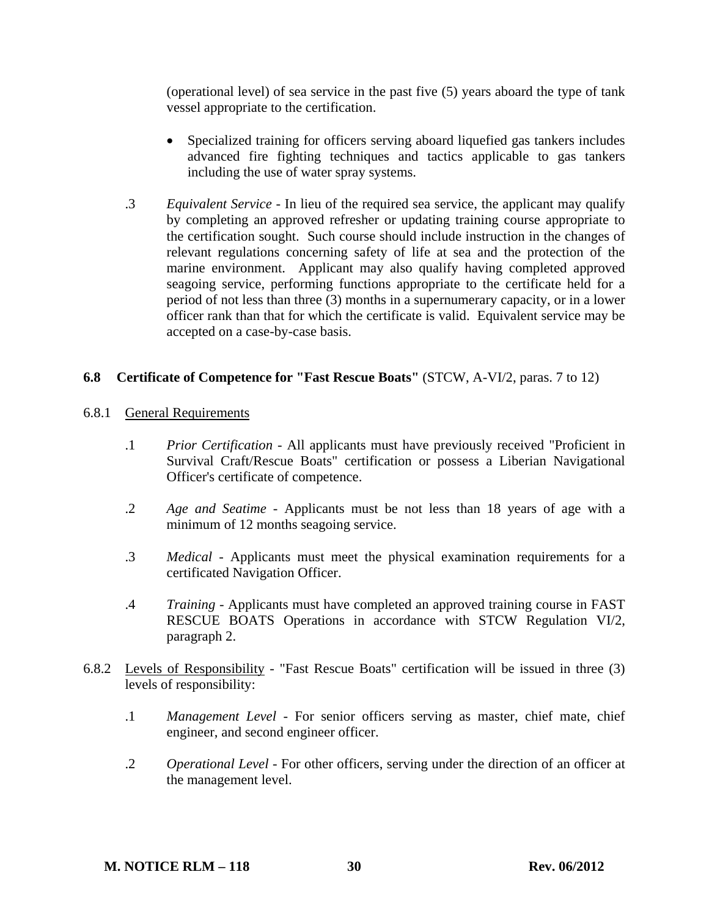(operational level) of sea service in the past five (5) years aboard the type of tank vessel appropriate to the certification.

- Specialized training for officers serving aboard liquefied gas tankers includes advanced fire fighting techniques and tactics applicable to gas tankers including the use of water spray systems.
- .3 *Equivalent Service* In lieu of the required sea service, the applicant may qualify by completing an approved refresher or updating training course appropriate to the certification sought. Such course should include instruction in the changes of relevant regulations concerning safety of life at sea and the protection of the marine environment. Applicant may also qualify having completed approved seagoing service, performing functions appropriate to the certificate held for a period of not less than three (3) months in a supernumerary capacity, or in a lower officer rank than that for which the certificate is valid. Equivalent service may be accepted on a case-by-case basis.

### **6.8 Certificate of Competence for "Fast Rescue Boats"** (STCW, A-VI/2, paras. 7 to 12)

### 6.8.1 General Requirements

- .1 *Prior Certification* All applicants must have previously received "Proficient in Survival Craft/Rescue Boats" certification or possess a Liberian Navigational Officer's certificate of competence.
- .2 *Age and Seatime* Applicants must be not less than 18 years of age with a minimum of 12 months seagoing service.
- .3 *Medical* Applicants must meet the physical examination requirements for a certificated Navigation Officer.
- .4 *Training* Applicants must have completed an approved training course in FAST RESCUE BOATS Operations in accordance with STCW Regulation VI/2, paragraph 2.
- 6.8.2 Levels of Responsibility "Fast Rescue Boats" certification will be issued in three (3) levels of responsibility:
	- .1 *Management Level* For senior officers serving as master, chief mate, chief engineer, and second engineer officer.
	- .2 *Operational Level* For other officers, serving under the direction of an officer at the management level.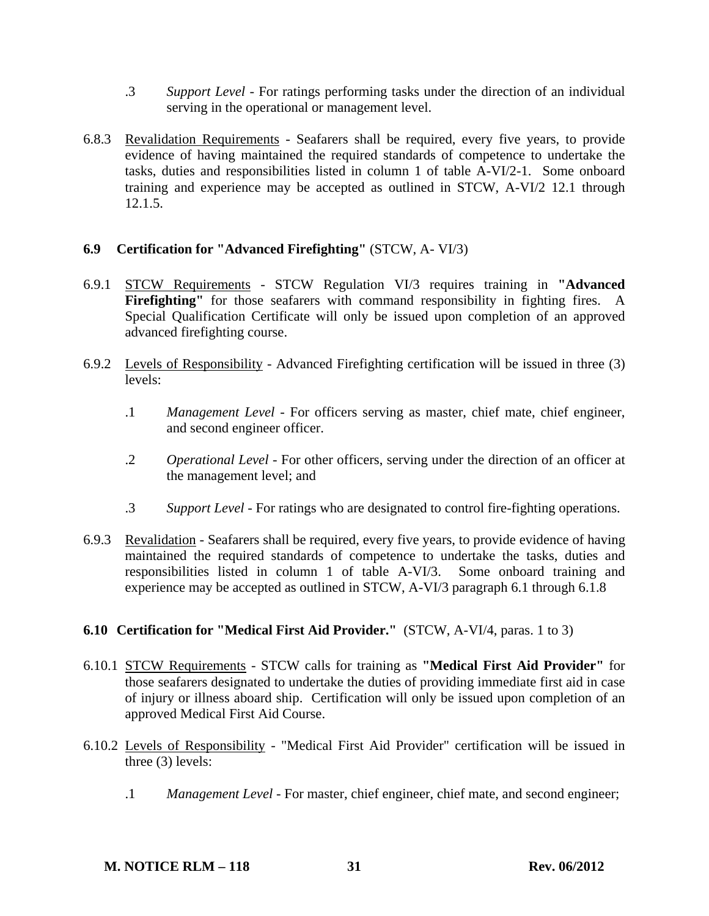- .3 *Support Level* For ratings performing tasks under the direction of an individual serving in the operational or management level.
- 6.8.3 Revalidation Requirements Seafarers shall be required, every five years, to provide evidence of having maintained the required standards of competence to undertake the tasks, duties and responsibilities listed in column 1 of table A-VI/2-1. Some onboard training and experience may be accepted as outlined in STCW, A-VI/2 12.1 through 12.1.5.

# **6.9 Certification for "Advanced Firefighting"** (STCW, A- VI/3)

- 6.9.1 STCW Requirements STCW Regulation VI/3 requires training in **"Advanced**  Firefighting" for those seafarers with command responsibility in fighting fires. A Special Qualification Certificate will only be issued upon completion of an approved advanced firefighting course.
- 6.9.2 Levels of Responsibility Advanced Firefighting certification will be issued in three (3) levels:
	- .1 *Management Level* For officers serving as master, chief mate, chief engineer, and second engineer officer.
	- .2 *Operational Level* For other officers, serving under the direction of an officer at the management level; and
	- .3 *Support Level* For ratings who are designated to control fire-fighting operations.
- 6.9.3 Revalidation Seafarers shall be required, every five years, to provide evidence of having maintained the required standards of competence to undertake the tasks, duties and responsibilities listed in column 1 of table A-VI/3. Some onboard training and experience may be accepted as outlined in STCW, A-VI/3 paragraph 6.1 through 6.1.8

### **6.10 Certification for "Medical First Aid Provider."** (STCW, A-VI/4, paras. 1 to 3)

- 6.10.1 STCW Requirements STCW calls for training as **"Medical First Aid Provider"** for those seafarers designated to undertake the duties of providing immediate first aid in case of injury or illness aboard ship. Certification will only be issued upon completion of an approved Medical First Aid Course.
- 6.10.2 Levels of Responsibility "Medical First Aid Provider" certification will be issued in three  $(3)$  levels:
	- .1 *Management Level* For master, chief engineer, chief mate, and second engineer;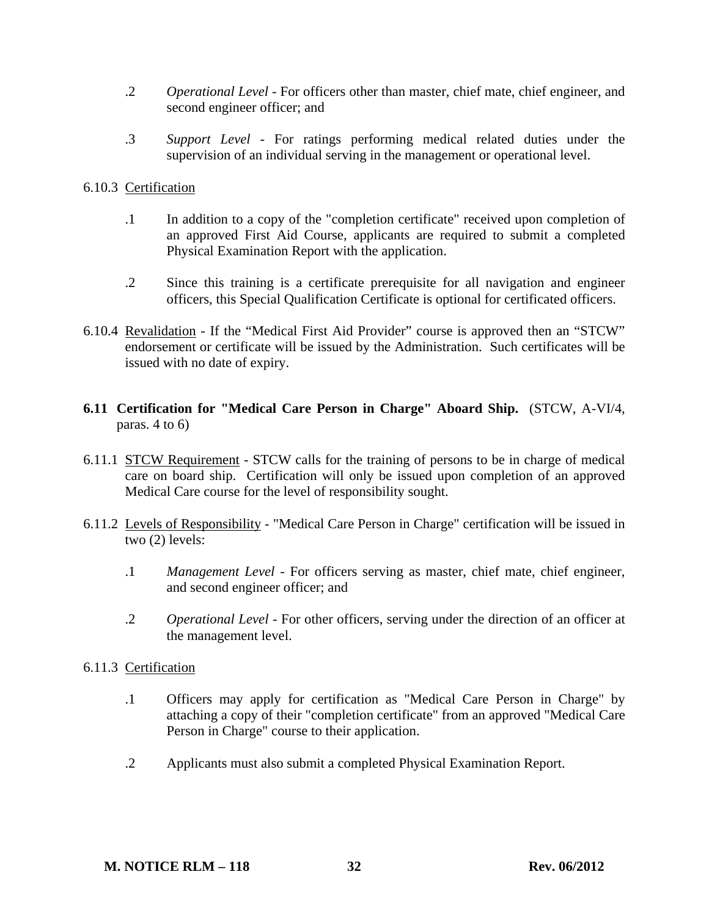- .2 *Operational Level* For officers other than master, chief mate, chief engineer, and second engineer officer; and
- .3 *Support Level* For ratings performing medical related duties under the supervision of an individual serving in the management or operational level.

### 6.10.3 Certification

- .1 In addition to a copy of the "completion certificate" received upon completion of an approved First Aid Course, applicants are required to submit a completed Physical Examination Report with the application.
- .2 Since this training is a certificate prerequisite for all navigation and engineer officers, this Special Qualification Certificate is optional for certificated officers.
- 6.10.4 Revalidation If the "Medical First Aid Provider" course is approved then an "STCW" endorsement or certificate will be issued by the Administration. Such certificates will be issued with no date of expiry.
- **6.11 Certification for "Medical Care Person in Charge" Aboard Ship.** (STCW, A-VI/4, paras. 4 to 6)
- 6.11.1 STCW Requirement STCW calls for the training of persons to be in charge of medical care on board ship. Certification will only be issued upon completion of an approved Medical Care course for the level of responsibility sought.
- 6.11.2 Levels of Responsibility "Medical Care Person in Charge" certification will be issued in two (2) levels:
	- .1 *Management Level* For officers serving as master, chief mate, chief engineer, and second engineer officer; and
	- .2 *Operational Level* For other officers, serving under the direction of an officer at the management level.

### 6.11.3 Certification

- .1 Officers may apply for certification as "Medical Care Person in Charge" by attaching a copy of their "completion certificate" from an approved "Medical Care Person in Charge" course to their application.
- .2 Applicants must also submit a completed Physical Examination Report.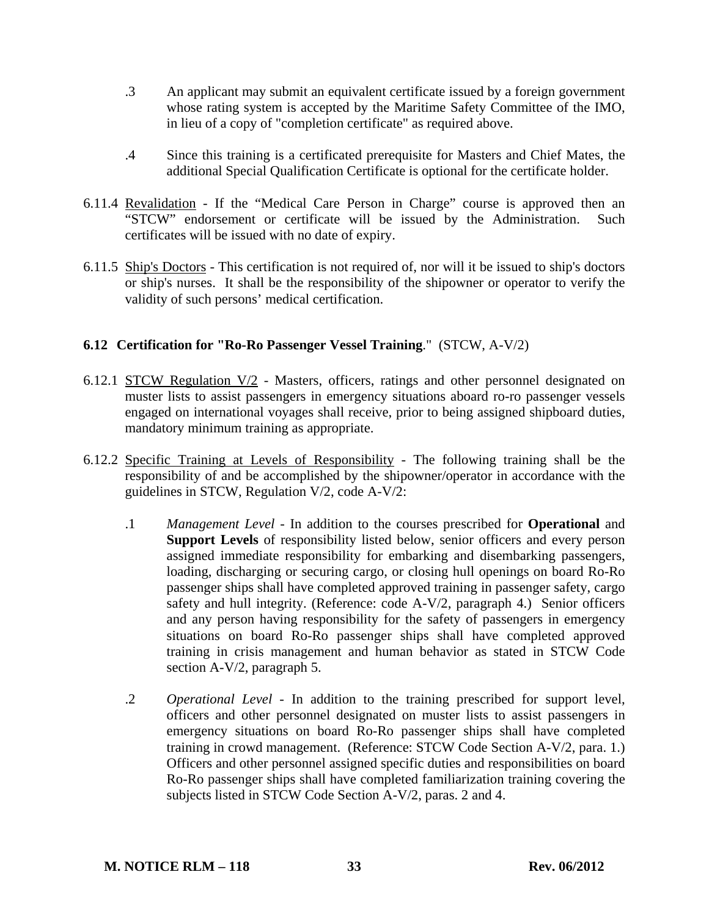- .3 An applicant may submit an equivalent certificate issued by a foreign government whose rating system is accepted by the Maritime Safety Committee of the IMO, in lieu of a copy of "completion certificate" as required above.
- .4 Since this training is a certificated prerequisite for Masters and Chief Mates, the additional Special Qualification Certificate is optional for the certificate holder.
- 6.11.4 Revalidation If the "Medical Care Person in Charge" course is approved then an "STCW" endorsement or certificate will be issued by the Administration. Such certificates will be issued with no date of expiry.
- 6.11.5 Ship's Doctors This certification is not required of, nor will it be issued to ship's doctors or ship's nurses. It shall be the responsibility of the shipowner or operator to verify the validity of such persons' medical certification.

# **6.12 Certification for "Ro-Ro Passenger Vessel Training**." (STCW, A-V/2)

- 6.12.1 STCW Regulation  $V/2$  Masters, officers, ratings and other personnel designated on muster lists to assist passengers in emergency situations aboard ro-ro passenger vessels engaged on international voyages shall receive, prior to being assigned shipboard duties, mandatory minimum training as appropriate.
- 6.12.2 Specific Training at Levels of Responsibility The following training shall be the responsibility of and be accomplished by the shipowner/operator in accordance with the guidelines in STCW, Regulation V/2, code A-V/2:
	- .1 *Management Level* In addition to the courses prescribed for **Operational** and **Support Levels** of responsibility listed below, senior officers and every person assigned immediate responsibility for embarking and disembarking passengers, loading, discharging or securing cargo, or closing hull openings on board Ro-Ro passenger ships shall have completed approved training in passenger safety, cargo safety and hull integrity. (Reference: code A-V/2, paragraph 4.) Senior officers and any person having responsibility for the safety of passengers in emergency situations on board Ro-Ro passenger ships shall have completed approved training in crisis management and human behavior as stated in STCW Code section A-V/2, paragraph 5.
	- .2 *Operational Level* In addition to the training prescribed for support level, officers and other personnel designated on muster lists to assist passengers in emergency situations on board Ro-Ro passenger ships shall have completed training in crowd management. (Reference: STCW Code Section A-V/2, para. 1.) Officers and other personnel assigned specific duties and responsibilities on board Ro-Ro passenger ships shall have completed familiarization training covering the subjects listed in STCW Code Section A-V/2, paras. 2 and 4.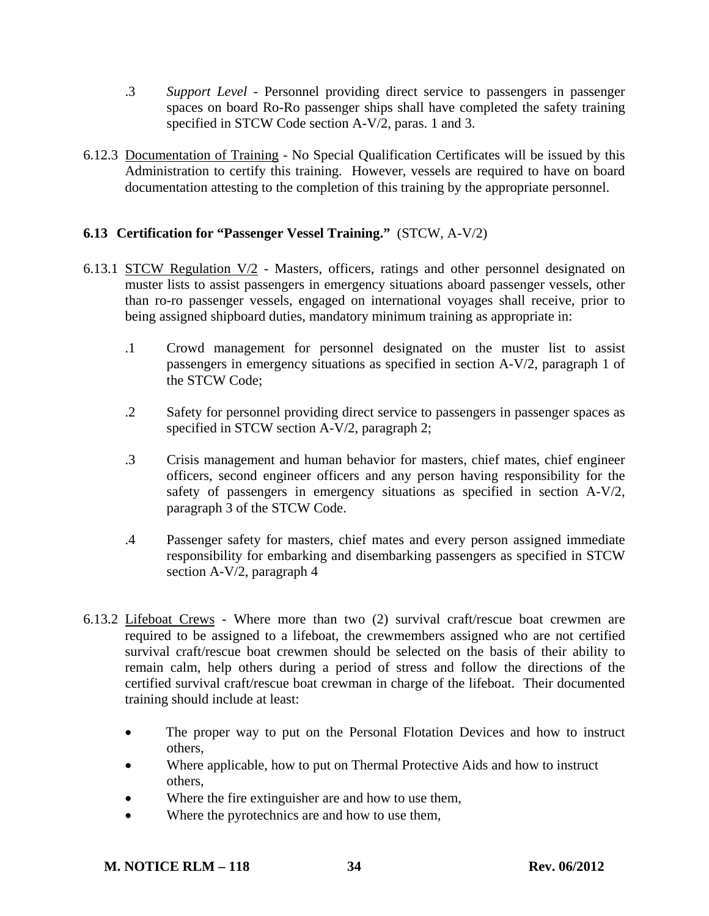- .3 *Support Level* Personnel providing direct service to passengers in passenger spaces on board Ro-Ro passenger ships shall have completed the safety training specified in STCW Code section A-V/2, paras. 1 and 3.
- 6.12.3 Documentation of Training No Special Qualification Certificates will be issued by this Administration to certify this training. However, vessels are required to have on board documentation attesting to the completion of this training by the appropriate personnel.

# **6.13 Certification for "Passenger Vessel Training."** (STCW, A-V/2)

- 6.13.1 STCW Regulation  $V/2$  Masters, officers, ratings and other personnel designated on muster lists to assist passengers in emergency situations aboard passenger vessels, other than ro-ro passenger vessels, engaged on international voyages shall receive, prior to being assigned shipboard duties, mandatory minimum training as appropriate in:
	- .1 Crowd management for personnel designated on the muster list to assist passengers in emergency situations as specified in section A-V/2, paragraph 1 of the STCW Code;
	- .2 Safety for personnel providing direct service to passengers in passenger spaces as specified in STCW section A-V/2, paragraph 2;
	- .3 Crisis management and human behavior for masters, chief mates, chief engineer officers, second engineer officers and any person having responsibility for the safety of passengers in emergency situations as specified in section A-V/2, paragraph 3 of the STCW Code.
	- .4 Passenger safety for masters, chief mates and every person assigned immediate responsibility for embarking and disembarking passengers as specified in STCW section A-V/2, paragraph 4
- 6.13.2 Lifeboat Crews Where more than two (2) survival craft/rescue boat crewmen are required to be assigned to a lifeboat, the crewmembers assigned who are not certified survival craft/rescue boat crewmen should be selected on the basis of their ability to remain calm, help others during a period of stress and follow the directions of the certified survival craft/rescue boat crewman in charge of the lifeboat. Their documented training should include at least:
	- The proper way to put on the Personal Flotation Devices and how to instruct others,
	- Where applicable, how to put on Thermal Protective Aids and how to instruct others,
	- Where the fire extinguisher are and how to use them,
	- Where the pyrotechnics are and how to use them,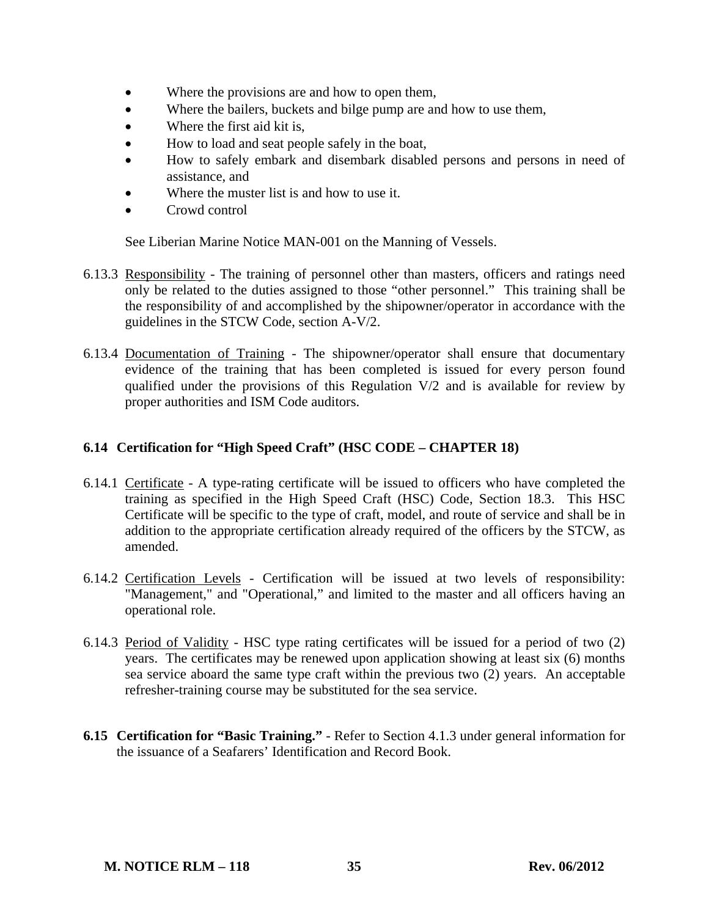- Where the provisions are and how to open them,
- Where the bailers, buckets and bilge pump are and how to use them,
- Where the first aid kit is,
- How to load and seat people safely in the boat,
- How to safely embark and disembark disabled persons and persons in need of assistance, and
- Where the muster list is and how to use it.
- Crowd control

See Liberian Marine Notice MAN-001 on the Manning of Vessels.

- 6.13.3 Responsibility The training of personnel other than masters, officers and ratings need only be related to the duties assigned to those "other personnel." This training shall be the responsibility of and accomplished by the shipowner/operator in accordance with the guidelines in the STCW Code, section A-V/2.
- 6.13.4 Documentation of Training The shipowner/operator shall ensure that documentary evidence of the training that has been completed is issued for every person found qualified under the provisions of this Regulation V/2 and is available for review by proper authorities and ISM Code auditors.

### **6.14 Certification for "High Speed Craft" (HSC CODE – CHAPTER 18)**

- 6.14.1 Certificate A type-rating certificate will be issued to officers who have completed the training as specified in the High Speed Craft (HSC) Code, Section 18.3. This HSC Certificate will be specific to the type of craft, model, and route of service and shall be in addition to the appropriate certification already required of the officers by the STCW, as amended.
- 6.14.2 Certification Levels Certification will be issued at two levels of responsibility: "Management," and "Operational," and limited to the master and all officers having an operational role.
- 6.14.3 Period of Validity HSC type rating certificates will be issued for a period of two (2) years. The certificates may be renewed upon application showing at least six (6) months sea service aboard the same type craft within the previous two (2) years. An acceptable refresher-training course may be substituted for the sea service.
- **6.15 Certification for "Basic Training."** Refer to Section 4.1.3 under general information for the issuance of a Seafarers' Identification and Record Book.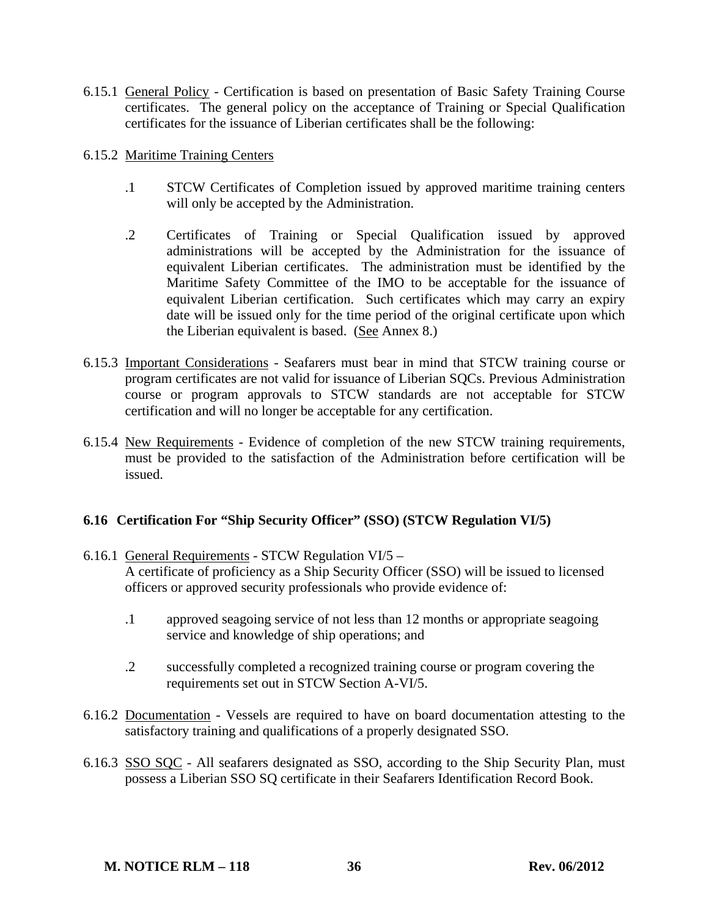- 6.15.1 General Policy Certification is based on presentation of Basic Safety Training Course certificates. The general policy on the acceptance of Training or Special Qualification certificates for the issuance of Liberian certificates shall be the following:
- 6.15.2 Maritime Training Centers
	- .1 STCW Certificates of Completion issued by approved maritime training centers will only be accepted by the Administration.
	- .2 Certificates of Training or Special Qualification issued by approved administrations will be accepted by the Administration for the issuance of equivalent Liberian certificates. The administration must be identified by the Maritime Safety Committee of the IMO to be acceptable for the issuance of equivalent Liberian certification. Such certificates which may carry an expiry date will be issued only for the time period of the original certificate upon which the Liberian equivalent is based. (See Annex 8.)
- 6.15.3 Important Considerations Seafarers must bear in mind that STCW training course or program certificates are not valid for issuance of Liberian SQCs. Previous Administration course or program approvals to STCW standards are not acceptable for STCW certification and will no longer be acceptable for any certification.
- 6.15.4 New Requirements Evidence of completion of the new STCW training requirements, must be provided to the satisfaction of the Administration before certification will be issued.

# **6.16 Certification For "Ship Security Officer" (SSO) (STCW Regulation VI/5)**

- 6.16.1 General Requirements STCW Regulation VI/5 A certificate of proficiency as a Ship Security Officer (SSO) will be issued to licensed officers or approved security professionals who provide evidence of:
	- .1 approved seagoing service of not less than 12 months or appropriate seagoing service and knowledge of ship operations; and
	- .2 successfully completed a recognized training course or program covering the requirements set out in STCW Section A-VI/5.
- 6.16.2 Documentation Vessels are required to have on board documentation attesting to the satisfactory training and qualifications of a properly designated SSO.
- 6.16.3 SSO SQC All seafarers designated as SSO, according to the Ship Security Plan, must possess a Liberian SSO SQ certificate in their Seafarers Identification Record Book.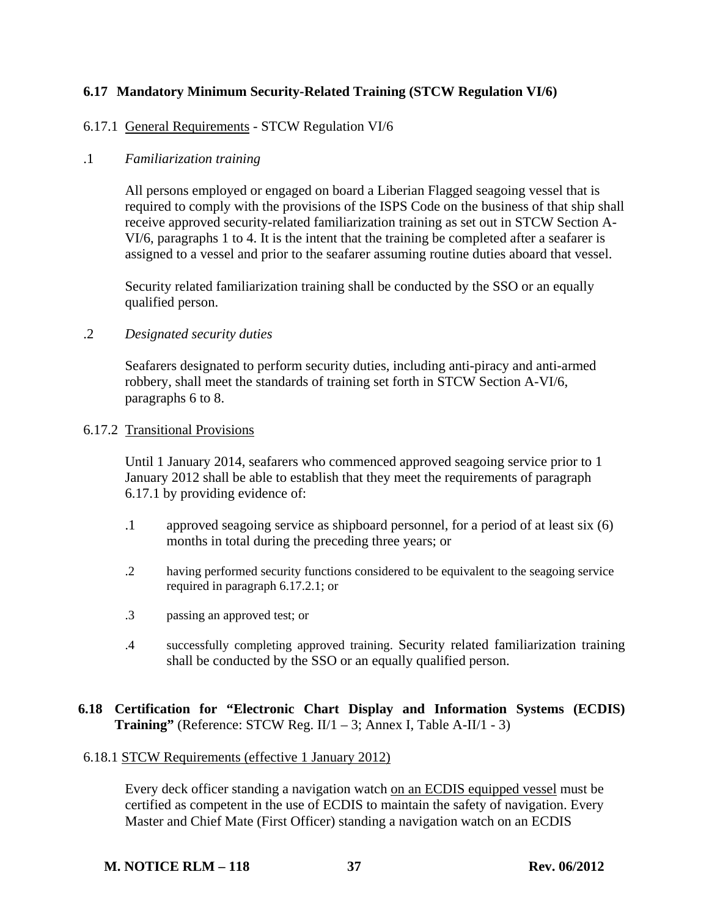# **6.17 Mandatory Minimum Security-Related Training (STCW Regulation VI/6)**

### 6.17.1 General Requirements - STCW Regulation VI/6

### .1 *Familiarization training*

All persons employed or engaged on board a Liberian Flagged seagoing vessel that is required to comply with the provisions of the ISPS Code on the business of that ship shall receive approved security-related familiarization training as set out in STCW Section A-VI/6, paragraphs 1 to 4. It is the intent that the training be completed after a seafarer is assigned to a vessel and prior to the seafarer assuming routine duties aboard that vessel.

Security related familiarization training shall be conducted by the SSO or an equally qualified person.

.2 *Designated security duties* 

Seafarers designated to perform security duties, including anti-piracy and anti-armed robbery, shall meet the standards of training set forth in STCW Section A-VI/6, paragraphs 6 to 8.

### 6.17.2 Transitional Provisions

Until 1 January 2014, seafarers who commenced approved seagoing service prior to 1 January 2012 shall be able to establish that they meet the requirements of paragraph 6.17.1 by providing evidence of:

- .1 approved seagoing service as shipboard personnel, for a period of at least six (6) months in total during the preceding three years; or
- .2 having performed security functions considered to be equivalent to the seagoing service required in paragraph 6.17.2.1; or
- .3 passing an approved test; or
- .4 successfully completing approved training. Security related familiarization training shall be conducted by the SSO or an equally qualified person.

### **6.18 Certification for "Electronic Chart Display and Information Systems (ECDIS) Training"** (Reference: STCW Reg.  $II/1 - 3$ ; Annex I, Table A-II/1 - 3)

### 6.18.1 STCW Requirements (effective 1 January 2012)

Every deck officer standing a navigation watch on an ECDIS equipped vessel must be certified as competent in the use of ECDIS to maintain the safety of navigation. Every Master and Chief Mate (First Officer) standing a navigation watch on an ECDIS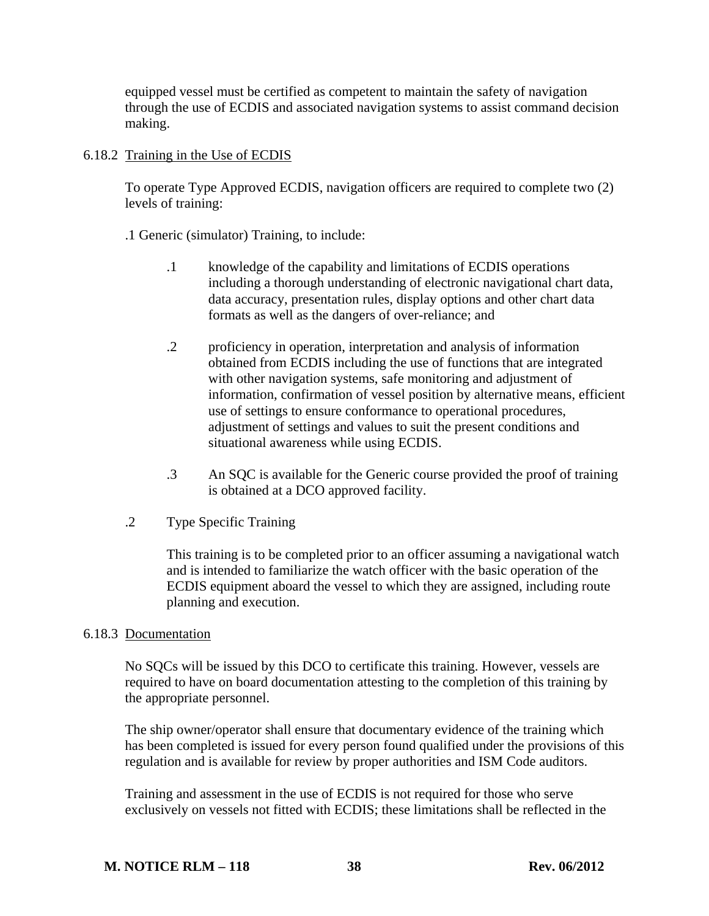equipped vessel must be certified as competent to maintain the safety of navigation through the use of ECDIS and associated navigation systems to assist command decision making.

### 6.18.2 Training in the Use of ECDIS

To operate Type Approved ECDIS, navigation officers are required to complete two (2) levels of training:

.1 Generic (simulator) Training, to include:

- .1 knowledge of the capability and limitations of ECDIS operations including a thorough understanding of electronic navigational chart data, data accuracy, presentation rules, display options and other chart data formats as well as the dangers of over-reliance; and
- .2 proficiency in operation, interpretation and analysis of information obtained from ECDIS including the use of functions that are integrated with other navigation systems, safe monitoring and adjustment of information, confirmation of vessel position by alternative means, efficient use of settings to ensure conformance to operational procedures, adjustment of settings and values to suit the present conditions and situational awareness while using ECDIS.
- .3 An SQC is available for the Generic course provided the proof of training is obtained at a DCO approved facility.
- .2 Type Specific Training

This training is to be completed prior to an officer assuming a navigational watch and is intended to familiarize the watch officer with the basic operation of the ECDIS equipment aboard the vessel to which they are assigned, including route planning and execution.

# 6.18.3 Documentation

No SQCs will be issued by this DCO to certificate this training. However, vessels are required to have on board documentation attesting to the completion of this training by the appropriate personnel.

The ship owner/operator shall ensure that documentary evidence of the training which has been completed is issued for every person found qualified under the provisions of this regulation and is available for review by proper authorities and ISM Code auditors.

Training and assessment in the use of ECDIS is not required for those who serve exclusively on vessels not fitted with ECDIS; these limitations shall be reflected in the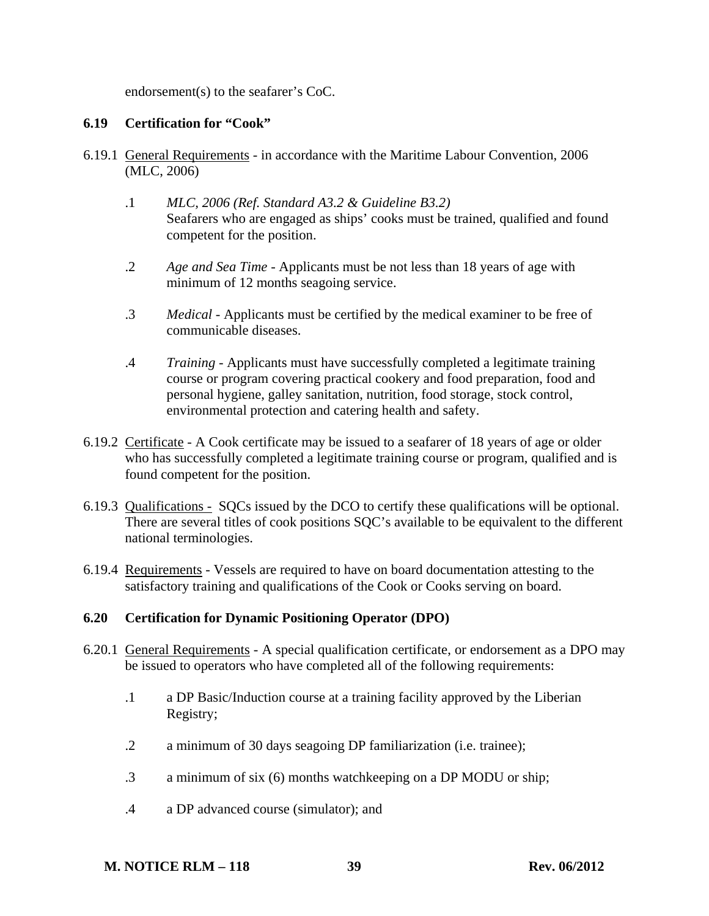endorsement(s) to the seafarer's CoC.

# **6.19 Certification for "Cook"**

- 6.19.1 General Requirements in accordance with the Maritime Labour Convention, 2006 (MLC, 2006)
	- .1 *MLC, 2006 (Ref. Standard A3.2 & Guideline B3.2)*  Seafarers who are engaged as ships' cooks must be trained, qualified and found competent for the position.
	- .2 *Age and Sea Time* Applicants must be not less than 18 years of age with minimum of 12 months seagoing service.
	- .3 *Medical* Applicants must be certified by the medical examiner to be free of communicable diseases.
	- .4 *Training* Applicants must have successfully completed a legitimate training course or program covering practical cookery and food preparation, food and personal hygiene, galley sanitation, nutrition, food storage, stock control, environmental protection and catering health and safety.
- 6.19.2 Certificate A Cook certificate may be issued to a seafarer of 18 years of age or older who has successfully completed a legitimate training course or program, qualified and is found competent for the position.
- 6.19.3 Qualifications SQCs issued by the DCO to certify these qualifications will be optional. There are several titles of cook positions SQC's available to be equivalent to the different national terminologies.
- 6.19.4 Requirements Vessels are required to have on board documentation attesting to the satisfactory training and qualifications of the Cook or Cooks serving on board.

# **6.20 Certification for Dynamic Positioning Operator (DPO)**

- 6.20.1 General Requirements A special qualification certificate, or endorsement as a DPO may be issued to operators who have completed all of the following requirements:
	- .1 a DP Basic/Induction course at a training facility approved by the Liberian Registry;
	- .2 a minimum of 30 days seagoing DP familiarization (i.e. trainee);
	- .3 a minimum of six (6) months watchkeeping on a DP MODU or ship;
	- .4 a DP advanced course (simulator); and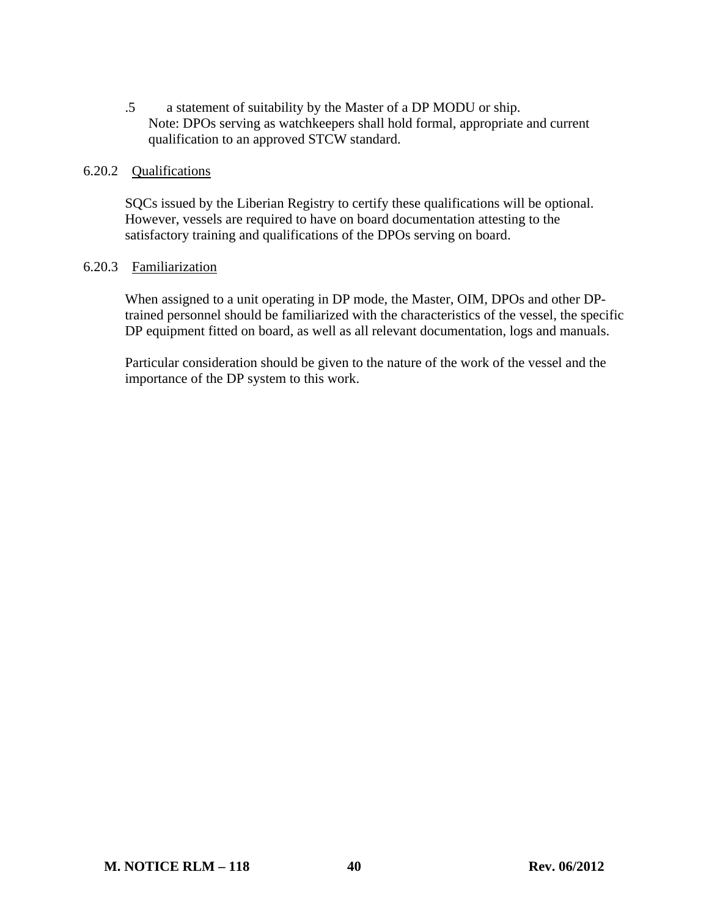.5 a statement of suitability by the Master of a DP MODU or ship. Note: DPOs serving as watchkeepers shall hold formal, appropriate and current qualification to an approved STCW standard.

#### 6.20.2 Qualifications

SQCs issued by the Liberian Registry to certify these qualifications will be optional. However, vessels are required to have on board documentation attesting to the satisfactory training and qualifications of the DPOs serving on board.

### 6.20.3 Familiarization

When assigned to a unit operating in DP mode, the Master, OIM, DPOs and other DPtrained personnel should be familiarized with the characteristics of the vessel, the specific DP equipment fitted on board, as well as all relevant documentation, logs and manuals.

Particular consideration should be given to the nature of the work of the vessel and the importance of the DP system to this work.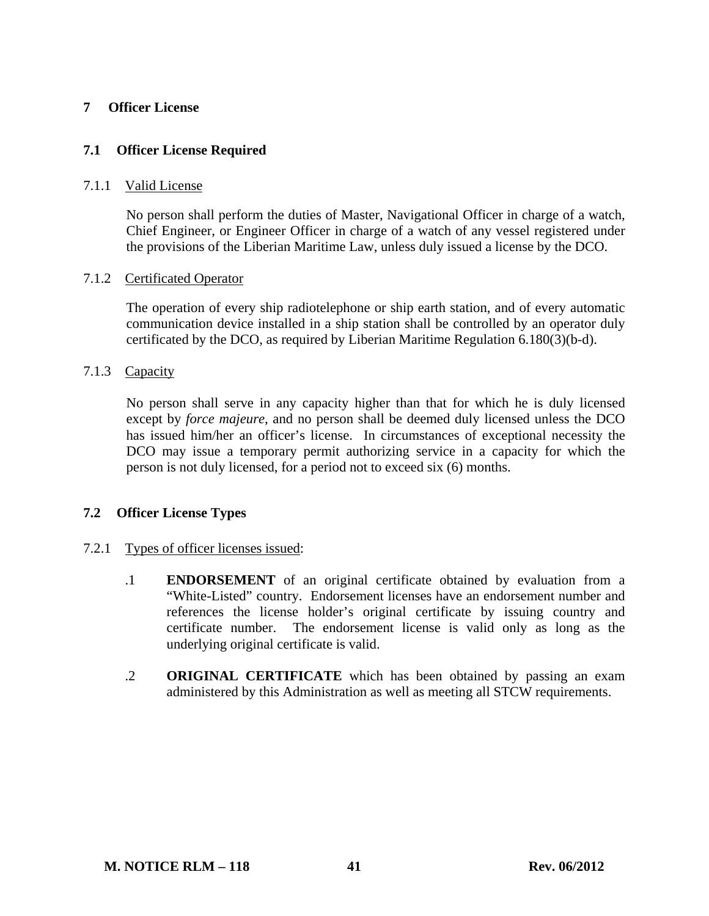### **7 Officer License**

### **7.1 Officer License Required**

#### 7.1.1 Valid License

No person shall perform the duties of Master, Navigational Officer in charge of a watch, Chief Engineer, or Engineer Officer in charge of a watch of any vessel registered under the provisions of the Liberian Maritime Law, unless duly issued a license by the DCO.

#### 7.1.2 Certificated Operator

The operation of every ship radiotelephone or ship earth station, and of every automatic communication device installed in a ship station shall be controlled by an operator duly certificated by the DCO, as required by Liberian Maritime Regulation 6.180(3)(b-d).

### 7.1.3 Capacity

No person shall serve in any capacity higher than that for which he is duly licensed except by *force majeure*, and no person shall be deemed duly licensed unless the DCO has issued him/her an officer's license. In circumstances of exceptional necessity the DCO may issue a temporary permit authorizing service in a capacity for which the person is not duly licensed, for a period not to exceed six (6) months.

### **7.2 Officer License Types**

### 7.2.1 Types of officer licenses issued:

- .1 **ENDORSEMENT** of an original certificate obtained by evaluation from a "White-Listed" country. Endorsement licenses have an endorsement number and references the license holder's original certificate by issuing country and certificate number. The endorsement license is valid only as long as the underlying original certificate is valid.
- .2 **ORIGINAL CERTIFICATE** which has been obtained by passing an exam administered by this Administration as well as meeting all STCW requirements.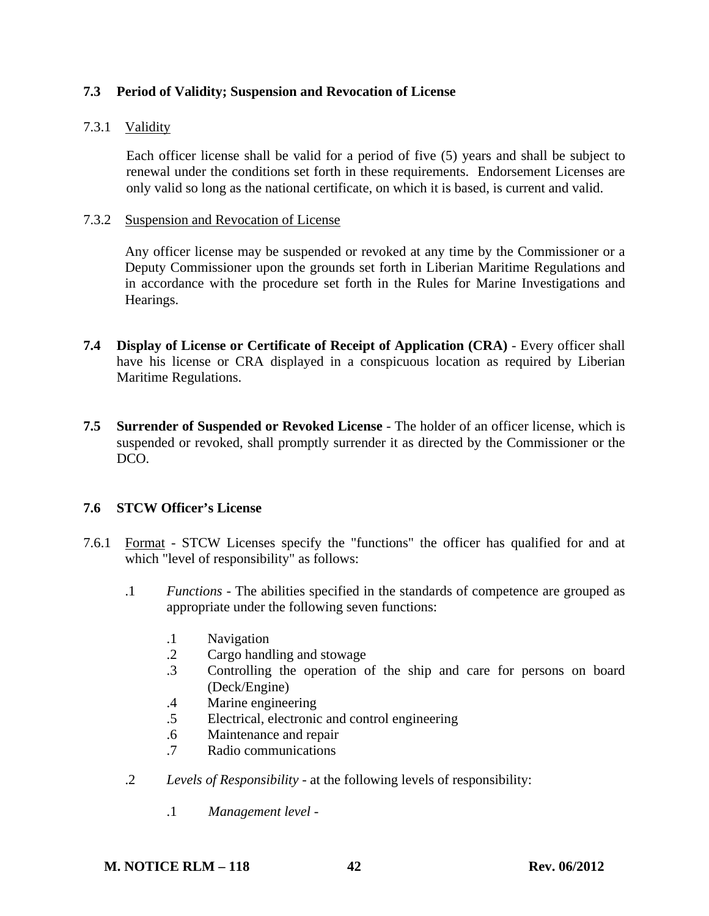### **7.3 Period of Validity; Suspension and Revocation of License**

### 7.3.1 Validity

Each officer license shall be valid for a period of five (5) years and shall be subject to renewal under the conditions set forth in these requirements. Endorsement Licenses are only valid so long as the national certificate, on which it is based, is current and valid.

#### 7.3.2 Suspension and Revocation of License

 Any officer license may be suspended or revoked at any time by the Commissioner or a Deputy Commissioner upon the grounds set forth in Liberian Maritime Regulations and in accordance with the procedure set forth in the Rules for Marine Investigations and Hearings.

- **7.4 Display of License or Certificate of Receipt of Application (CRA)** Every officer shall have his license or CRA displayed in a conspicuous location as required by Liberian Maritime Regulations.
- **7.5 Surrender of Suspended or Revoked License** The holder of an officer license, which is suspended or revoked, shall promptly surrender it as directed by the Commissioner or the DCO.

### **7.6 STCW Officer's License**

- 7.6.1 Format STCW Licenses specify the "functions" the officer has qualified for and at which "level of responsibility" as follows:
	- .1 *Functions* The abilities specified in the standards of competence are grouped as appropriate under the following seven functions:
		- .1 Navigation
		- .2 Cargo handling and stowage
		- .3 Controlling the operation of the ship and care for persons on board (Deck/Engine)
		- .4 Marine engineering
		- .5 Electrical, electronic and control engineering
		- .6 Maintenance and repair
		- .7 Radio communications
	- .2 *Levels of Responsibility* at the following levels of responsibility:
		- .1 *Management level* -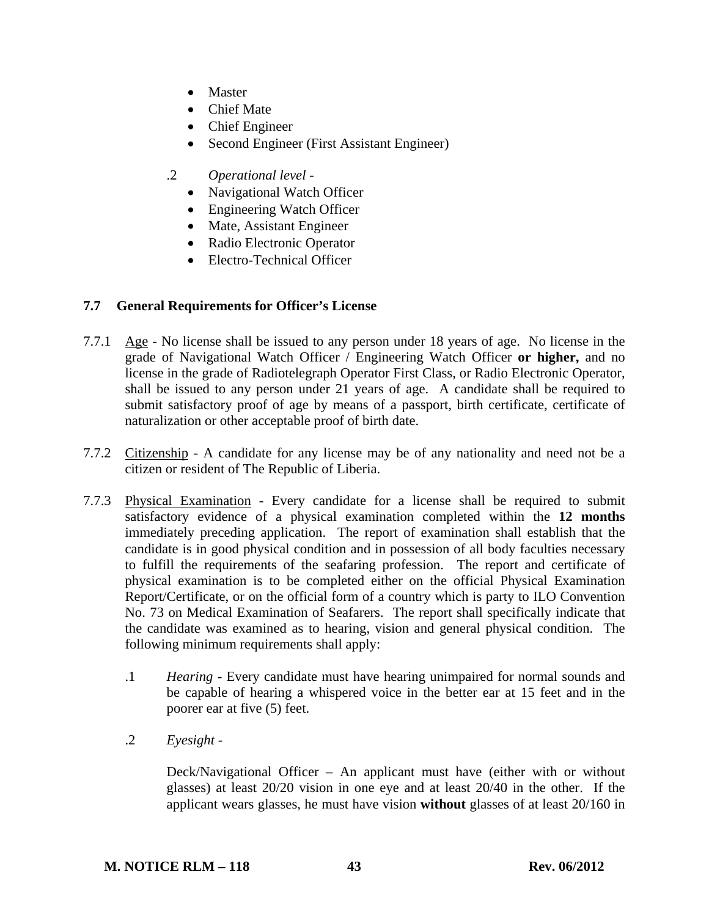- Master
- Chief Mate
- Chief Engineer
- Second Engineer (First Assistant Engineer)
- .2 *Operational level*
	- Navigational Watch Officer
	- Engineering Watch Officer
	- Mate, Assistant Engineer
	- Radio Electronic Operator
	- Electro-Technical Officer

### **7.7 General Requirements for Officer's License**

- 7.7.1 Age No license shall be issued to any person under 18 years of age. No license in the grade of Navigational Watch Officer / Engineering Watch Officer **or higher,** and no license in the grade of Radiotelegraph Operator First Class, or Radio Electronic Operator, shall be issued to any person under 21 years of age. A candidate shall be required to submit satisfactory proof of age by means of a passport, birth certificate, certificate of naturalization or other acceptable proof of birth date.
- 7.7.2 Citizenship A candidate for any license may be of any nationality and need not be a citizen or resident of The Republic of Liberia.
- 7.7.3 Physical Examination Every candidate for a license shall be required to submit satisfactory evidence of a physical examination completed within the **12 months** immediately preceding application. The report of examination shall establish that the candidate is in good physical condition and in possession of all body faculties necessary to fulfill the requirements of the seafaring profession. The report and certificate of physical examination is to be completed either on the official Physical Examination Report/Certificate, or on the official form of a country which is party to ILO Convention No. 73 on Medical Examination of Seafarers. The report shall specifically indicate that the candidate was examined as to hearing, vision and general physical condition. The following minimum requirements shall apply:
	- .1 *Hearing* Every candidate must have hearing unimpaired for normal sounds and be capable of hearing a whispered voice in the better ear at 15 feet and in the poorer ear at five (5) feet.
	- .2 *Eyesight*

 Deck/Navigational Officer – An applicant must have (either with or without glasses) at least 20/20 vision in one eye and at least 20/40 in the other. If the applicant wears glasses, he must have vision **without** glasses of at least 20/160 in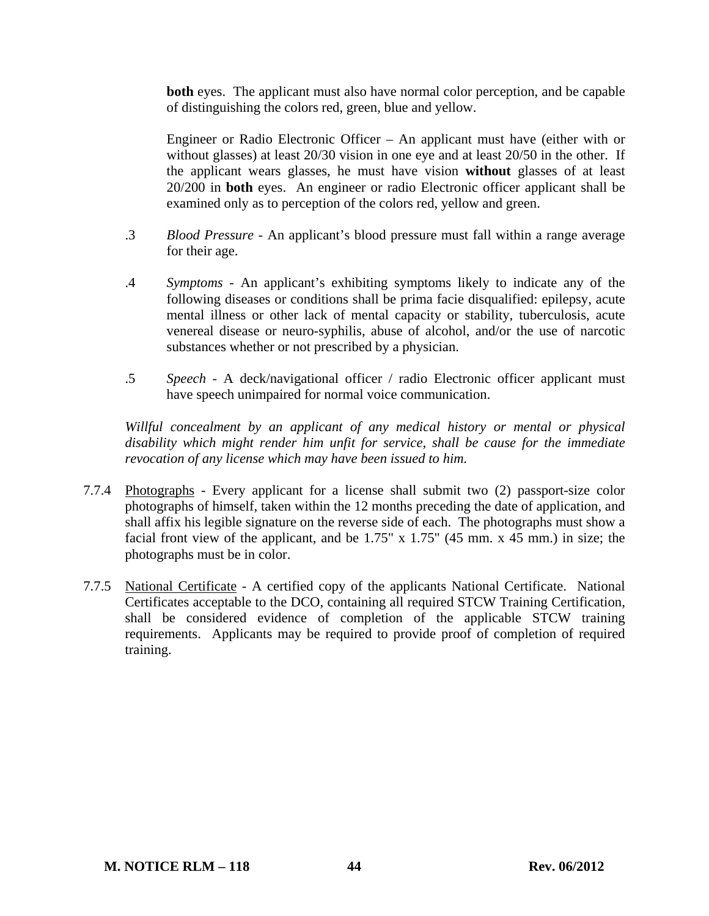**both** eyes. The applicant must also have normal color perception, and be capable of distinguishing the colors red, green, blue and yellow.

 Engineer or Radio Electronic Officer – An applicant must have (either with or without glasses) at least 20/30 vision in one eye and at least 20/50 in the other. If the applicant wears glasses, he must have vision **without** glasses of at least 20/200 in **both** eyes. An engineer or radio Electronic officer applicant shall be examined only as to perception of the colors red, yellow and green.

- .3 *Blood Pressure* An applicant's blood pressure must fall within a range average for their age.
- .4 *Symptoms* An applicant's exhibiting symptoms likely to indicate any of the following diseases or conditions shall be prima facie disqualified: epilepsy, acute mental illness or other lack of mental capacity or stability, tuberculosis, acute venereal disease or neuro-syphilis, abuse of alcohol, and/or the use of narcotic substances whether or not prescribed by a physician.
- .5 *Speech* A deck/navigational officer / radio Electronic officer applicant must have speech unimpaired for normal voice communication.

 *Willful concealment by an applicant of any medical history or mental or physical disability which might render him unfit for service, shall be cause for the immediate revocation of any license which may have been issued to him.*

- 7.7.4 Photographs Every applicant for a license shall submit two (2) passport-size color photographs of himself, taken within the 12 months preceding the date of application, and shall affix his legible signature on the reverse side of each. The photographs must show a facial front view of the applicant, and be  $1.75''$  x  $1.75''$  (45 mm. x 45 mm.) in size; the photographs must be in color.
- 7.7.5 National Certificate A certified copy of the applicants National Certificate. National Certificates acceptable to the DCO, containing all required STCW Training Certification, shall be considered evidence of completion of the applicable STCW training requirements. Applicants may be required to provide proof of completion of required training.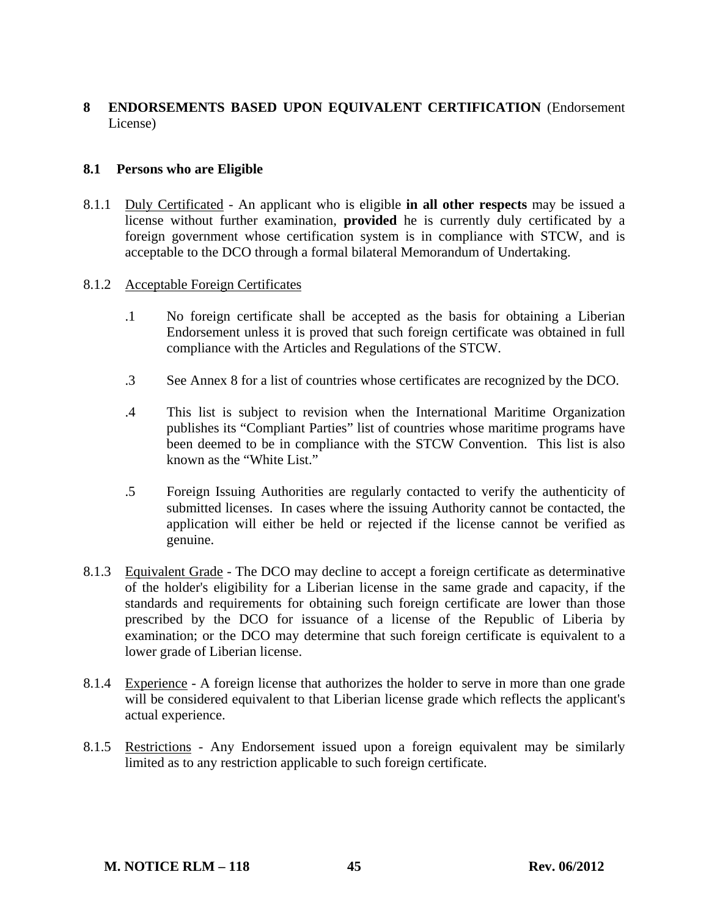# **8 ENDORSEMENTS BASED UPON EQUIVALENT CERTIFICATION** (Endorsement License)

### **8.1 Persons who are Eligible**

8.1.1 Duly Certificated - An applicant who is eligible **in all other respects** may be issued a license without further examination, **provided** he is currently duly certificated by a foreign government whose certification system is in compliance with STCW, and is acceptable to the DCO through a formal bilateral Memorandum of Undertaking.

### 8.1.2 Acceptable Foreign Certificates

- .1 No foreign certificate shall be accepted as the basis for obtaining a Liberian Endorsement unless it is proved that such foreign certificate was obtained in full compliance with the Articles and Regulations of the STCW.
- .3 See Annex 8 for a list of countries whose certificates are recognized by the DCO.
- .4 This list is subject to revision when the International Maritime Organization publishes its "Compliant Parties" list of countries whose maritime programs have been deemed to be in compliance with the STCW Convention. This list is also known as the "White List."
- .5 Foreign Issuing Authorities are regularly contacted to verify the authenticity of submitted licenses. In cases where the issuing Authority cannot be contacted, the application will either be held or rejected if the license cannot be verified as genuine.
- 8.1.3 Equivalent Grade The DCO may decline to accept a foreign certificate as determinative of the holder's eligibility for a Liberian license in the same grade and capacity, if the standards and requirements for obtaining such foreign certificate are lower than those prescribed by the DCO for issuance of a license of the Republic of Liberia by examination; or the DCO may determine that such foreign certificate is equivalent to a lower grade of Liberian license.
- 8.1.4 Experience A foreign license that authorizes the holder to serve in more than one grade will be considered equivalent to that Liberian license grade which reflects the applicant's actual experience.
- 8.1.5 Restrictions Any Endorsement issued upon a foreign equivalent may be similarly limited as to any restriction applicable to such foreign certificate.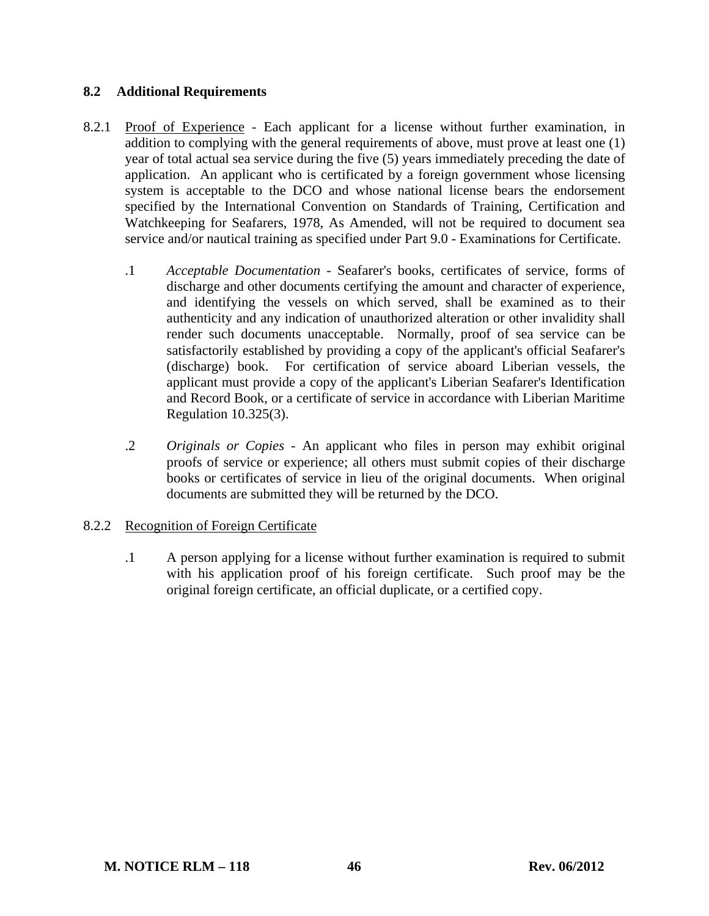### **8.2 Additional Requirements**

- 8.2.1 Proof of Experience Each applicant for a license without further examination, in addition to complying with the general requirements of above, must prove at least one (1) year of total actual sea service during the five (5) years immediately preceding the date of application. An applicant who is certificated by a foreign government whose licensing system is acceptable to the DCO and whose national license bears the endorsement specified by the International Convention on Standards of Training, Certification and Watchkeeping for Seafarers, 1978, As Amended, will not be required to document sea service and/or nautical training as specified under Part 9.0 - Examinations for Certificate.
	- .1 *Acceptable Documentation* Seafarer's books, certificates of service, forms of discharge and other documents certifying the amount and character of experience, and identifying the vessels on which served, shall be examined as to their authenticity and any indication of unauthorized alteration or other invalidity shall render such documents unacceptable. Normally, proof of sea service can be satisfactorily established by providing a copy of the applicant's official Seafarer's (discharge) book. For certification of service aboard Liberian vessels, the applicant must provide a copy of the applicant's Liberian Seafarer's Identification and Record Book, or a certificate of service in accordance with Liberian Maritime Regulation 10.325(3).
	- .2 *Originals or Copies* An applicant who files in person may exhibit original proofs of service or experience; all others must submit copies of their discharge books or certificates of service in lieu of the original documents. When original documents are submitted they will be returned by the DCO.

### 8.2.2 Recognition of Foreign Certificate

 .1 A person applying for a license without further examination is required to submit with his application proof of his foreign certificate. Such proof may be the original foreign certificate, an official duplicate, or a certified copy.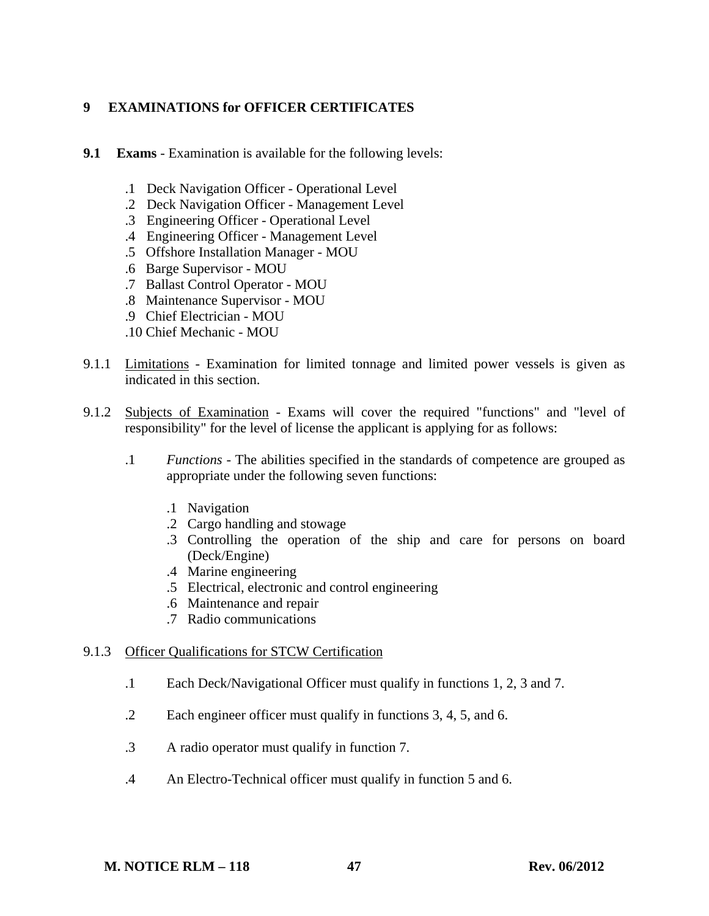# **9 EXAMINATIONS for OFFICER CERTIFICATES**

- **9.1 Exams** Examination is available for the following levels:
	- .1 Deck Navigation Officer Operational Level
	- .2 Deck Navigation Officer Management Level
	- .3 Engineering Officer Operational Level
	- .4 Engineering Officer Management Level
	- .5 Offshore Installation Manager MOU
	- .6 Barge Supervisor MOU
	- .7 Ballast Control Operator MOU
	- .8 Maintenance Supervisor MOU
	- .9 Chief Electrician MOU
	- .10 Chief Mechanic MOU
- 9.1.1 Limitations Examination for limited tonnage and limited power vessels is given as indicated in this section.
- 9.1.2 Subjects of Examination Exams will cover the required "functions" and "level of responsibility" for the level of license the applicant is applying for as follows:
	- .1 *Functions* The abilities specified in the standards of competence are grouped as appropriate under the following seven functions:
		- .1 Navigation
		- .2 Cargo handling and stowage
		- .3 Controlling the operation of the ship and care for persons on board (Deck/Engine)
		- .4 Marine engineering
		- .5 Electrical, electronic and control engineering
		- .6 Maintenance and repair
		- .7 Radio communications

### 9.1.3 Officer Qualifications for STCW Certification

- .1 Each Deck/Navigational Officer must qualify in functions 1, 2, 3 and 7.
- .2 Each engineer officer must qualify in functions 3, 4, 5, and 6.
- .3 A radio operator must qualify in function 7.
- .4 An Electro-Technical officer must qualify in function 5 and 6.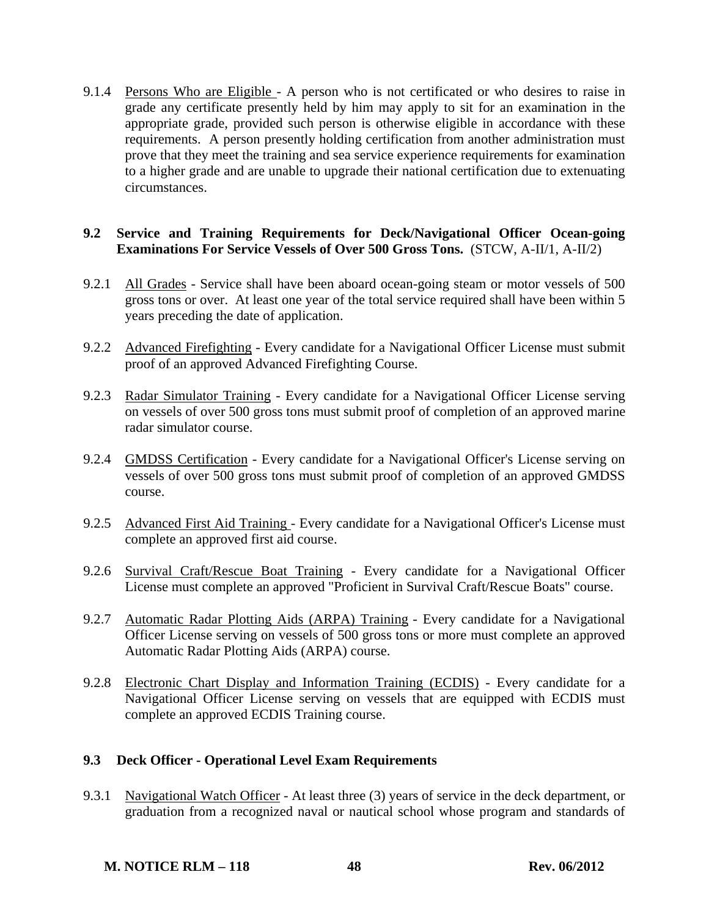9.1.4 Persons Who are Eligible - A person who is not certificated or who desires to raise in grade any certificate presently held by him may apply to sit for an examination in the appropriate grade, provided such person is otherwise eligible in accordance with these requirements. A person presently holding certification from another administration must prove that they meet the training and sea service experience requirements for examination to a higher grade and are unable to upgrade their national certification due to extenuating circumstances.

### **9.2 Service and Training Requirements for Deck/Navigational Officer Ocean-going Examinations For Service Vessels of Over 500 Gross Tons.** (STCW, A-II/1, A-II/2)

- 9.2.1 All Grades Service shall have been aboard ocean-going steam or motor vessels of 500 gross tons or over. At least one year of the total service required shall have been within 5 years preceding the date of application.
- 9.2.2 Advanced Firefighting Every candidate for a Navigational Officer License must submit proof of an approved Advanced Firefighting Course.
- 9.2.3 Radar Simulator Training Every candidate for a Navigational Officer License serving on vessels of over 500 gross tons must submit proof of completion of an approved marine radar simulator course.
- 9.2.4 GMDSS Certification Every candidate for a Navigational Officer's License serving on vessels of over 500 gross tons must submit proof of completion of an approved GMDSS course.
- 9.2.5 Advanced First Aid Training Every candidate for a Navigational Officer's License must complete an approved first aid course.
- 9.2.6 Survival Craft/Rescue Boat Training Every candidate for a Navigational Officer License must complete an approved "Proficient in Survival Craft/Rescue Boats" course.
- 9.2.7 Automatic Radar Plotting Aids (ARPA) Training Every candidate for a Navigational Officer License serving on vessels of 500 gross tons or more must complete an approved Automatic Radar Plotting Aids (ARPA) course.
- 9.2.8 Electronic Chart Display and Information Training (ECDIS) Every candidate for a Navigational Officer License serving on vessels that are equipped with ECDIS must complete an approved ECDIS Training course.

# **9.3 Deck Officer - Operational Level Exam Requirements**

9.3.1 Navigational Watch Officer - At least three (3) years of service in the deck department, or graduation from a recognized naval or nautical school whose program and standards of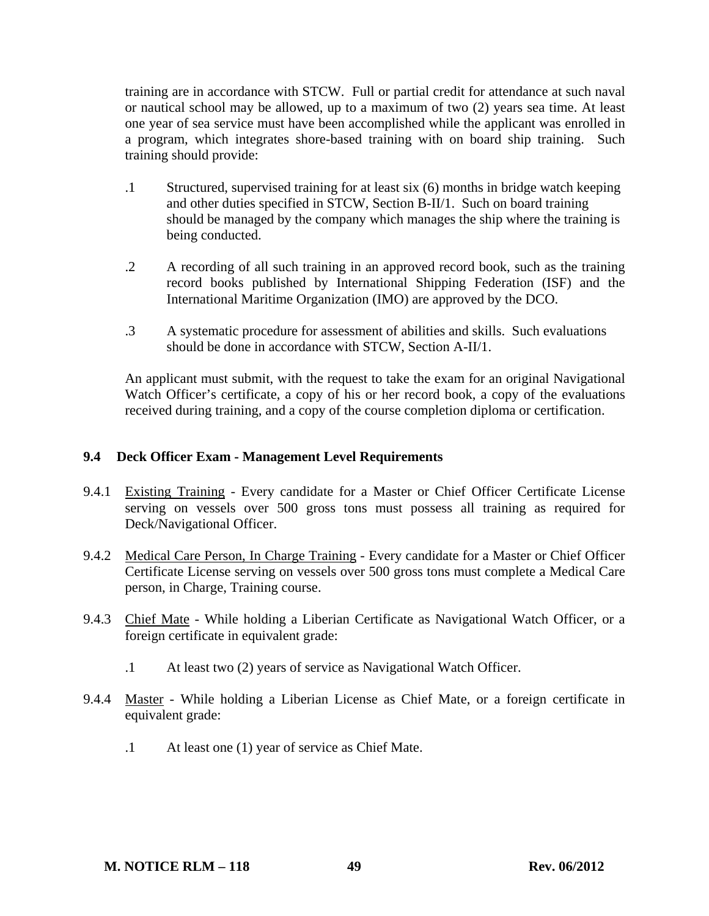training are in accordance with STCW. Full or partial credit for attendance at such naval or nautical school may be allowed, up to a maximum of two (2) years sea time. At least one year of sea service must have been accomplished while the applicant was enrolled in a program, which integrates shore-based training with on board ship training. Such training should provide:

- .1 Structured, supervised training for at least six (6) months in bridge watch keeping and other duties specified in STCW, Section B-II/1. Such on board training should be managed by the company which manages the ship where the training is being conducted.
- .2 A recording of all such training in an approved record book, such as the training record books published by International Shipping Federation (ISF) and the International Maritime Organization (IMO) are approved by the DCO.
- .3 A systematic procedure for assessment of abilities and skills. Such evaluations should be done in accordance with STCW, Section A-II/1.

 An applicant must submit, with the request to take the exam for an original Navigational Watch Officer's certificate, a copy of his or her record book, a copy of the evaluations received during training, and a copy of the course completion diploma or certification.

### **9.4 Deck Officer Exam - Management Level Requirements**

- 9.4.1 Existing Training Every candidate for a Master or Chief Officer Certificate License serving on vessels over 500 gross tons must possess all training as required for Deck/Navigational Officer.
- 9.4.2 Medical Care Person, In Charge Training Every candidate for a Master or Chief Officer Certificate License serving on vessels over 500 gross tons must complete a Medical Care person, in Charge, Training course.
- 9.4.3 Chief Mate While holding a Liberian Certificate as Navigational Watch Officer, or a foreign certificate in equivalent grade:
	- .1 At least two (2) years of service as Navigational Watch Officer.
- 9.4.4 Master While holding a Liberian License as Chief Mate, or a foreign certificate in equivalent grade:
	- .1 At least one (1) year of service as Chief Mate.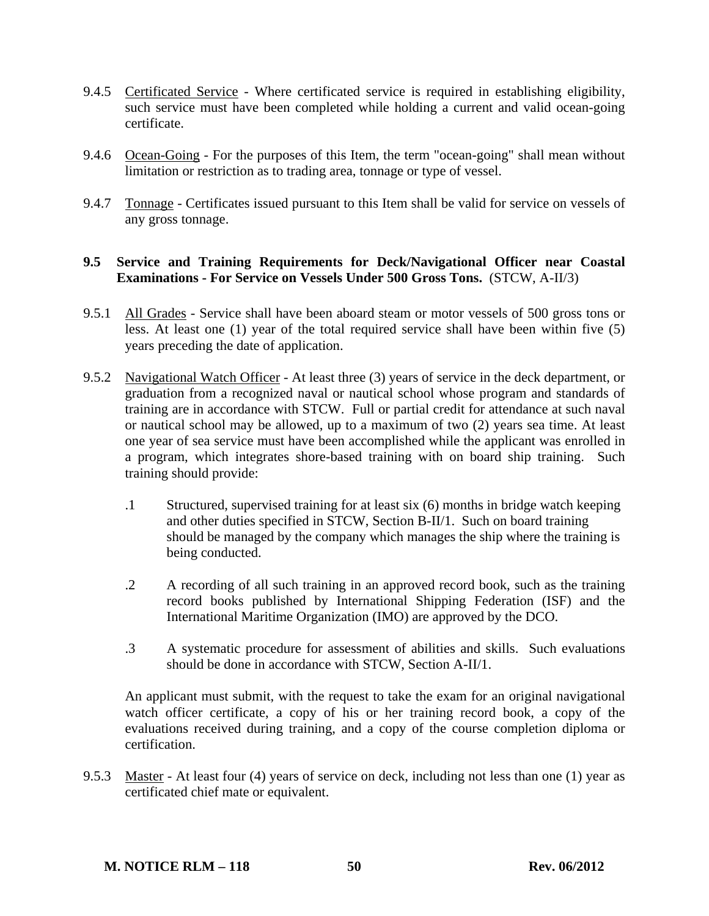- 9.4.5 Certificated Service Where certificated service is required in establishing eligibility, such service must have been completed while holding a current and valid ocean-going certificate.
- 9.4.6 Ocean-Going For the purposes of this Item, the term "ocean-going" shall mean without limitation or restriction as to trading area, tonnage or type of vessel.
- 9.4.7 Tonnage Certificates issued pursuant to this Item shall be valid for service on vessels of any gross tonnage.

#### **9.5 Service and Training Requirements for Deck/Navigational Officer near Coastal Examinations - For Service on Vessels Under 500 Gross Tons.** (STCW, A-II/3)

- 9.5.1 All Grades Service shall have been aboard steam or motor vessels of 500 gross tons or less. At least one (1) year of the total required service shall have been within five (5) years preceding the date of application.
- 9.5.2 Navigational Watch Officer At least three (3) years of service in the deck department, or graduation from a recognized naval or nautical school whose program and standards of training are in accordance with STCW. Full or partial credit for attendance at such naval or nautical school may be allowed, up to a maximum of two (2) years sea time. At least one year of sea service must have been accomplished while the applicant was enrolled in a program, which integrates shore-based training with on board ship training. Such training should provide:
	- .1 Structured, supervised training for at least six (6) months in bridge watch keeping and other duties specified in STCW, Section B-II/1. Such on board training should be managed by the company which manages the ship where the training is being conducted.
	- .2 A recording of all such training in an approved record book, such as the training record books published by International Shipping Federation (ISF) and the International Maritime Organization (IMO) are approved by the DCO.
	- .3 A systematic procedure for assessment of abilities and skills. Such evaluations should be done in accordance with STCW, Section A-II/1.

 An applicant must submit, with the request to take the exam for an original navigational watch officer certificate, a copy of his or her training record book, a copy of the evaluations received during training, and a copy of the course completion diploma or certification.

9.5.3 Master - At least four (4) years of service on deck, including not less than one (1) year as certificated chief mate or equivalent.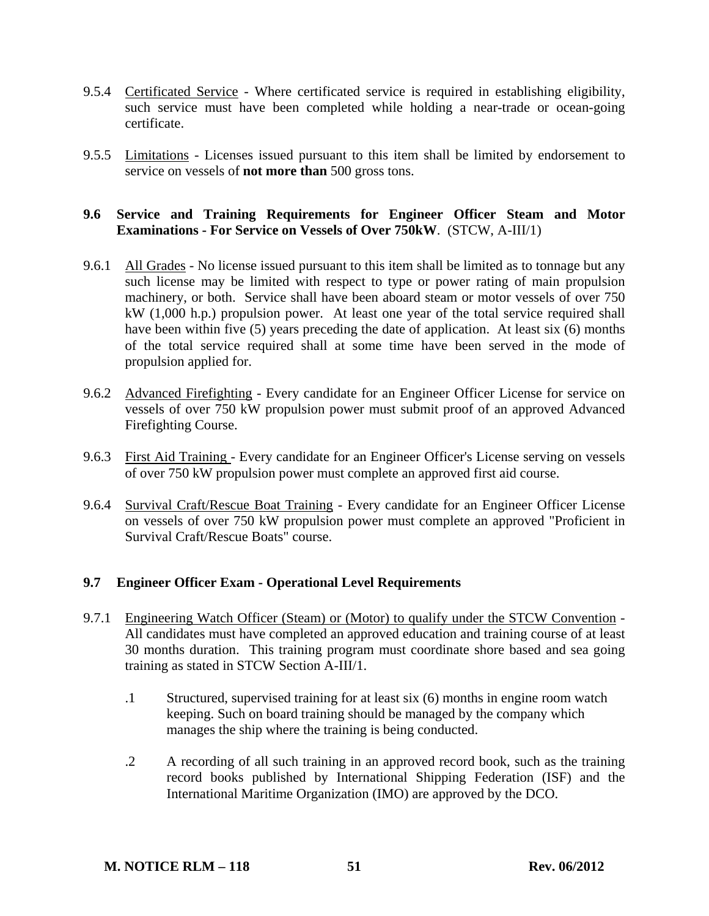- 9.5.4 Certificated Service Where certificated service is required in establishing eligibility, such service must have been completed while holding a near-trade or ocean-going certificate.
- 9.5.5 Limitations Licenses issued pursuant to this item shall be limited by endorsement to service on vessels of **not more than** 500 gross tons.

### **9.6 Service and Training Requirements for Engineer Officer Steam and Motor Examinations - For Service on Vessels of Over 750kW**. (STCW, A-III/1)

- 9.6.1 All Grades No license issued pursuant to this item shall be limited as to tonnage but any such license may be limited with respect to type or power rating of main propulsion machinery, or both. Service shall have been aboard steam or motor vessels of over 750 kW (1,000 h.p.) propulsion power. At least one year of the total service required shall have been within five (5) years preceding the date of application. At least six (6) months of the total service required shall at some time have been served in the mode of propulsion applied for.
- 9.6.2 Advanced Firefighting Every candidate for an Engineer Officer License for service on vessels of over 750 kW propulsion power must submit proof of an approved Advanced Firefighting Course.
- 9.6.3 First Aid Training Every candidate for an Engineer Officer's License serving on vessels of over 750 kW propulsion power must complete an approved first aid course.
- 9.6.4 Survival Craft/Rescue Boat Training Every candidate for an Engineer Officer License on vessels of over 750 kW propulsion power must complete an approved "Proficient in Survival Craft/Rescue Boats" course.

### **9.7 Engineer Officer Exam - Operational Level Requirements**

- 9.7.1 Engineering Watch Officer (Steam) or (Motor) to qualify under the STCW Convention -All candidates must have completed an approved education and training course of at least 30 months duration. This training program must coordinate shore based and sea going training as stated in STCW Section A-III/1.
	- .1 Structured, supervised training for at least six (6) months in engine room watch keeping. Such on board training should be managed by the company which manages the ship where the training is being conducted.
	- .2 A recording of all such training in an approved record book, such as the training record books published by International Shipping Federation (ISF) and the International Maritime Organization (IMO) are approved by the DCO.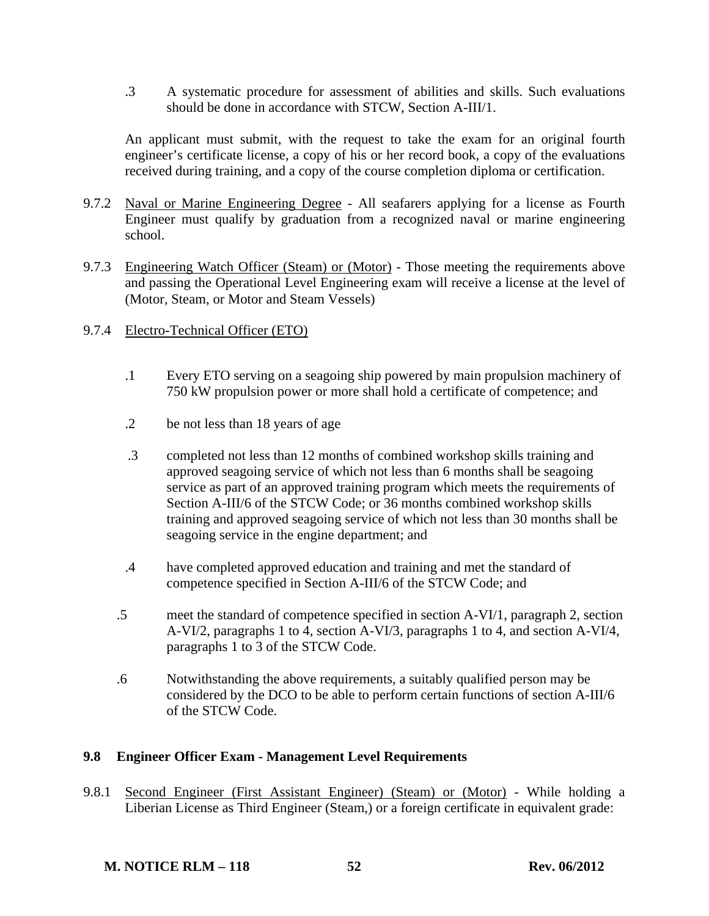.3 A systematic procedure for assessment of abilities and skills. Such evaluations should be done in accordance with STCW, Section A-III/1.

 An applicant must submit, with the request to take the exam for an original fourth engineer's certificate license, a copy of his or her record book, a copy of the evaluations received during training, and a copy of the course completion diploma or certification.

- 9.7.2 Naval or Marine Engineering Degree All seafarers applying for a license as Fourth Engineer must qualify by graduation from a recognized naval or marine engineering school.
- 9.7.3 Engineering Watch Officer (Steam) or (Motor) Those meeting the requirements above and passing the Operational Level Engineering exam will receive a license at the level of (Motor, Steam, or Motor and Steam Vessels)
- 9.7.4 Electro-Technical Officer (ETO)
	- .1 Every ETO serving on a seagoing ship powered by main propulsion machinery of 750 kW propulsion power or more shall hold a certificate of competence; and
	- .2 be not less than 18 years of age
	- .3 completed not less than 12 months of combined workshop skills training and approved seagoing service of which not less than 6 months shall be seagoing service as part of an approved training program which meets the requirements of Section A-III/6 of the STCW Code; or 36 months combined workshop skills training and approved seagoing service of which not less than 30 months shall be seagoing service in the engine department; and
	- .4 have completed approved education and training and met the standard of competence specified in Section A-III/6 of the STCW Code; and
	- .5 meet the standard of competence specified in section A-VI/1, paragraph 2, section A-VI/2, paragraphs 1 to 4, section A-VI/3, paragraphs 1 to 4, and section A-VI/4, paragraphs 1 to 3 of the STCW Code.
	- .6 Notwithstanding the above requirements, a suitably qualified person may be considered by the DCO to be able to perform certain functions of section A-III/6 of the STCW Code.

# **9.8 Engineer Officer Exam - Management Level Requirements**

9.8.1 Second Engineer (First Assistant Engineer) (Steam) or (Motor) - While holding a Liberian License as Third Engineer (Steam,) or a foreign certificate in equivalent grade: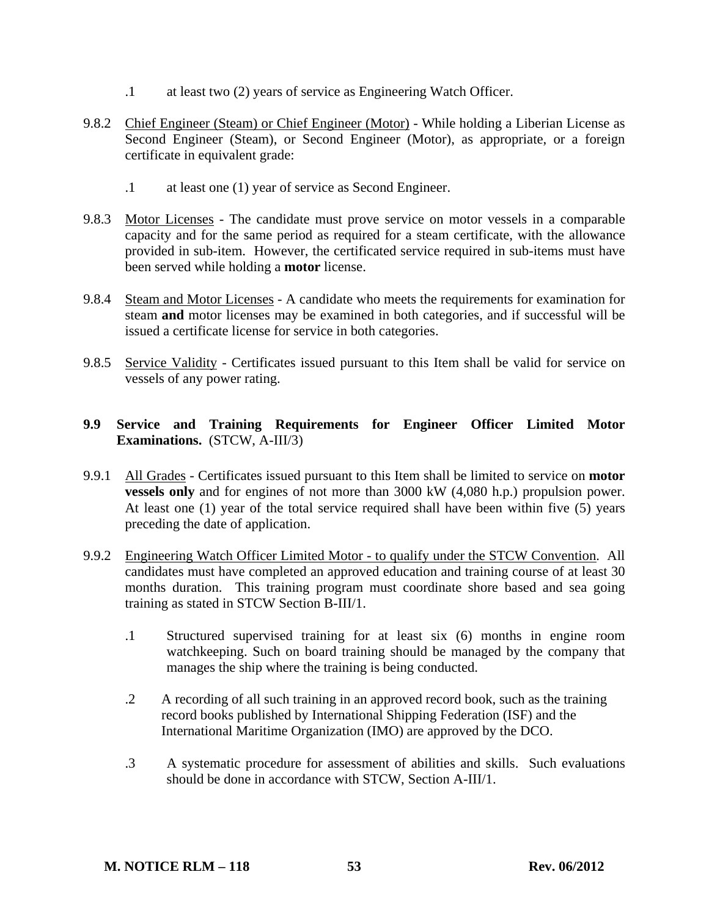- .1 at least two (2) years of service as Engineering Watch Officer.
- 9.8.2 Chief Engineer (Steam) or Chief Engineer (Motor) While holding a Liberian License as Second Engineer (Steam), or Second Engineer (Motor), as appropriate, or a foreign certificate in equivalent grade:
	- .1 at least one (1) year of service as Second Engineer.
- 9.8.3 Motor Licenses The candidate must prove service on motor vessels in a comparable capacity and for the same period as required for a steam certificate, with the allowance provided in sub-item. However, the certificated service required in sub-items must have been served while holding a **motor** license.
- 9.8.4 Steam and Motor Licenses A candidate who meets the requirements for examination for steam **and** motor licenses may be examined in both categories, and if successful will be issued a certificate license for service in both categories.
- 9.8.5 Service Validity Certificates issued pursuant to this Item shall be valid for service on vessels of any power rating.

### **9.9 Service and Training Requirements for Engineer Officer Limited Motor Examinations.** (STCW, A-III/3)

- 9.9.1 All Grades Certificates issued pursuant to this Item shall be limited to service on **motor vessels only** and for engines of not more than 3000 kW (4,080 h.p.) propulsion power. At least one (1) year of the total service required shall have been within five (5) years preceding the date of application.
- 9.9.2 Engineering Watch Officer Limited Motor to qualify under the STCW Convention. All candidates must have completed an approved education and training course of at least 30 months duration. This training program must coordinate shore based and sea going training as stated in STCW Section B-III/1.
	- .1 Structured supervised training for at least six (6) months in engine room watchkeeping. Such on board training should be managed by the company that manages the ship where the training is being conducted.
	- .2 A recording of all such training in an approved record book, such as the training record books published by International Shipping Federation (ISF) and the International Maritime Organization (IMO) are approved by the DCO.
	- .3 A systematic procedure for assessment of abilities and skills. Such evaluations should be done in accordance with STCW, Section A-III/1.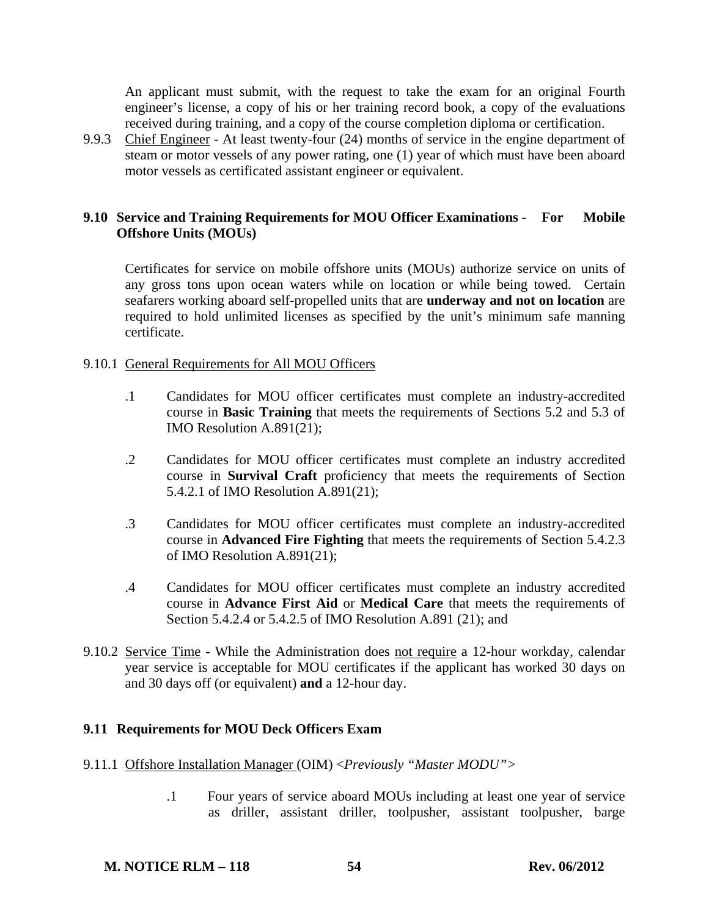An applicant must submit, with the request to take the exam for an original Fourth engineer's license, a copy of his or her training record book, a copy of the evaluations received during training, and a copy of the course completion diploma or certification.

9.9.3 Chief Engineer - At least twenty-four (24) months of service in the engine department of steam or motor vessels of any power rating, one (1) year of which must have been aboard motor vessels as certificated assistant engineer or equivalent.

### **9.10 Service and Training Requirements for MOU Officer Examinations - For Mobile Offshore Units (MOUs)**

Certificates for service on mobile offshore units (MOUs) authorize service on units of any gross tons upon ocean waters while on location or while being towed. Certain seafarers working aboard self-propelled units that are **underway and not on location** are required to hold unlimited licenses as specified by the unit's minimum safe manning certificate.

#### 9.10.1 General Requirements for All MOU Officers

- .1 Candidates for MOU officer certificates must complete an industry-accredited course in **Basic Training** that meets the requirements of Sections 5.2 and 5.3 of IMO Resolution A.891(21);
- .2 Candidates for MOU officer certificates must complete an industry accredited course in **Survival Craft** proficiency that meets the requirements of Section 5.4.2.1 of IMO Resolution A.891(21);
- .3 Candidates for MOU officer certificates must complete an industry-accredited course in **Advanced Fire Fighting** that meets the requirements of Section 5.4.2.3 of IMO Resolution A.891(21);
- .4 Candidates for MOU officer certificates must complete an industry accredited course in **Advance First Aid** or **Medical Care** that meets the requirements of Section 5.4.2.4 or 5.4.2.5 of IMO Resolution A.891 (21); and
- 9.10.2 Service Time While the Administration does not require a 12-hour workday, calendar year service is acceptable for MOU certificates if the applicant has worked 30 days on and 30 days off (or equivalent) **and** a 12-hour day.

### **9.11 Requirements for MOU Deck Officers Exam**

- 9.11.1 Offshore Installation Manager (OIM) <*Previously "Master MODU">* 
	- .1 Four years of service aboard MOUs including at least one year of service as driller, assistant driller, toolpusher, assistant toolpusher, barge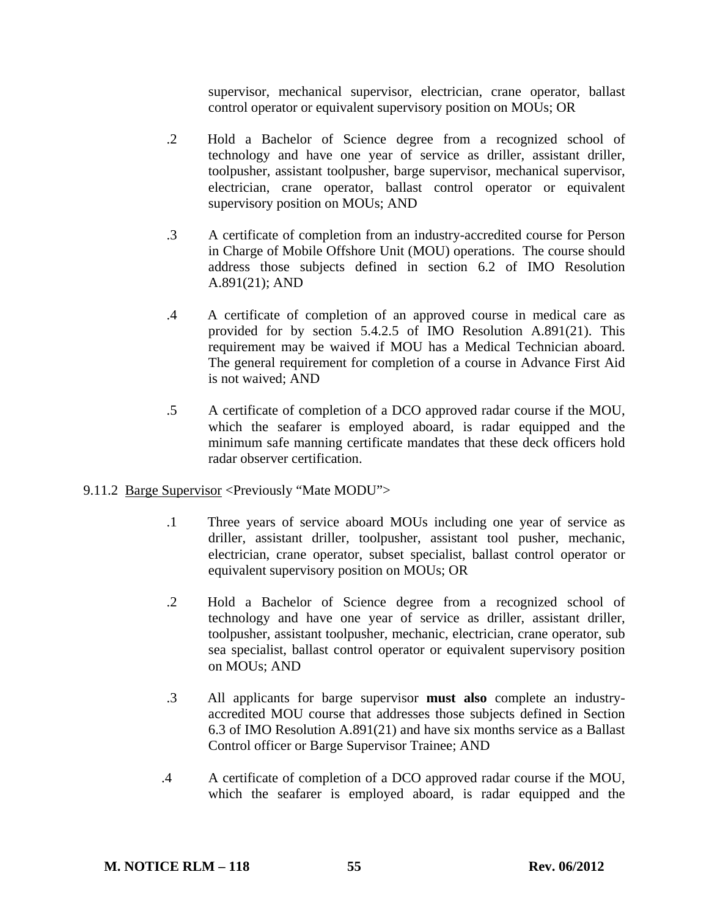supervisor, mechanical supervisor, electrician, crane operator, ballast control operator or equivalent supervisory position on MOUs; OR

- .2 Hold a Bachelor of Science degree from a recognized school of technology and have one year of service as driller, assistant driller, toolpusher, assistant toolpusher, barge supervisor, mechanical supervisor, electrician, crane operator, ballast control operator or equivalent supervisory position on MOUs; AND
- .3 A certificate of completion from an industry-accredited course for Person in Charge of Mobile Offshore Unit (MOU) operations. The course should address those subjects defined in section 6.2 of IMO Resolution A.891(21); AND
- .4 A certificate of completion of an approved course in medical care as provided for by section 5.4.2.5 of IMO Resolution A.891(21). This requirement may be waived if MOU has a Medical Technician aboard. The general requirement for completion of a course in Advance First Aid is not waived; AND
- .5 A certificate of completion of a DCO approved radar course if the MOU, which the seafarer is employed aboard, is radar equipped and the minimum safe manning certificate mandates that these deck officers hold radar observer certification.

# 9.11.2 Barge Supervisor <Previously "Mate MODU">

- .1 Three years of service aboard MOUs including one year of service as driller, assistant driller, toolpusher, assistant tool pusher, mechanic, electrician, crane operator, subset specialist, ballast control operator or equivalent supervisory position on MOUs; OR
- .2 Hold a Bachelor of Science degree from a recognized school of technology and have one year of service as driller, assistant driller, toolpusher, assistant toolpusher, mechanic, electrician, crane operator, sub sea specialist, ballast control operator or equivalent supervisory position on MOUs; AND
- .3 All applicants for barge supervisor **must also** complete an industryaccredited MOU course that addresses those subjects defined in Section 6.3 of IMO Resolution A.891(21) and have six months service as a Ballast Control officer or Barge Supervisor Trainee; AND
- .4 A certificate of completion of a DCO approved radar course if the MOU, which the seafarer is employed aboard, is radar equipped and the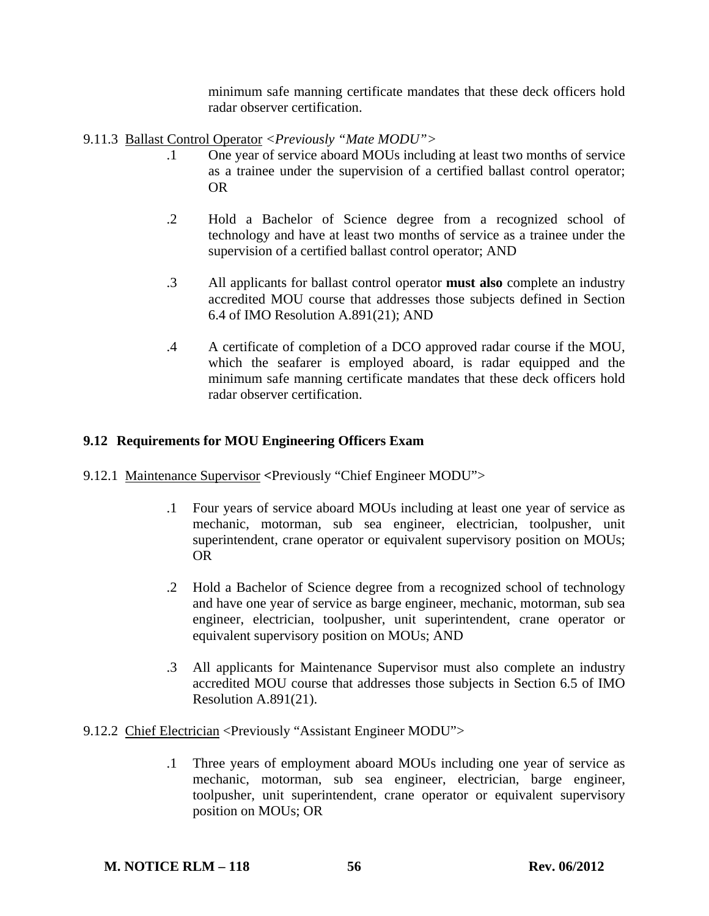minimum safe manning certificate mandates that these deck officers hold radar observer certification.

9.11.3 Ballast Control Operator *<Previously "Mate MODU">*

- .1 One year of service aboard MOUs including at least two months of service as a trainee under the supervision of a certified ballast control operator; OR
- .2 Hold a Bachelor of Science degree from a recognized school of technology and have at least two months of service as a trainee under the supervision of a certified ballast control operator; AND
- .3 All applicants for ballast control operator **must also** complete an industry accredited MOU course that addresses those subjects defined in Section 6.4 of IMO Resolution A.891(21); AND
- .4 A certificate of completion of a DCO approved radar course if the MOU, which the seafarer is employed aboard, is radar equipped and the minimum safe manning certificate mandates that these deck officers hold radar observer certification.

# **9.12 Requirements for MOU Engineering Officers Exam**

- 9.12.1 Maintenance Supervisor **<**Previously "Chief Engineer MODU">
	- .1 Four years of service aboard MOUs including at least one year of service as mechanic, motorman, sub sea engineer, electrician, toolpusher, unit superintendent, crane operator or equivalent supervisory position on MOUs; OR
	- .2 Hold a Bachelor of Science degree from a recognized school of technology and have one year of service as barge engineer, mechanic, motorman, sub sea engineer, electrician, toolpusher, unit superintendent, crane operator or equivalent supervisory position on MOUs; AND
	- .3 All applicants for Maintenance Supervisor must also complete an industry accredited MOU course that addresses those subjects in Section 6.5 of IMO Resolution A.891(21).
- 9.12.2 Chief Electrician <Previously "Assistant Engineer MODU">
	- .1 Three years of employment aboard MOUs including one year of service as mechanic, motorman, sub sea engineer, electrician, barge engineer, toolpusher, unit superintendent, crane operator or equivalent supervisory position on MOUs; OR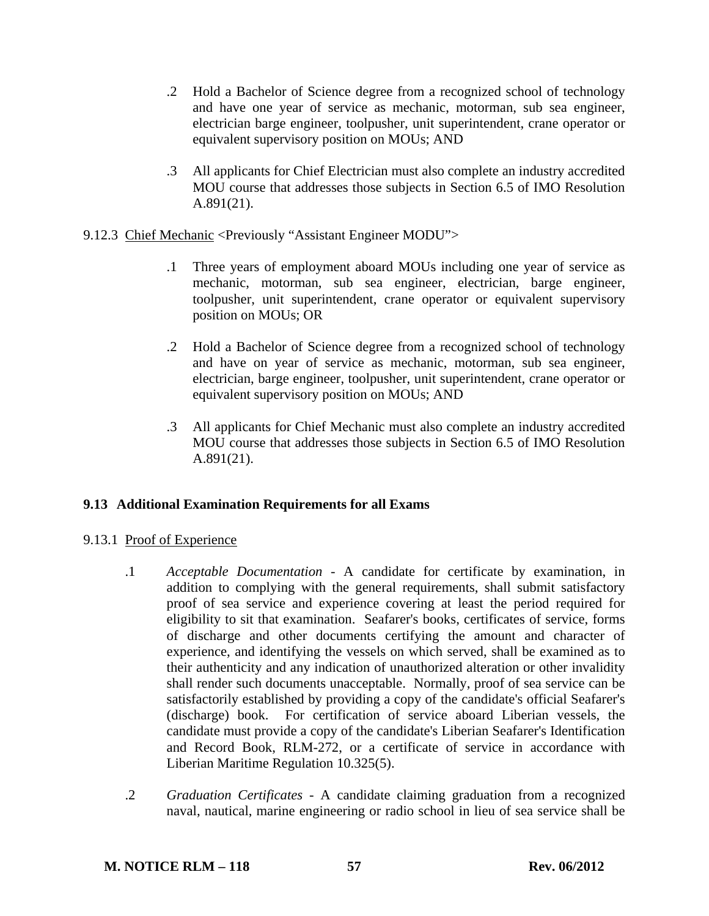- .2 Hold a Bachelor of Science degree from a recognized school of technology and have one year of service as mechanic, motorman, sub sea engineer, electrician barge engineer, toolpusher, unit superintendent, crane operator or equivalent supervisory position on MOUs; AND
- .3 All applicants for Chief Electrician must also complete an industry accredited MOU course that addresses those subjects in Section 6.5 of IMO Resolution A.891(21).
- 9.12.3 Chief Mechanic <Previously "Assistant Engineer MODU">
	- .1 Three years of employment aboard MOUs including one year of service as mechanic, motorman, sub sea engineer, electrician, barge engineer, toolpusher, unit superintendent, crane operator or equivalent supervisory position on MOUs; OR
	- .2 Hold a Bachelor of Science degree from a recognized school of technology and have on year of service as mechanic, motorman, sub sea engineer, electrician, barge engineer, toolpusher, unit superintendent, crane operator or equivalent supervisory position on MOUs; AND
	- .3 All applicants for Chief Mechanic must also complete an industry accredited MOU course that addresses those subjects in Section 6.5 of IMO Resolution A.891(21).

# **9.13 Additional Examination Requirements for all Exams**

# 9.13.1 Proof of Experience

- .1 *Acceptable Documentation* A candidate for certificate by examination, in addition to complying with the general requirements, shall submit satisfactory proof of sea service and experience covering at least the period required for eligibility to sit that examination. Seafarer's books, certificates of service, forms of discharge and other documents certifying the amount and character of experience, and identifying the vessels on which served, shall be examined as to their authenticity and any indication of unauthorized alteration or other invalidity shall render such documents unacceptable. Normally, proof of sea service can be satisfactorily established by providing a copy of the candidate's official Seafarer's (discharge) book. For certification of service aboard Liberian vessels, the candidate must provide a copy of the candidate's Liberian Seafarer's Identification and Record Book, RLM-272, or a certificate of service in accordance with Liberian Maritime Regulation 10.325(5).
- .2 *Graduation Certificates* A candidate claiming graduation from a recognized naval, nautical, marine engineering or radio school in lieu of sea service shall be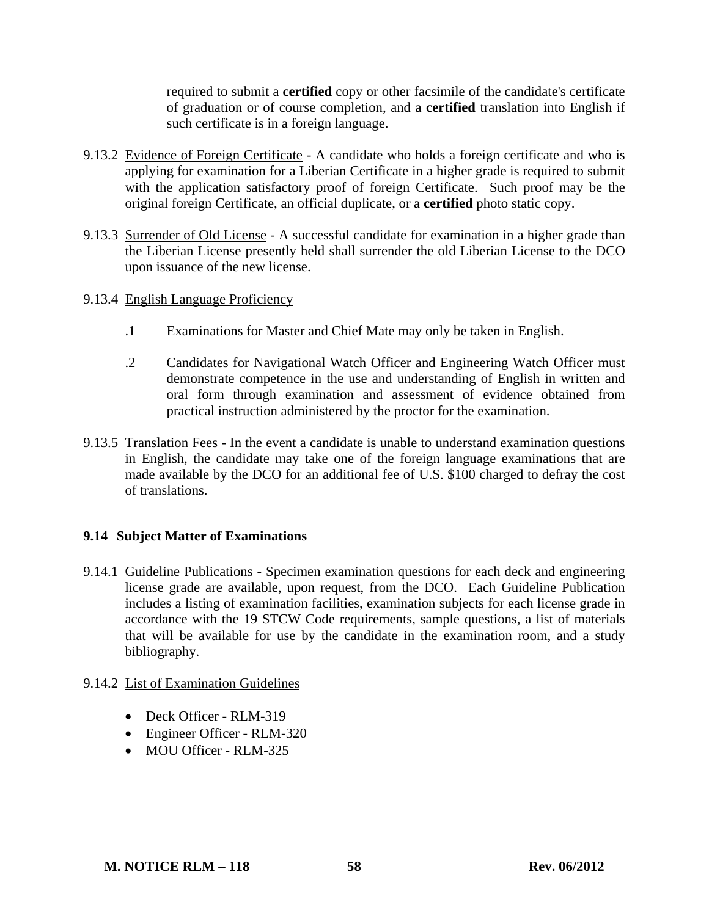required to submit a **certified** copy or other facsimile of the candidate's certificate of graduation or of course completion, and a **certified** translation into English if such certificate is in a foreign language.

- 9.13.2 Evidence of Foreign Certificate A candidate who holds a foreign certificate and who is applying for examination for a Liberian Certificate in a higher grade is required to submit with the application satisfactory proof of foreign Certificate. Such proof may be the original foreign Certificate, an official duplicate, or a **certified** photo static copy.
- 9.13.3 Surrender of Old License A successful candidate for examination in a higher grade than the Liberian License presently held shall surrender the old Liberian License to the DCO upon issuance of the new license.
- 9.13.4 English Language Proficiency
	- .1 Examinations for Master and Chief Mate may only be taken in English.
	- .2 Candidates for Navigational Watch Officer and Engineering Watch Officer must demonstrate competence in the use and understanding of English in written and oral form through examination and assessment of evidence obtained from practical instruction administered by the proctor for the examination.
- 9.13.5 Translation Fees In the event a candidate is unable to understand examination questions in English, the candidate may take one of the foreign language examinations that are made available by the DCO for an additional fee of U.S. \$100 charged to defray the cost of translations.

# **9.14 Subject Matter of Examinations**

9.14.1 Guideline Publications - Specimen examination questions for each deck and engineering license grade are available, upon request, from the DCO. Each Guideline Publication includes a listing of examination facilities, examination subjects for each license grade in accordance with the 19 STCW Code requirements, sample questions, a list of materials that will be available for use by the candidate in the examination room, and a study bibliography.

# 9.14.2 List of Examination Guidelines

- Deck Officer RLM-319
- Engineer Officer RLM-320
- MOU Officer RLM-325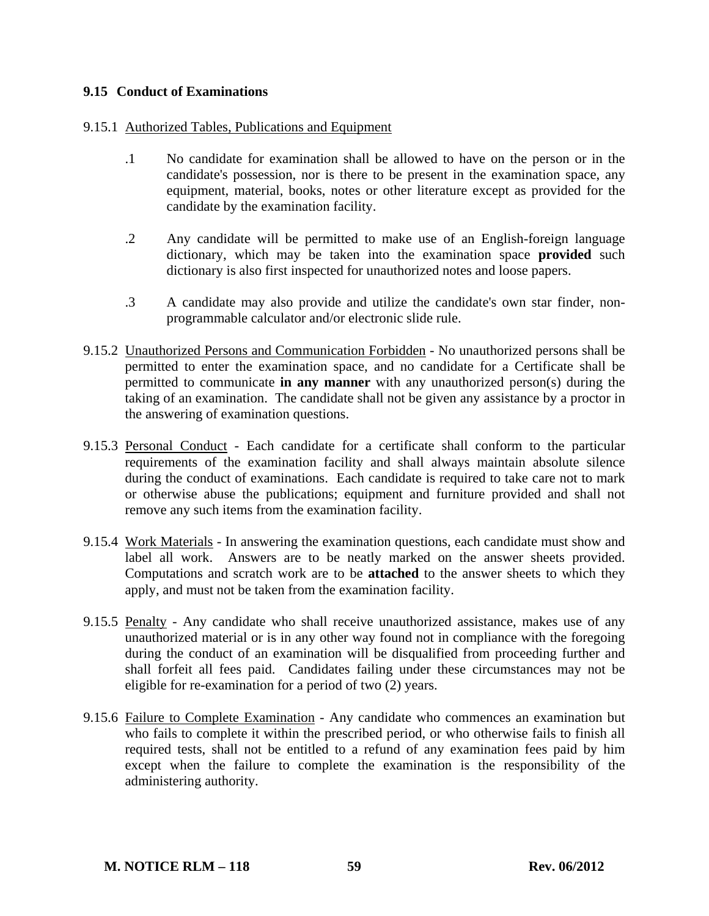### **9.15 Conduct of Examinations**

### 9.15.1 Authorized Tables, Publications and Equipment

- .1 No candidate for examination shall be allowed to have on the person or in the candidate's possession, nor is there to be present in the examination space, any equipment, material, books, notes or other literature except as provided for the candidate by the examination facility.
- .2 Any candidate will be permitted to make use of an English-foreign language dictionary, which may be taken into the examination space **provided** such dictionary is also first inspected for unauthorized notes and loose papers.
- .3 A candidate may also provide and utilize the candidate's own star finder, nonprogrammable calculator and/or electronic slide rule.
- 9.15.2 Unauthorized Persons and Communication Forbidden No unauthorized persons shall be permitted to enter the examination space, and no candidate for a Certificate shall be permitted to communicate **in any manner** with any unauthorized person(s) during the taking of an examination. The candidate shall not be given any assistance by a proctor in the answering of examination questions.
- 9.15.3 Personal Conduct Each candidate for a certificate shall conform to the particular requirements of the examination facility and shall always maintain absolute silence during the conduct of examinations. Each candidate is required to take care not to mark or otherwise abuse the publications; equipment and furniture provided and shall not remove any such items from the examination facility.
- 9.15.4 Work Materials In answering the examination questions, each candidate must show and label all work. Answers are to be neatly marked on the answer sheets provided. Computations and scratch work are to be **attached** to the answer sheets to which they apply, and must not be taken from the examination facility.
- 9.15.5 Penalty Any candidate who shall receive unauthorized assistance, makes use of any unauthorized material or is in any other way found not in compliance with the foregoing during the conduct of an examination will be disqualified from proceeding further and shall forfeit all fees paid. Candidates failing under these circumstances may not be eligible for re-examination for a period of two (2) years.
- 9.15.6 Failure to Complete Examination Any candidate who commences an examination but who fails to complete it within the prescribed period, or who otherwise fails to finish all required tests, shall not be entitled to a refund of any examination fees paid by him except when the failure to complete the examination is the responsibility of the administering authority.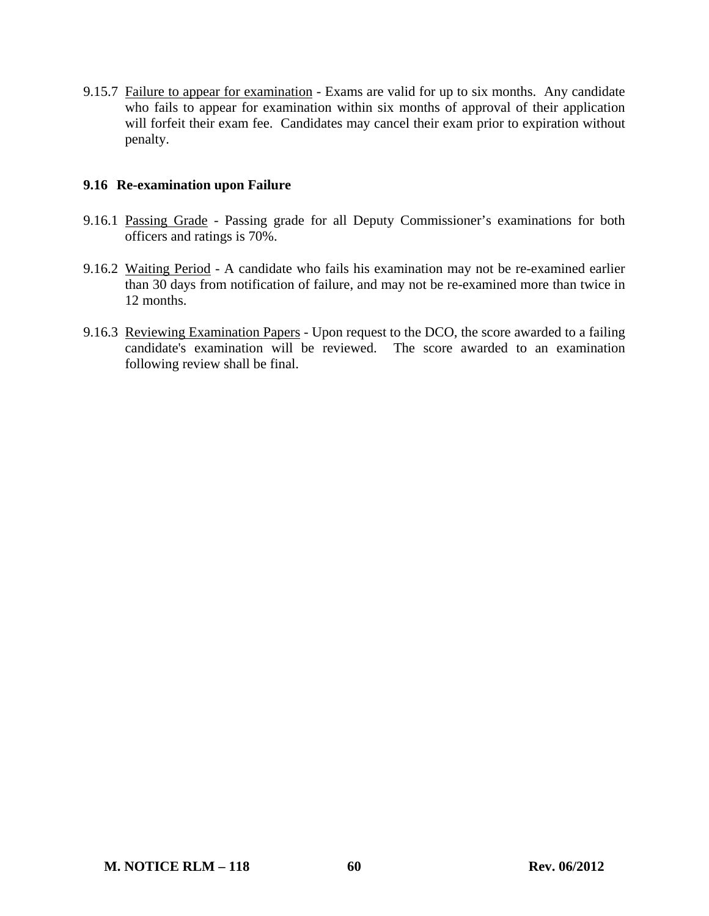9.15.7 Failure to appear for examination - Exams are valid for up to six months. Any candidate who fails to appear for examination within six months of approval of their application will forfeit their exam fee. Candidates may cancel their exam prior to expiration without penalty.

### **9.16 Re-examination upon Failure**

- 9.16.1 Passing Grade Passing grade for all Deputy Commissioner's examinations for both officers and ratings is 70%.
- 9.16.2 Waiting Period A candidate who fails his examination may not be re-examined earlier than 30 days from notification of failure, and may not be re-examined more than twice in 12 months.
- 9.16.3 Reviewing Examination Papers Upon request to the DCO, the score awarded to a failing candidate's examination will be reviewed. The score awarded to an examination following review shall be final.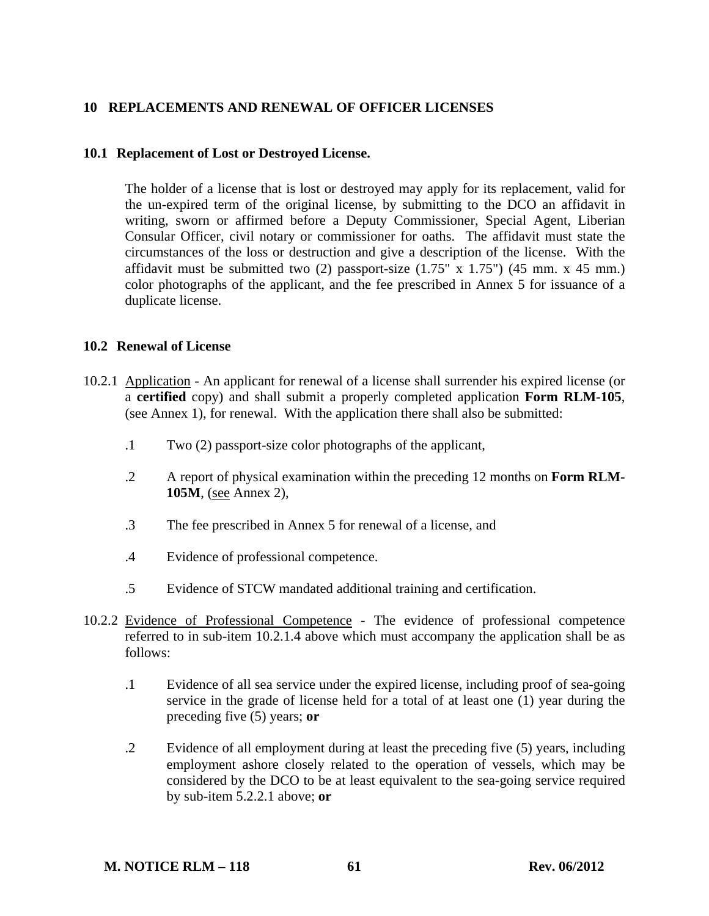### **10 REPLACEMENTS AND RENEWAL OF OFFICER LICENSES**

#### **10.1 Replacement of Lost or Destroyed License.**

 The holder of a license that is lost or destroyed may apply for its replacement, valid for the un-expired term of the original license, by submitting to the DCO an affidavit in writing, sworn or affirmed before a Deputy Commissioner, Special Agent, Liberian Consular Officer, civil notary or commissioner for oaths. The affidavit must state the circumstances of the loss or destruction and give a description of the license. With the affidavit must be submitted two  $(2)$  passport-size  $(1.75^\circ \text{ X } 1.75^\circ)$   $(45 \text{ mm. X } 45 \text{ mm.})$ color photographs of the applicant, and the fee prescribed in Annex 5 for issuance of a duplicate license.

#### **10.2 Renewal of License**

- 10.2.1 Application An applicant for renewal of a license shall surrender his expired license (or a **certified** copy) and shall submit a properly completed application **Form RLM-105**, (see Annex 1), for renewal. With the application there shall also be submitted:
	- .1 Two (2) passport-size color photographs of the applicant,
	- .2 A report of physical examination within the preceding 12 months on **Form RLM-105M**, (see Annex 2),
	- .3 The fee prescribed in Annex 5 for renewal of a license, and
	- .4 Evidence of professional competence.
	- .5 Evidence of STCW mandated additional training and certification.
- 10.2.2 Evidence of Professional Competence The evidence of professional competence referred to in sub-item 10.2.1.4 above which must accompany the application shall be as follows:
	- .1 Evidence of all sea service under the expired license, including proof of sea-going service in the grade of license held for a total of at least one (1) year during the preceding five (5) years; **or**
	- .2 Evidence of all employment during at least the preceding five (5) years, including employment ashore closely related to the operation of vessels, which may be considered by the DCO to be at least equivalent to the sea-going service required by sub-item 5.2.2.1 above; **or**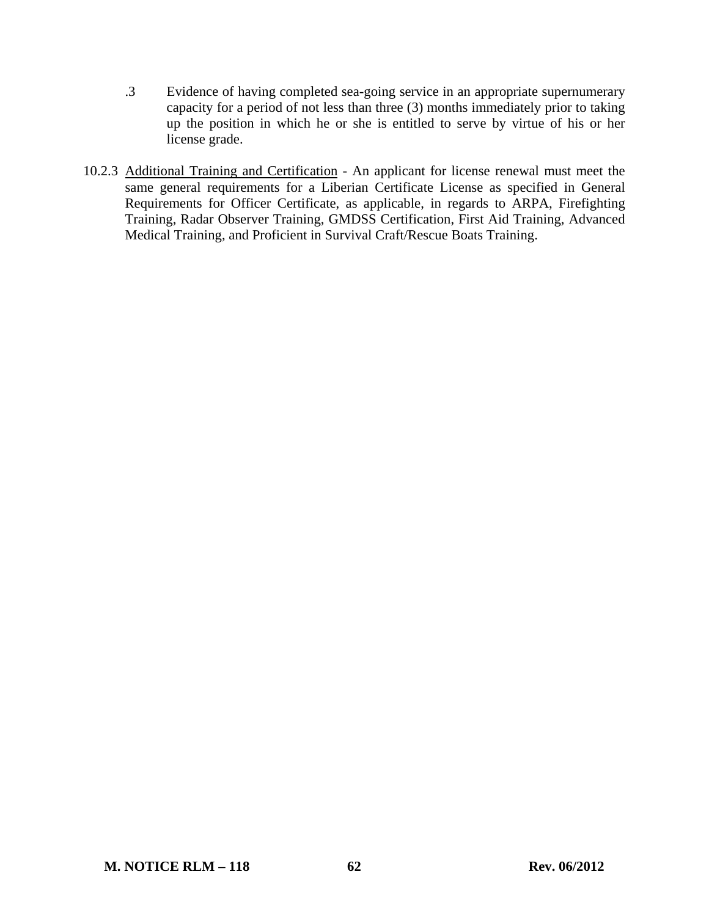- .3 Evidence of having completed sea-going service in an appropriate supernumerary capacity for a period of not less than three (3) months immediately prior to taking up the position in which he or she is entitled to serve by virtue of his or her license grade.
- 10.2.3 Additional Training and Certification An applicant for license renewal must meet the same general requirements for a Liberian Certificate License as specified in General Requirements for Officer Certificate, as applicable, in regards to ARPA, Firefighting Training, Radar Observer Training, GMDSS Certification, First Aid Training, Advanced Medical Training, and Proficient in Survival Craft/Rescue Boats Training.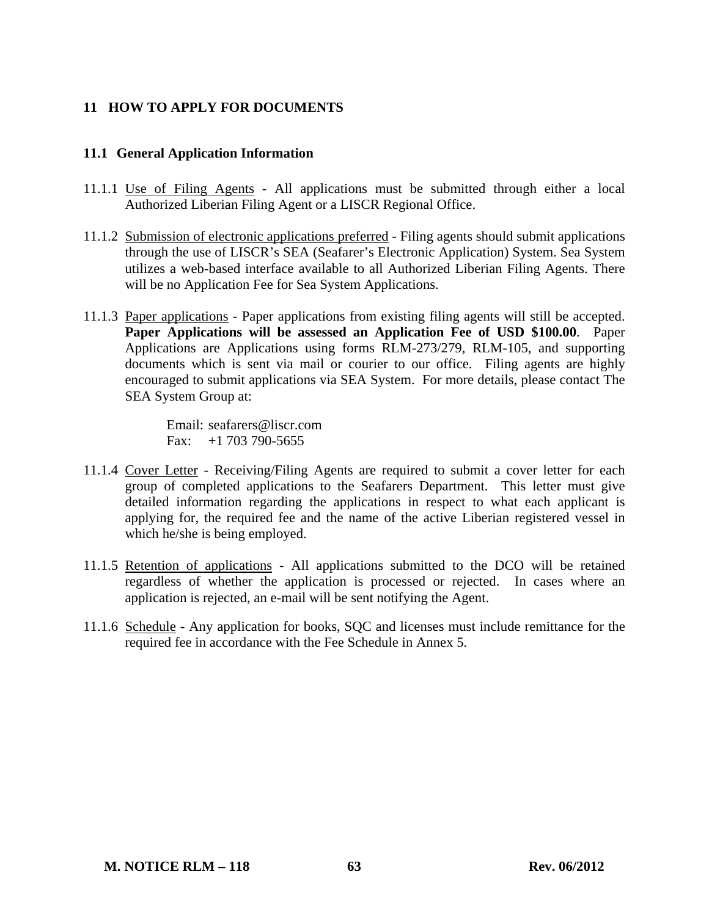## **11 HOW TO APPLY FOR DOCUMENTS**

### **11.1 General Application Information**

- 11.1.1 Use of Filing Agents All applications must be submitted through either a local Authorized Liberian Filing Agent or a LISCR Regional Office.
- 11.1.2 Submission of electronic applications preferred Filing agents should submit applications through the use of LISCR's SEA (Seafarer's Electronic Application) System. Sea System utilizes a web-based interface available to all Authorized Liberian Filing Agents. There will be no Application Fee for Sea System Applications.
- 11.1.3 Paper applications Paper applications from existing filing agents will still be accepted. **Paper Applications will be assessed an Application Fee of USD \$100.00**. Paper Applications are Applications using forms RLM-273/279, RLM-105, and supporting documents which is sent via mail or courier to our office. Filing agents are highly encouraged to submit applications via SEA System. For more details, please contact The SEA System Group at:

Email: seafarers@liscr.com Fax:  $+1$  703 790-5655

- 11.1.4 Cover Letter Receiving/Filing Agents are required to submit a cover letter for each group of completed applications to the Seafarers Department. This letter must give detailed information regarding the applications in respect to what each applicant is applying for, the required fee and the name of the active Liberian registered vessel in which he/she is being employed.
- 11.1.5 Retention of applications All applications submitted to the DCO will be retained regardless of whether the application is processed or rejected. In cases where an application is rejected, an e-mail will be sent notifying the Agent.
- 11.1.6 Schedule Any application for books, SQC and licenses must include remittance for the required fee in accordance with the Fee Schedule in Annex 5.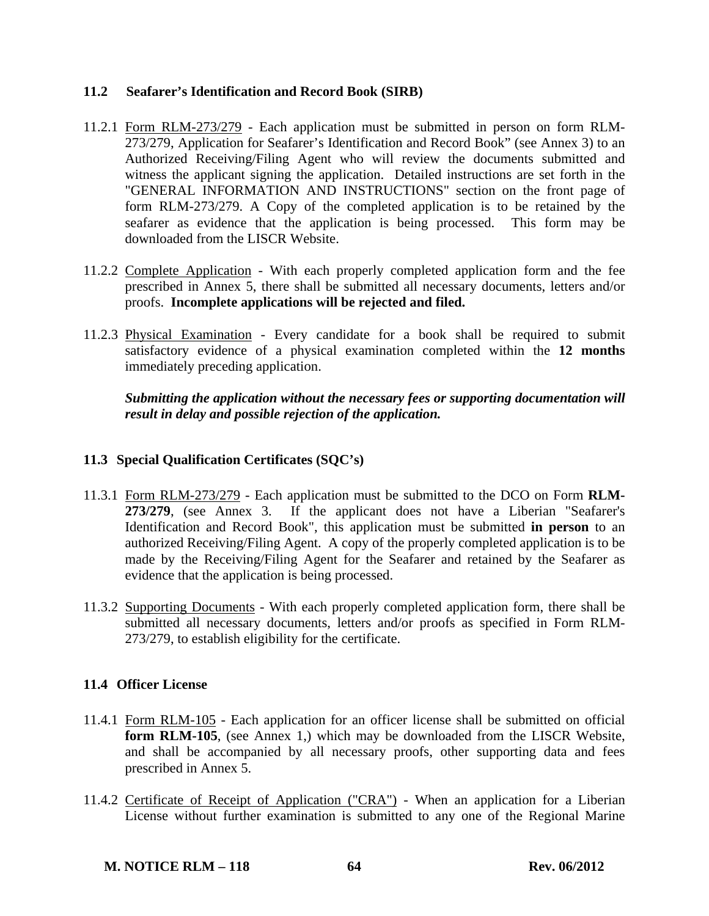## **11.2 Seafarer's Identification and Record Book (SIRB)**

- 11.2.1 Form RLM-273/279 Each application must be submitted in person on form RLM-273/279, Application for Seafarer's Identification and Record Book" (see Annex 3) to an Authorized Receiving/Filing Agent who will review the documents submitted and witness the applicant signing the application. Detailed instructions are set forth in the "GENERAL INFORMATION AND INSTRUCTIONS" section on the front page of form RLM-273/279. A Copy of the completed application is to be retained by the seafarer as evidence that the application is being processed. This form may be downloaded from the LISCR Website.
- 11.2.2 Complete Application With each properly completed application form and the fee prescribed in Annex 5, there shall be submitted all necessary documents, letters and/or proofs. **Incomplete applications will be rejected and filed.**
- 11.2.3 Physical Examination Every candidate for a book shall be required to submit satisfactory evidence of a physical examination completed within the **12 months** immediately preceding application.

 *Submitting the application without the necessary fees or supporting documentation will result in delay and possible rejection of the application.*

## **11.3 Special Qualification Certificates (SQC's)**

- 11.3.1 Form RLM-273/279 Each application must be submitted to the DCO on Form **RLM-273/279**, (see Annex 3. If the applicant does not have a Liberian "Seafarer's Identification and Record Book", this application must be submitted **in person** to an authorized Receiving/Filing Agent. A copy of the properly completed application is to be made by the Receiving/Filing Agent for the Seafarer and retained by the Seafarer as evidence that the application is being processed.
- 11.3.2 Supporting Documents With each properly completed application form, there shall be submitted all necessary documents, letters and/or proofs as specified in Form RLM-273/279, to establish eligibility for the certificate.

## **11.4 Officer License**

- 11.4.1 Form RLM-105 Each application for an officer license shall be submitted on official **form RLM-105**, (see Annex 1,) which may be downloaded from the LISCR Website, and shall be accompanied by all necessary proofs, other supporting data and fees prescribed in Annex 5.
- 11.4.2 Certificate of Receipt of Application ("CRA") When an application for a Liberian License without further examination is submitted to any one of the Regional Marine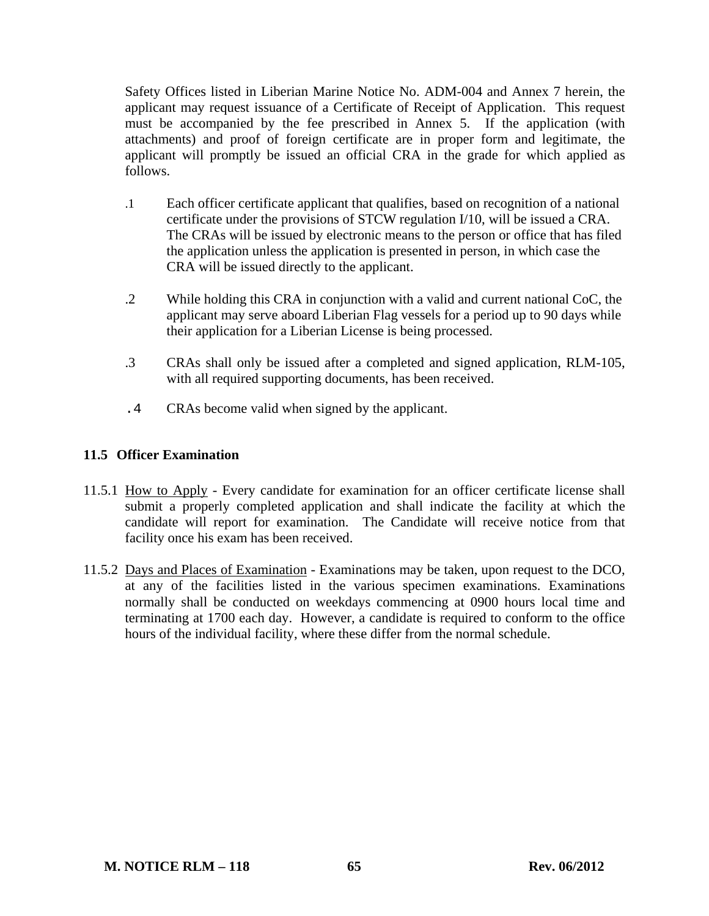Safety Offices listed in Liberian Marine Notice No. ADM-004 and Annex 7 herein, the applicant may request issuance of a Certificate of Receipt of Application. This request must be accompanied by the fee prescribed in Annex 5. If the application (with attachments) and proof of foreign certificate are in proper form and legitimate, the applicant will promptly be issued an official CRA in the grade for which applied as follows.

- .1 Each officer certificate applicant that qualifies, based on recognition of a national certificate under the provisions of STCW regulation I/10, will be issued a CRA. The CRAs will be issued by electronic means to the person or office that has filed the application unless the application is presented in person, in which case the CRA will be issued directly to the applicant.
- .2 While holding this CRA in conjunction with a valid and current national CoC, the applicant may serve aboard Liberian Flag vessels for a period up to 90 days while their application for a Liberian License is being processed.
- .3 CRAs shall only be issued after a completed and signed application, RLM-105, with all required supporting documents, has been received.
- .4 CRAs become valid when signed by the applicant.

## **11.5 Officer Examination**

- 11.5.1 How to Apply Every candidate for examination for an officer certificate license shall submit a properly completed application and shall indicate the facility at which the candidate will report for examination. The Candidate will receive notice from that facility once his exam has been received.
- 11.5.2 Days and Places of Examination Examinations may be taken, upon request to the DCO, at any of the facilities listed in the various specimen examinations. Examinations normally shall be conducted on weekdays commencing at 0900 hours local time and terminating at 1700 each day. However, a candidate is required to conform to the office hours of the individual facility, where these differ from the normal schedule.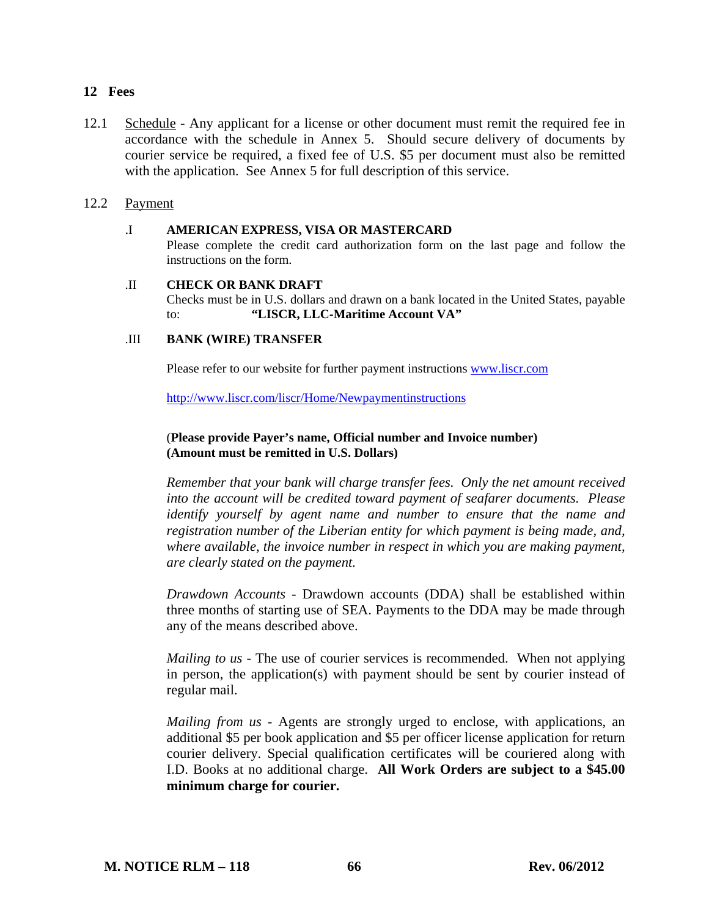#### **12 Fees**

12.1 Schedule - Any applicant for a license or other document must remit the required fee in accordance with the schedule in Annex 5. Should secure delivery of documents by courier service be required, a fixed fee of U.S. \$5 per document must also be remitted with the application. See Annex 5 for full description of this service.

### 12.2 Payment

#### .I **AMERICAN EXPRESS, VISA OR MASTERCARD**

Please complete the credit card authorization form on the last page and follow the instructions on the form.

# .II **CHECK OR BANK DRAFT**

Checks must be in U.S. dollars and drawn on a bank located in the United States, payable to: **"LISCR, LLC-Maritime Account VA"** 

#### .III **BANK (WIRE) TRANSFER**

Please refer to our website for further payment instructions www.liscr.com

http://www.liscr.com/liscr/Home/Newpaymentinstructions

#### (**Please provide Payer's name, Official number and Invoice number) (Amount must be remitted in U.S. Dollars)**

*Remember that your bank will charge transfer fees. Only the net amount received into the account will be credited toward payment of seafarer documents. Please identify yourself by agent name and number to ensure that the name and registration number of the Liberian entity for which payment is being made, and, where available, the invoice number in respect in which you are making payment, are clearly stated on the payment.* 

*Drawdown Accounts -* Drawdown accounts (DDA) shall be established within three months of starting use of SEA. Payments to the DDA may be made through any of the means described above.

*Mailing to us* - The use of courier services is recommended. When not applying in person, the application(s) with payment should be sent by courier instead of regular mail.

*Mailing from us - Agents are strongly urged to enclose, with applications, an* additional \$5 per book application and \$5 per officer license application for return courier delivery. Special qualification certificates will be couriered along with I.D. Books at no additional charge. **All Work Orders are subject to a \$45.00 minimum charge for courier.**